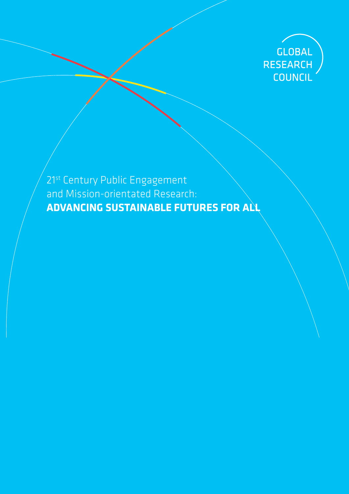

21<sup>st</sup> Century Public Engagement and Mission-orientated Research: **ADVANCING SUSTAINABLE FUTURES FOR ALL**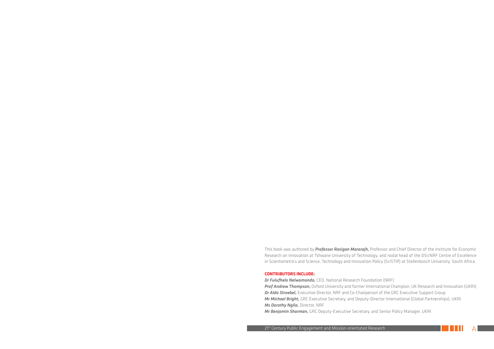This book was authored by *Professor Rasigan Mararajh,* Professor and Chief Director of the Institute for Economic Research on Innovation at Tshwane University of Technology, and nodal head of the DSI/NRF Centre of Excellence in Scientometrics and Science, Technology and Innovation Policy (SciSTIP) at Stellenbosch University, South Africa.

#### **CONTRIBUTORS INCLUDE:**

*Dr Fulufhelo Nelwamondo,* CEO, National Research Foundation (NRF) *Prof Andrew Thompson,* Oxford University and former International Champion, UK Research and Innovation (UKRI) *Dr Aldo Stroebel,* Executive Director, NRF and Co-Chairperson of the GRC Executive Support Group *Mr Michael Bright,* GRC Executive Secretary, and Deputy-Director International (Global Partnerships), UKRI *Ms Dorothy Ngila,* Director, NRF

*Mr Benjamin Sharman,* GRC Deputy-Executive Secretary, and Senior Policy Manager, UKRI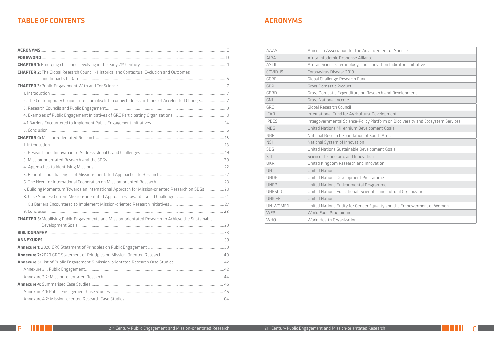| <b>AAAS</b>   | American Association for the Advancement of Science     |
|---------------|---------------------------------------------------------|
| <b>AIRA</b>   | Africa Infodemic Response Alliance                      |
| <b>ASTIII</b> | African Science, Technology, and Innovation Indicators  |
| COVID-19      | Coronavirus Disease 2019                                |
| <b>GCRF</b>   | Global Challenge Research Fund                          |
| GDP           | <b>Gross Domestic Product</b>                           |
| <b>GERD</b>   | Gross Domestic Expenditure on Research and Develop      |
| <b>GNI</b>    | <b>Gross National Income</b>                            |
| GRC           | Global Research Council                                 |
| <b>IFAD</b>   | International Fund for Agricultural Development         |
| <b>IPBES</b>  | Intergovernmental Science-Policy Platform on Biodiver   |
| MDG           | United Nations Millennium Development Goals             |
| <b>NRF</b>    | National Research Foundation of South Africa            |
| <b>NSI</b>    | National System of Innovation                           |
| SDG           | United Nations Sustainable Development Goals            |
| STI           | Science, Technology, and Innovation                     |
| <b>UKRI</b>   | United Kingdom Research and Innovation                  |
| UN            | <b>United Nations</b>                                   |
| <b>UNDP</b>   | United Nations Development Programme                    |
| <b>UNEP</b>   | United Nations Environmental Programme                  |
| <b>UNESCO</b> | United Nations Educational, Scientific and Cultural Org |
| <b>UNICEF</b> | <b>United Nations</b>                                   |
| UN-WOMEN      | United Nations Entity for Gender Equality and the Emp   |
| WFP           | World Food Programme                                    |
| <b>WHO</b>    | World Health Organization                               |

|  | cement of Science |  |
|--|-------------------|--|
|  |                   |  |

novation Indicators Initiative

earch and Development

Iatform on Biodiversity and Ecosystem Services

fic and Cultural Organization

quality and the Empowerment of Women

# TABLE OF CONTENTS AND A SERIES AND TABLE OF CONTENTS ASSESSED.

| <b>CHAPTER 2:</b> The Global Research Council - Historical and Contextual Evolution and Outcomes           |  |
|------------------------------------------------------------------------------------------------------------|--|
|                                                                                                            |  |
|                                                                                                            |  |
|                                                                                                            |  |
| 2. The Contemporary Conjuncture: Complex Interconnectedness in Times of Accelerated Change7                |  |
|                                                                                                            |  |
|                                                                                                            |  |
|                                                                                                            |  |
|                                                                                                            |  |
|                                                                                                            |  |
|                                                                                                            |  |
|                                                                                                            |  |
|                                                                                                            |  |
|                                                                                                            |  |
|                                                                                                            |  |
|                                                                                                            |  |
| 7. Building Momentum Towards an International Approach for Mission-oriented Research on SDGs23             |  |
|                                                                                                            |  |
|                                                                                                            |  |
|                                                                                                            |  |
| <b>CHAPTER 5:</b> Mobilising Public Engagements and Mission-orientated Research to Achieve the Sustainable |  |
|                                                                                                            |  |
|                                                                                                            |  |
|                                                                                                            |  |
|                                                                                                            |  |
|                                                                                                            |  |
|                                                                                                            |  |
|                                                                                                            |  |
|                                                                                                            |  |
|                                                                                                            |  |
|                                                                                                            |  |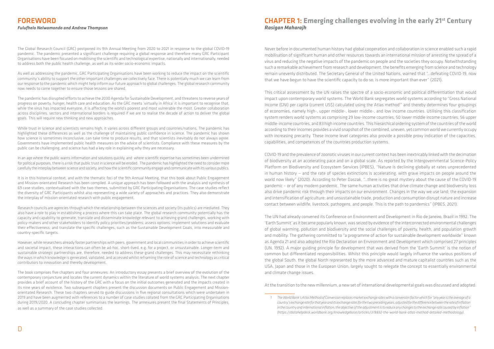The Global Research Council (GRC) postponed its 9th Annual Meeting from 2020 to 2021 in response to the global COVID-19 pandemic. The pandemic presented a significant challenge requiring a global response and therefore many GRC Participant Organisations have been focused on mobilising the scientific and technological expertise, nationally and internationally, needed to address both the public health challenge, as well as its wider socio-economic impacts.

As well as addressing the pandemic, GRC Participating Organisations have been working to reduce the impact on the scientific community's ability to support the other important challenges we collectively face. There is potentially much we can learn from our response to the pandemic which might help inform our future approach to global challenges. The global research community now needs to come together to ensure those lessons are shared.

The pandemic has disrupted efforts to achieve the 2030 Agenda for Sustainable Development, and threatens to reverse years of progress on poverty, hunger, health care and education. As the GRC meets 'virtually in Africa' it is important to recognise that, while the virus has impacted everyone, it is affecting the world's poorest and most vulnerable the most. Greater collaboration across disciplines, sectors and international borders is required if we are to realise the decade of action to deliver the global goals. This will require new thinking and new approaches.

While trust in science and scientists remains high, it varies across different groups and countries/nations. The pandemic has highlighted these differences as well as the challenge of maintaining public confidence in science. The pandemic has shown how science is sometimes inconclusive, can take time to produce results, and that scientists inevitably do not always agree. Governments have implemented public health measures on the advice of scientists. Compliance with these measures by the public can be challenging, and science has had a key role in explaining why they are necessary.

In an age where the public wants information and solutions quickly, and where scientific expertise has sometimes been undermined for political purposes, there is a risk that public trust in science will be eroded. The pandemic has highlighted the need to consider more carefully the interplay between science and society, and how the scientific community engage and communicate with its various publics.

It is in this historical context, and with the thematic foci of the 9th Annual Meeting, that this book about Public Engagement and Mission-orientated Research has been compiled. A unique approach has been followed with the analysis and synthesis of 69 case studies, contextualised with the two themes, submitted by GRC Participating Organisations. The case studies reflect the diversity of GRC Participants whilst also representing a wide variety of approaches and practices. They also demonstrate the interplay of mission-orientated research with public engagement.

Research councils are agencies through which the relationship between the sciences and society (its publics) are mediated. They also have a role to play in establishing a process where this can take place. The global research community potentially has the capacity and capability to generate, translate and disseminate knowledge relevant to achieving grand challenges, working with policy-makers and other stakeholders to identify policy priorities/problems; assess options, implement solutions and evaluate their effectiveness; and translate the specific challenges, such as the Sustainable Development Goals, into measurable and country-specific targets.

However, while researchers already foster partnerships with peers, government and local communities in order to achieve scientific and societal impact, these interactions can often be ad-hoc, short-lived, e.g. for a project, or unsustainable. Longer-term and sustainable strategic partnerships are, therefore, needed to address these grand challenges. This may necessitate rethinking the ways in which knowledge is generated, validated, and accessed whilst reframing the role of science and technology as critical contributors to innovation and thereby development.

The book comprises five chapters and four annexures. An introductory essay presents a brief overview of the evolution of the contemporary conjuncture and locates the current dynamics within the literature of world systems analysis. The next chapter provides a brief account of the history of the GRC with a focus on the initial outcomes generated and the impacts created in its nine years of existence. Two subsequent chapters present the discussion documents on Public Engagement and Missionorientated Research. These two chapters served to guide discussions in five regional consultations which were undertaken in 2019 and have been augmented with references to a number of case studies collated from the GRC Participating Organisations during 2019/2020. A concluding chapter summarises the learnings. The annexures present the final Statements of Principles, as well as a summary of the case studies collected.

# CHAPTER 1: **Emerging challenges evolving in the early 21st Century** *Rasigan Maharajh*

Never before in documented human history had global cooperation and collaboration in science enabled such a rapid mobilisation of significant human and other resources towards an international mission of arresting the spread of a virus and reducing the negative impacts of the pandemic on people and the societies they occupy. Notwithstanding such a remarkable achievement from research and development, the benefits emerging from science and technology remain unevenly distributed. The Secretary General of the United Nations, warned that "…defeating COVID-19, now that we have begun to have the scientific capacity to do so, is more important than ever" (2021).

This critical assessment by the UN raises the spectre of a socio-economic and political differentiation that would impact upon contemporary world systems. The World Bank segregates world systems according to "Gross National Income (GNI) per capita (current US\$) calculated using the Atlas method<sup>1</sup>" and thereby determines four groupings of economies, namely high-, upper middle-, lower middle-, and low income countries. Utilising this classification system renders world systems as comprising 29 low-income countries, 50 lower middle income countries, 56 upper middle-income countries, and 83 high income countries. This hierarchical ordering system of the countries of the world according to their incomes provides a vivid snapshot of the combined, uneven, yet common world we currently occupy with increasing precarity. These income level categories also provide a possible proxy indication of the capacities, capabilities, and competences of the countries production systems.

COVID-19 and the prevalence of zoonotic viruses in our current context has been inextricably linked with the decimation of biodiversity at an accelerating pace and on a global scale. As reported by the Intergovernmental Science-Policy Platform on Biodiversity and Ecosystem Services (IPBES), "Nature is declining globally at rates unprecedented in human history — and the rate of species extinctions is accelerating, with grave impacts on people around the world now likely" (2020). According to Peter Daszak, "…there is no great mystery about the cause of the COVID-19 pandemic – or of any modern pandemic. The same human activities that drive climate change and biodiversity loss also drive pandemic risk through their impacts on our environment. Changes in the way we use land; the expansion and intensification of agriculture; and unsustainable trade, production and consumption disrupt nature and increase contact between wildlife, livestock, pathogens, and people. This is the path to pandemics" (IPBES, 2021).

The UN had already convened its Conference on Environment and Development in Rio de Janeiro, Brazil in 1992. The 'Earth Summit' as it became popularly known, was seized by evidence of the interconnected environmental challenges of global warming, pollution and biodiversity and the social challenges of poverty, health, and population growth and mobility. The gathering committed to "a programme of action for sustainable development worldwide" known as Agenda 21 and also adopted the Rio Declaration on Environment and Development which comprised 27 principles (UN, 1992). A major guiding principle for development that was derived from the 'Earth Summit' is the notion of common but differentiated responsibilities. Whilst this principle would largely influence the various positions of the global South, the global North represented by the more advanced and mature capitalist countries such as the USA, Japan and those in the European Union, largely sought to relegate the concept to essentially environmental and climate change issues.

At the transition to the new millennium, a new set of international developmental goals was discussed and adopted.

*<sup>1</sup> The World Bank's Atlas Method of Conversion replaces market exchange rates with a conversion factor which for "any year is the average of a country's exchange rate for that year and its exchange rates for the two preceding years, adjusted for the difference between the rate of inflation in the country and international inflation; the objective of the adjustment is to reduce any changes to the exchange rate caused by inflation" (https://datahelpdesk.worldbank.org/knowledgebase/articles/378832-the-world-bank-atlas-method-detailed-methodology).*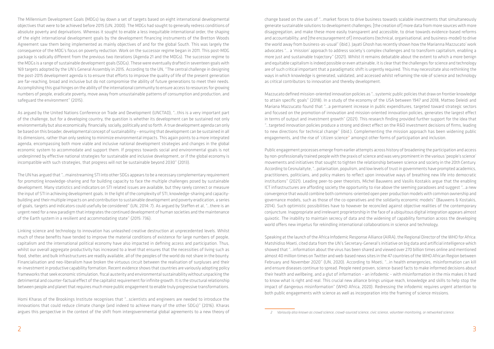The Millennium Development Goals (MDGs) lay down a set of targets based on eight international developmental objectives that were to be achieved before 2015 (UN, 2000). The MDGs had sought to generally redress conditions of absolute poverty and deprivations. Whereas it sought to enable a less inequitable international order, the shaping of the eight international development goals by the development financing instruments of the Bretton Woods Agreement saw them being implemented as mainly objectives of and for the global South. This was largely the consequence of the MDG's focus on poverty reduction. Work on the successor regime began in 2011. This post-MDG package is radically different from the previous two iterations (Agenda 21 and the MDGs). The successor regime to the MDGs is a range of sustainable development goals (SDGs). These were eventually drafted in seventeen goals with 169 targets adopted by the UN's General Assembly in 2015. According to the UN, "The central challenge in designing the post-2015 development agenda is to ensure that efforts to improve the quality of life of the present generation are far-reaching, broad and inclusive but do not compromise the ability of future generations to meet their needs. Accomplishing this goal hinges on the ability of the international community to ensure access to resources for growing numbers of people, eradicate poverty, move away from unsustainable patterns of consumption and production, and safeguard the environment" (2015).

As argued by the United Nations Conference on Trade and Development (UNCTAD), "…this is a very important part of the challenge, but for a developing country, the question is whether its development can be sustained not only environmentally but also economically, financially, socially, politically and so forth. A true development agenda can only be based on this broader, developmental concept of sustainability – ensuring that development can be sustained in all its dimensions, rather than only seeking to minimize environmental impacts. This again points to a more integrated agenda, encompassing both more viable and inclusive national development strategies and changes in the global economic system to accommodate and support them. If progress towards social and environmental goals is not underpinned by effective national strategies for sustainable and inclusive development, or if the global economy is incompatible with such strategies, that progress will not be sustainable beyond 2030" (2013).

The UN has argued that "…mainstreaming STI into other SDGs appears to be a necessary complementary requirement for promoting knowledge-sharing and for building capacity to face the multiple challenges posed by sustainable development. Many statistics and indicators on STI related issues are available, but they rarely connect or measure the input of STI in achieving development goals. In the light of the complexity of STI, knowledge-sharing and capacitybuilding and their multiple impacts on and contribution to sustainable development and poverty eradication, a series of goals, targets and indicators could usefully be considered" (UN, 2014: 7). As argued by Steffen et al, "…there is an urgent need for a new paradigm that integrates the continued development of human societies and the maintenance of the Earth system in a resilient and accommodating state" (2015: 736).

Mazzucato defined mission-oriented innovation policies as "…systemic public policies that draw on frontier knowledge to attain specific goals" (2018). In a study of the economy of the USA between 1947 and 2018, Matteo Deleidi and Mariana Mazzucato found that "…a permanent increase in public expenditures, targeted toward strategic sectors and focused on the promotion of innovation and mission-oriented innovation policies, generates the largest effect in terms of output and investment growth" (2021). This research finding provided further support for the idea that "…targeted innovation policies produce a strong and direct effect on the R&D investment decisions of firms, leading to new directions for technical change" (ibid.). Complementing the mission approach has been widening public engagements, and the rise of 'citizen science<sup>2</sup>' amongst other forms of participation and inclusion.

Linking science and technology to innovation has unleashed creative destruction at unprecedented levels. Whilst much of these benefits have tended to improve the material conditions of existence for large numbers of people, capitalism and the international political economy have also impacted in defining access and participation. Thus, whilst our overall aggregate productivity has increased to a level that ensures that the necessities of living such as food, shelter, and bulk infrastructures are readily available, all of the peoples of the world do not share in the bounty. Financialisation and neo-liberalism have broken the virtuous circuit between the realisation of surpluses and their re-investment in productive capability formation. Recent evidence shows that countries are variously adopting policy frameworks that seek economic stimulation, fiscal austerity and environmental sustainability without unpacking the detrimental and counter-factual effect of the capitalist requirement for infinite growth. It is the structural relationship between people and planet that requires much more public engagement to enable truly progressive transformations.

Homi Kharas of the Brookings Institute recognises that "…scientists and engineers are needed to introduce the innovations that could reduce climate change (and indeed to achieve many of the other SDGs)" (2016). Kharas argues this perspective in the context of the shift from intergovernmental global agreements to a new theory of

change based on the uses of "…market forces to drive business towards scalable investments that simultaneously generate sustainable solutions to development challenges; [the creation of] more data from more sources with more disaggregation, and make these more easily transparent and accessible, to drive towards evidence-based reforms and accountability; and [the encouragement of] innovations (technical, organisational, and business-model) to drive the world away from business-as-usual" (ibid.). Jayati Ghosh has recently shown how the Marianna Mazzucato' work advocates "… a 'mission' approach to address society's complex challenges and to transform capitalism, enabling a more just and sustainable trajectory" (2021). Whilst it remains debatable about the extent to which a more benign and equitable capitalism is indeed possible or even attainable, it is clear that the challenges for science and technology are of such critical important that a paradigmatic shift is urgently required. This may necessitate also rethinking the ways in which knowledge is generated, validated, and accessed whilst reframing the role of science and technology as critical contributors to innovation and thereby development.

Public engagement processes emerge from earlier attempts across history of broadening the participation and access by non-professionally trained people with the praxis of science and was very prominent in the various 'people's science' movements and initiatives that sought to tighten the relationship between science and society in the 20th Century. According to Cesnulaityte, "…polarisation, populism, and low levels of trust in governments have prompted academics, practitioners, politicians, and policy makers to reflect upon innovative ways of breathing new life into democratic institutions" (2021). Leading peer-to-peer theorists, Michel Bauwens and Vasilis Kostakis argue that the enabling ICT infrastructures are affording society the opportunity to rise above the seeming paradoxes and suggest "…a new convergence that would combine both commons-oriented open peer production models with common ownership and governance models, such as those of the co-operatives and the solidarity economic models" (Bauwens & Kostakis, 2014). Such optimistic possibilities have to however be reconciled against objective realities of the contemporary conjuncture. Inappropriate and irrelevant proprietorship in the face of a ubiquitous digital integration appears almost quixotic. The inability to maintain secrecy of data and the widening of capability formation across the developing world offers new impetus for rekindling international collaborations in science and technology.

Speaking at the launch of the Africa Infodemic Response Alliance (AIRA), the Regional Director of the WHO for Africa: Matshidiso Moeti, cited data from the UN's Secretary-General's initiative on big data and artificial intelligence which showed that "…information about the virus has been shared and viewed over 270 billion times online and mentioned almost 40 million times on Twitter and web-based news sites in the 47 countries of the WHO African Region between February and November 2020" (UN, 2020). According to Moeti, "…in health emergencies, misinformation can kill and ensure diseases continue to spread. People need proven, science-based facts to make informed decisions about their health and wellbeing, and a glut of information – an infodemic – with misinformation in the mix makes it hard to know what is right and real. This crucial new alliance brings unique reach, knowledge and skills to help stop the impact of dangerous misinformation" (WHO Africa, 2020). Redressing the infodemic requires urgent attention to both public engagements with science as well as incorporation into the framing of science missions.

*<sup>2</sup> Variously also known as crowd science, crowd-sourced science, civic science, volunteer monitoring, or networked science.*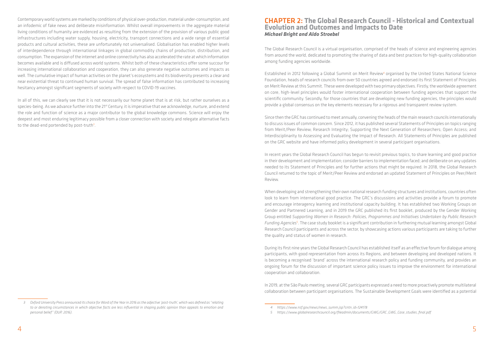Contemporary world systems are marked by conditions of physical over-production, material under-consumption, and an infodemic of fake news and deliberate misinformation. Whilst overall improvements in the aggregate material living conditions of humanity are evidenced as resulting from the extension of the provision of various public good infrastructures including water supply, housing, electricity, transport connections and a wide range of essential products and cultural activities, these are unfortunately not universalised. Globalisation has enabled higher levels of interdependence through international linkages in global commodity chains of production, distribution, and consumption. The expansion of the internet and online connectivity has also accelerated the rate at which information becomes available and is diffused across world systems. Whilst both of these characteristics offer some succour for increasing international collaboration and cooperation, they can also generate negative outcomes and impacts as well. The cumulative impact of human activities on the planet's ecosystems and its biodiversity presents a clear and near existential threat to continued human survival. The spread of false information has contributed to increasing hesitancy amongst significant segments of society with respect to COVID-19 vaccines.

In all of this, we can clearly see that it is not necessarily our home planet that is at risk, but rather ourselves as a species-being. As we advance further into the 21<sup>st</sup> Century, it is imperative that we acknowledge, nurture, and extend the role and function of science as a major contributor to the global knowledge commons. Science will enjoy the deepest and most enduring legitimacy possible from a closer connection with society and relegate alternative facts to the dead-end portended by post-truth<sup>3</sup>.

Established in 2012 following a Global Summit on Merit Review<sup>4</sup> organised by the United States National Science Foundation, heads of research councils from over 50 countries agreed and endorsed its first Statement of Principles on Merit Review at this Summit. These were developed with two primary objectives. Firstly, the worldwide agreement on core, high-level principles would foster international cooperation between funding agencies that support the scientific community. Secondly, for those countries that are developing new funding agencies, the principles would provide a global consensus on the key elements necessary for a rigorous and transparent review system.

# CHAPTER 2: **The Global Research Council - Historical and Contextual Evolution and Outcomes and Impacts to Date** *Michael Bright and Aldo Stroebel*

The Global Research Council is a virtual organisation, comprised of the heads of science and engineering agencies from around the world, dedicated to promoting the sharing of data and best practices for high-quality collaboration among funding agencies worldwide.

Since then the GRC has continued to meet annually, convening the heads of the main research councils internationally to discuss issues of common concern. Since 2012, it has published several Statements of Principles on topics ranging from Merit/Peer Review; Research Integrity; Supporting the Next Generation of Researchers; Open Access; and Interdisciplinarity to Assessing and Evaluating the Impact of Research. All Statements of Principles are published on the GRC website and have informed policy development in several participant organisations.

In recent years the Global Research Council has begun to revisit previous topics, to share learning and good practice in their development and implementation; consider barriers to implementation faced; and deliberate on any updates needed to its Statement of Principles and for further actions that might be required. In 2018, the Global Research Council returned to the topic of Merit/Peer Review and endorsed an updated Statement of Principles on Peer/Merit Review.

When developing and strengthening their own national research funding structures and institutions, countries often look to learn from international good practice. The GRC's discussions and activities provide a forum to promote and encourage interagency learning and institutional capacity building. It has established two Working Groups on Gender and Partnered Learning, and in 2019 the GRC published its first booklet, produced by the Gender Working Group entitled *Supporting Women in Research: Policies, Programmes and Initiatives Undertaken by Public Research Funding Agencies*<sup>5</sup> . The case study booklet is a significant contribution in furthering mutual learning amongst Global Research Council participants and across the sector, by showcasing actions various participants are taking to further the quality and status of women in research.

During its first nine years the Global Research Council has established itself as an effective forum for dialogue among participants, with good representation from across its Regions, and between developing and developed nations. It is becoming a recognised 'brand' across the international research policy and funding community, and provides an ongoing forum for the discussion of important science policy issues to improve the environment for international cooperation and collaboration.

In 2019, at the São Paulo meeting, several GRC participants expressed a need to more proactively promote multilateral collaboration between participant organisations. The Sustainable Development Goals were identified as a potential

*<sup>3</sup> Oxford University Press announced its choice for Word of the Year in 2016 as the adjective 'post-truth', which was defined as "relating to or denoting circumstances in which objective facts are less influential in shaping public opinion than appeals to emotion and personal belief" (OUP, 2016).*

*<sup>4</sup> https://www.nsf.gov/news/news\_summ.jsp?cntn\_id=124178*

*<sup>5</sup> https://www.globalresearchcouncil.org/fileadmin/documents/GWG/GRC\_GWG\_Case\_studies\_final.pdf*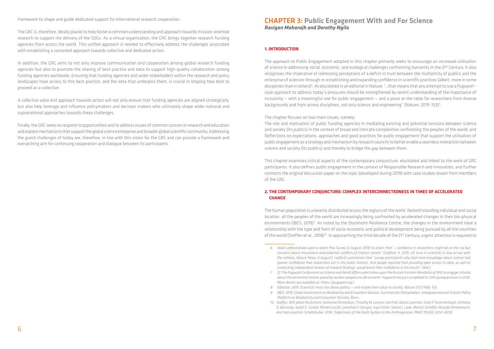framework to shape and guide dedicated support for international research cooperation.

The GRC is, therefore, ideally placed to help foster a common understanding and approach towards mission-oriented research to support the delivery of the SDGs. As a virtual organisation, the GRC brings together research funding agencies from across the world. This unified approach is needed to effectively address the challenges associated with establishing a concerted approach towards collective and dedicated action.

In addition, the GRC aims to not only improve communication and cooperation among global research funding agencies but also to promote the sharing of best practice and data to support high-quality collaboration among funding agencies worldwide. Ensuring that funding agencies and wider stakeholders within the research and policy landscapes have access to this best practice, and the data that underpins them, is crucial in shaping how best to proceed as a collective.

The approach to Public Engagement adopted in this chapter primarily seeks to encourage an increased utilisation of science in addressing social, economic, and ecological challenges confronting humanity in the 21st Century. It also recognises the imperative of redressing perceptions of a deficit in trust between the multiplicity of publics and the enterprise of sciences through re-establishing and expanding confidence in scientific practices (albeit, more in some disciplines than in others)<sup>6</sup>. As elucidated in an editorial in Nature: "...that means that any attempt to use a Pugwash<sup>7</sup>*style approach* to address today's pressures should be strengthened by recent understanding of the importance of inclusivity — with a meaningful role for public engagement — and a place at the table for researchers from diverse backgrounds and from across disciplines, not only science and engineering" (Nature, 2019: 153)<sup>8</sup>.

A collective voice and approach towards action will not only ensure that funding agencies are aligned strategically, but also help leverage and influence policymakers and decision makers who ultimately shape wider national and supranational approaches towards these challenges.

Finally, the GRC seeks to respond to opportunities and to address issues of common concern in research and education and explore mechanisms that support the global science enterprise and broader global scientific community. Addressing the grand challenges of today are, therefore, in line with this vision for the GRC and can provide a framework and overarching aim for continuing cooperation and dialogue between its participants.

# CHAPTER 3: **Public Engagement With and For Science** *Rasigan Maharajh and Dorothy Ngila*

#### **1. INTRODUCTION**

The human population is unevenly distributed across the regions of the world. Notwithstanding individual and social location, all the peoples of the world are increasingly being confronted by accelerated changes in their bio-physical environments (IBES, 2019)<sup>9</sup>. As noted by the Stockholm Resilience Centre, the changes in the environment have a relationship with the type and form of socio-economic and political development being pursued by all the countries of the world (Steffen et al., 2018)<sup>10</sup>. In approaching the third decade of the 21<sup>st</sup> Century, urgent attention is required to

The chapter focuses on two main issues, namely:

The role and motivation of public funding agencies in mediating existing and potential tensions between science and society (its publics) in the context of broad and intricate complexities confronting the peoples of the world; and Reflections on expectations, approaches and good practices for public engagement that support the utilisation of public engagement as a strategy and mechanism by research councils to better enable a seamless interaction between science and society (its publics) and thereby to bridge the gap between them.

This chapter examines critical aspects of the contemporary conjuncture, elucidated and linked to the work of GRC participants. It also defines public engagement in the context of Responsible Research and Innovation, and further connects the original discussion paper on the topic (developed during 2019) with case studies drawn from members of the GRC.

# **2. THE CONTEMPORARY CONJUNCTURE: COMPLEX INTERCONNECTEDNESS IN TIMES OF ACCELERATED CHANGE**

*concerns about misconduct and potential conflicts of interest remain" (Ledford, H. 2019. US trust in scientists is now on par with the military, Nature News, 6 August). Ledford summarises that "survey participants who had more knowledge about science had greater confidence that researchers act in the public interest. And people reported that providing open access to data, as well as* 

- *7 Cf. The Pugwash Conferences on Science and World Affairs which drew upon the Russell-Einstein Manifesto of 1955 to engage critically about the existential threats posed by nuclear weapons to life on earth. Pugwash has just completed its 12th Quinquennium in 2018. More details are available at:<https://pugwash.org/>.*
- *8 Editorial. 2019. Scientists must rise above politics and restate their value to society, Nature 572(7768): 153.*
- *9 IBES. 2019. Global Assessment on Biodiversity and Ecosystem Services: Summary for Policymakers, Intergovernmental Science-Policy Platform on Biodiversity and Ecosystem Services, Bonn.*
- *10 Steffen, Will; Johan Rockström; Katherine Richardson; Timothy M. Lenton; Carl Folk; Diana Liverman; Colin P. Summerhayes; Anthony D. Barnosky; Sarah E. Cornell; Michel Crucifix; Jonathan F. Donges; Ingo Fetzer; Steven J. Lade; Marten Scheffer; Ricarda Winkelmann; and Hans Joachim Schellnhuber. 2018. Trajectories of the Earth System in the Anthropocene, PNAS 115(33): 8252–8259.*

*<sup>6</sup> Heidi Ledford draws upon a recent Pew Survey (2 August 2019) to assert that "…confidence in researchers might be on the rise but conducting independent reviews of research findings, would boost their confidence in the results" (ibid.).*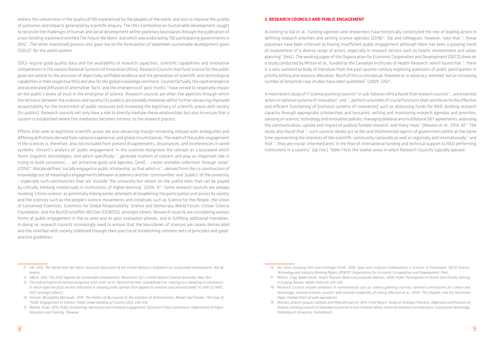redress the unevenness in the quality of life experienced by the peoples of the world, and also to improve the quality of outcomes and impacts generated by scientific enquiry. The UN's Conference on Sustainable Development sought to reconcile the challenges of human and social development within planetary boundaries through the publication of a non-binding statement entitled *The Future We Want*, and which was endorsed by 192 participating governments in  $2012$ <sup>11</sup>. The latter mentioned process also gave rise to the formulation of seventeen sustainable development goals (SDGs)12 for the world system.

SDGs require good quality data and the availability of research capacities, scientific capabilities and innovative competences in the various National Systems of Innovation (NSIs). Research Councils that fund science for the public good are central to the provision of objectively verifiable evidence and the generation of scientific and technological capabilities in their respective NSIs and also for the global knowledge commons. Counterfactually, the rapid emergence and accelerated diffusion of alternative 'facts' and the emergence of 'post-truths'<sup>13</sup> have served to negatively impact on the public's levels of trust in the enterprise of science. Research councils are often the agencies through which the tensions between the sciences and society (its publics) are possibly mediated whilst further advancing improved accountability for the investment of public resources and increasing the legitimacy of scientific praxis with society (its publics). Research councils not only have a role to directly mediate these relationships but also to ensure that a system is established where this mediation becomes intrinsic to the research process.

Efforts that seek to legitimise scientific praxis are also advancing though remaining imbued with ambiguities and differing definitions derived from national experiences and global circumstances. The realm of the public engagement in the sciences is, therefore, also not excluded from present disagreements, dissonances, and incoherencies in world systems. Vincent's analysis of 'public engagement' in the sciences recognises the concept as a buzzword which forms linguistic technologies, and which specifically "…generate matters of concern and play an important role in trying to build consensus; … set attractive goals and agendas; [and] … create unstable collectives through noise" (2014)14. Motala defines 'socially engaged or public scholarship' as that which is "…derived from the co-construction of knowledge out of meaningful engagements between academics and the 'communities' and 'publics' of the university – especially such communities that are 'outside' the university but reliant on the useful roles that can be played by critically thinking intellectuals in institutions of higher learning" (2014: 1)15. Some research councils are already invoking 'citizen science' as potentially linking earlier attempts at broadening the participation and access by society and the sciences such as the people's science movements and initiatives such as Science for the People, the Union of Concerned Scientists, Scientists for Global Responsibility, Science and Democracy World Forum, Citizen Science Foundation, and the BurGErschaffen WISSen (GEWISS), amongst others. Research councils are considering various forms of public engagement in the ex-ante and ex-post evaluation phases, and in fulfilling additional mandates. In doing so, research councils increasingly need to ensure that the boundaries of sciences are clearly demarcated and the interface with society stabilised through their practice of establishing common sets of principles and goodpractice guidelines.

A more recent study of 17 science granting councils<sup>18</sup> in sub-Saharan Africa found that research councils "...are essential actors in national systems of innovation" and "…perform a number of crucial functions that contribute to the effective and efficient functioning of [national systems of innovation] such as disbursing funds for R&D; building research capacity through appropriate scholarships and bursaries; setting and monitoring research agendas and priorities; advising on science, technology and innovation policies; managing bilateral and multilateral S&T agreements; assessing the communication, uptake and impact of publicly funded research; and many more" (Mouton et al., 2014: 8)<sup>19</sup>. The study also found that "…such councils ideally act as fair and disinterested agents of government whilst at the same time representing the interests of the scientific community nationally as well as regionally and internationally" and that "…they are crucial 'intermediaries' in the flow of international funding and technical support to R&D performing institutions in a country" (op cite.). Table 1 lists the twelve areas in which Research Councils typically operate.

#### **3. RESEARCH COUNCILS AND PUBLIC ENGAGEMENT**

According to Dai et al., funding agencies and researchers have historically constituted the role of leading actors in defining research priorities and setting science agendas (2018)<sup>16</sup>. Dai and colleagues, however, note that "...these processes have been criticised as having insufficient public engagement although there has been a growing trend of involvement of a diverse range of actors, especially in research sectors such as health, environment and urban planning" (ibid.). The working paper of the Organisation for Economic Cooperation and Development (OECD) drew on a study conducted by Mitton et al., funded by the Canadian Institutes of Health Research, which found that "…there is a very substantial body of literature from the past quarter-century exploring questions of public participation in priority setting and resource allocation. Much of this is conceptual, theoretical, or advocacy-oriented, but an increasing number of empirical case studies have been published" (2009: 226)17.

*17 Mitton, Craig; Neale Smith, Stuart Peacock, Brian Evoy and Julia Abelson. 2009. Public Participation in Health Care Priority Setting:* 

*18 Research Councils include variations in nomenclature such as: science granting councils; national commissions for science and technology; national sciences councils; and national academies of science (Mouton et al., 2014). This Chapter, and the Discussion* 

*19 Mouton, Johann; Jacques Gaillard; and Milandré van Lill. 2014. Final Report: Study on Strategic Priorities, Objectives and Practices of* 

<sup>14</sup> Vincent, Bernadette Bensaude. 2014. The Politics of Buzzwords at the Interface of Technoscience, Market and Society: The Case of *'Public Engagement in Science,' Public Understanding of Science 23(3): 238–253.*

*<sup>11</sup> UN. 2012. The World that We Want, Outcome Document of the United Nations Conference on Sustainable Development, Rio de Janeiro.*

*<sup>12</sup> UNGA. 2015. The 2030 Agenda for Sustainable Development, Resolution 70/1, United Nations General Assembly, New York.*

*<sup>13</sup> The Oxford English Dictionary recognised 'post-truth' as its 'Word of the Year' and defined it as 'relating to or denoting circumstances in which objective facts are less influential in shaping public opinion than appeals to emotion and personal belief' in 2016 (cf. NACI, 2017; amongst others).*

*<sup>15</sup> Motala, Enver. 2014. Public Scholarship, Democracy and Scholarly Engagement, Education Policy Consortium, Department of Higher Education and Training, Tshwane.*

*<sup>16</sup> Dai, Qian; Eunjung Shin and Carthage Smith. 2018. Open and Inclusive Collaboration in Science: A Framework, OECD Science, Technology and Industry Working Papers 2018/07, Organisation for Economic Co-operation and Development, Paris.* 

*A Scoping Review, Health Policy 91: 219–228.*

*Paper, treated them all with equivalence.*

*Science Granting Councils in Seventeen Countries in Sub-Saharan Africa, Centre for Research on Evaluation, Science and Technology, Stellenbosch University, Stellenbosch.*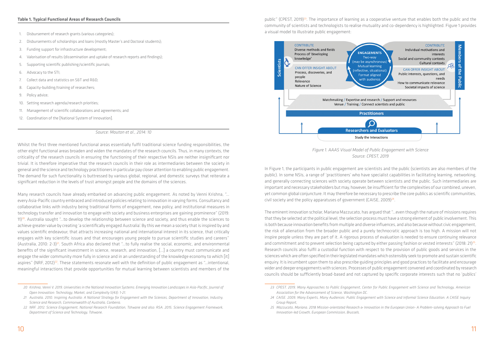#### **Table 1. Typical Functional Areas of Research Councils**

- 1. Disbursement of research grants (various categories);
- 2. Disbursements of scholarships and loans (mostly Master's and Doctoral students);
- 3. Funding support for infrastructure development;
- 4. Valorisation of results (dissemination and uptake of research reports and findings);
- 5. Supporting scientific publishing/scientific journals;
- 6. Advocacy to the STI;
- 7. Collect data and statistics on S&T and R&D;
- 8. Capacity-building/training of researchers;
- 9. Policy advice;
- 10. Setting research agenda/research priorities;
- 11. Management of scientific collaborations and agreements; and
- 12. Coordination of the [National System of Innovation].

*Source: Mouton et al., 2014: 10*

Whilst the first three mentioned functional areas essentially fulfil traditional science funding responsibilities, the other eight functional areas broaden and widen the mandates of the research councils. Thus, in many contexts, the criticality of the research councils in ensuring the functioning of their respective NSIs are neither insignificant nor trivial. It is therefore imperative that the research councils in their role as intermediaries between the society in general and the science and technology practitioners in particular pay closer attention to enabling public engagement. The demand for such functionality is buttressed by various global, regional, and domestic surveys that reiterate a significant reduction in the levels of trust amongst people and the domains of the sciences.

public" (CPEST, 2019)<sup>23</sup>. The importance of learning as a cooperative venture that enables both the public and the community of scientists and technologists to realise mutuality and co-dependency is highlighted. Figure 1 provides a visual model to illustrate public engagement:



In Figure 1, the participants in public engagement are scientists and the public (scientists are also members of the public). In some NSIs, a range of 'practitioners' who have specialist capabilities in facilitating learning, networking, and generally connecting sciences with society operate between scientists and the public. Such intermediaries are important and necessary stakeholders but may, however, be insufficient for the complexities of our combined, uneven, yet common global conjuncture. It may therefore be necessary to prescribe the core publics as scientific communities, civil society and the policy apparatuses of government (CAISE, 2009) $^{24}$ .

Many research councils have already embarked on advancing public engagement. As noted by Venni Krishna, "… every Asia-Pacific country embraced and introduced policies relating to innovation in varying forms. Consultancy and collaborative links with industry being traditional forms of engagement, new policy, and institutional measures in technology transfer and innovation to engage with society and business enterprises are gaining prominence" (2019:  $11$ )<sup>20</sup>. Australia sought "...to develop the relationship between science and society, and thus enable the sciences to achieve greater value by creating 'a scientifically engaged Australia'. By this we mean a society that is inspired by and values scientific endeavour, that attracts increasing national and international interest in its science, that critically engages with key scientific issues and that encourages young people to pursue scientific studies and careers" (Australia, 2010: 2-3)<sup>21</sup>. South Africa also declared that "...to fully realise the social, economic, and environmental benefits of the significant investment in science, research, and innovation, […] a country must communicate and engage the wider community more fully in science and in an understanding of the knowledge economy to which [it] aspires" (NRF, 2012)<sup>22</sup>. These statements resonate well with the definition of public engagement as "...intentional, meaningful interactions that provide opportunities for mutual learning between scientists and members of the

*Figure 1. AAAS Visual Model of Public Engagement with Science Source: CPEST, 2019*

The eminent innovation scholar, Mariana Mazzucato, has argued that "…even though the nature of missions requires that they be selected at the political level, the selection process must have a strong element of public involvement. This is both because innovation benefits from multiple and diverse influences, and also because without civic engagement, the risk of alienation from the broader public and a purely technocratic approach is too high. A mission will not inspire people unless they are part of it. A rigorous process of evaluation is needed to ensure continuing relevance and commitment and to prevent selection being captured by either passing fashion or vested interests" (2018: 21)<sup>25</sup>. Research councils also fulfil a custodial function with respect to the provision of public goods and services in the sciences which are often specified in their legislated mandates which ostensibly seek to promote and sustain scientific enquiry. It is incumbent upon them to also prescribe guiding principles and good practices to facilitate and encourage wider and deeper engagements with sciences. Processes of public engagement convened and coordinated by research councils should be sufficiently broad-based and not captured by specific corporate interests such that no 'publics'

*23 CPEST. 2019. Many Approaches to Public Engagement, Center for Public Engagement with Science and Technology, American 24 CAISE. 2009. Many Experts, Many Audiences: Public Engagement with Science and Informal Science Education. A CAISE Inquiry 25 Mazzucato, Mariana. 2018 Mission-orientated Research & Innovation in the European Union- A Problem-solving Approach to Fuel* 

*<sup>20</sup> Krishna, Venni V. 2019. Universities in the National Innovation Systems: Emerging Innovation Landscapes in Asia-Pacific, Journal of Open Innovation: Technology, Market, and Complexity 5(43): 1-21.*

*<sup>21</sup> Australia. 2010. Inspiring Australia: A National Strategy for Engagement with the Sciences, Department of Innovation, Industry, Science and Research, Commonwealth of Australia, Canberra.*

*<sup>22</sup> NRF. 2012. Science Engagement, National Research Foundation, Tshwane and also: RSA. 2015. Science Engagement Framework, Department of Science and Technology, Tshwane.*

*Association for the Advancement of Science, Washington DC.*

*Group Report,*

*Innovation-led Growth, European Commission, Brussels.*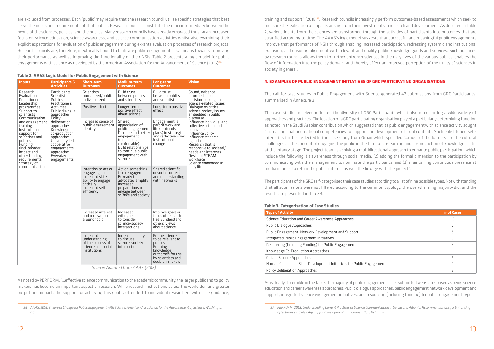are excluded from processes. Each 'public' may require that the research council utilise specific strategies that best serve the needs and requirements of that 'public'. Research councils constitute the main intermediary between the nexus of the sciences, policies, and the publics. Many research councils have already embraced thus far an increased focus on science education, science awareness, and science communication activities whilst also examining their explicit expectations for evaluation of public engagement during ex-ante evaluation processes of research projects. Research councils are, therefore, inextricably bound to facilitate public engagements as a means towards improving their performance as well as improving the functionality of their NSIs. Table 2 presents a logic model for public engagements with science as developed by the American Association for the Advancement of Science (2016) $^{26}$ :

#### **Table 2. AAAS Logic Model for Public Engagement with Science**

| <b>Inputs</b>                                                                                                                                                                                        | <b>Participants &amp;</b>                                                                                                                                                 | <b>Short-term</b>                                                                                                           | Medium-term                                                                                                                                                                                            | Long-term                                                                                                                         | <b>Vision</b>                                                                                                                                                                                                                                                       |
|------------------------------------------------------------------------------------------------------------------------------------------------------------------------------------------------------|---------------------------------------------------------------------------------------------------------------------------------------------------------------------------|-----------------------------------------------------------------------------------------------------------------------------|--------------------------------------------------------------------------------------------------------------------------------------------------------------------------------------------------------|-----------------------------------------------------------------------------------------------------------------------------------|---------------------------------------------------------------------------------------------------------------------------------------------------------------------------------------------------------------------------------------------------------------------|
|                                                                                                                                                                                                      | <b>Activities</b>                                                                                                                                                         | <b>Outcomes</b>                                                                                                             | <b>Outcomes</b>                                                                                                                                                                                        | <b>Outcomes</b>                                                                                                                   |                                                                                                                                                                                                                                                                     |
| Research<br>Evaluation<br><b>Practitioners</b><br>Leadership                                                                                                                                         | Participants<br>Scientists<br>Publics<br><b>Practitioners</b>                                                                                                             | Scientists<br>humanized/public<br>individualized                                                                            | <b>Build trust</b><br>between publics<br>and scientists                                                                                                                                                | <b>Build trust</b><br>between publics<br>and scientists                                                                           | Sound, evidence-<br>informed public<br>decision-making on<br>science-related issues                                                                                                                                                                                 |
| programmes<br>Support to<br>scientists                                                                                                                                                               | Activities<br>Public dialogue<br>approaches                                                                                                                               | Positive effect                                                                                                             | Longer-term<br>positive effect<br>about science                                                                                                                                                        | Long-term positive<br>effect                                                                                                      | Dialogue on critical<br>science-society issues<br>embedded in public                                                                                                                                                                                                |
| Communication<br>and engagement<br>training<br>Institutional<br>support for<br>scientists and<br>publics<br>Funding<br>(incl. broader<br>impact and<br>other funding<br>requirements)<br>Strategy of | Policy<br>deliberation<br>approaches<br>Knowledge<br>co-production<br>approaches<br>University-led<br>cooperative<br>engagements<br>approaches<br>Everyday<br>engagements | Increased sense of<br>public engagement<br>identity                                                                         | Shared<br>appreciation of<br>public engagement<br>Do more and better<br>engagement<br>(more able and<br>comfortable)<br><b>Build relationships</b><br>to continue public<br>engagement with<br>science | Engagement is<br>part of work and<br>life (protocols,<br>plans) in strategic<br>and reflective ways<br>Institutional<br>change    | discourse<br>Influence individual and<br>collective action and<br>behaviour<br>Influence policy<br>Influence research<br>agenda<br>Research that is<br>responsive to societal/<br>needs and interests<br><b>Resilient STEAM</b><br>workforce<br>Science embedded in |
| communication                                                                                                                                                                                        |                                                                                                                                                                           | Intention to act or<br>engage again<br>Increased skill/<br>ability to engage<br>critically<br>Increased self-<br>efficiency | Act on something<br>from engagement<br>Be ready to<br>advocate/amplify<br>Increased<br>preparations to<br>engage between<br>science and society                                                        | Shared scientific<br>or social content<br>and understanding<br>with networks                                                      | daily life                                                                                                                                                                                                                                                          |
|                                                                                                                                                                                                      |                                                                                                                                                                           | Increased interest<br>and motivation<br>around topic                                                                        | Increased<br>willingness<br>to consider<br>science-society<br>intersections                                                                                                                            | Improve goals or<br>focus of research<br>Hear/understand<br>others' views<br>about science                                        |                                                                                                                                                                                                                                                                     |
|                                                                                                                                                                                                      |                                                                                                                                                                           | Increased<br>understanding<br>of the process of<br>science and social<br>institutions                                       | Increased ability<br>to discuss<br>science-society<br>intersections                                                                                                                                    | Frame science<br>to be relevant to<br>publics<br>Framing<br>knowledge<br>outcomes for use<br>by scientists and<br>decision-makers |                                                                                                                                                                                                                                                                     |

 *Source: Adapted from AAAS (2016)*

As noted by PERFORM, "…effective science communication to the academic community, the larger public and to policy makers has become an important aspect of research. While research institutions across the world demand greater output and impact, the support for achieving this goal is often left to individual researchers with little guidance,

training and support" (2018)27. Research councils increasingly perform outcomes-based assessments which seek to measure the realisation of impacts arising from their investments in research and development. As depicted in Table 2, various inputs from the sciences are transformed through the activities of participants into outcomes that are stratified according to time. The AAAS's logic model suggests that successful and meaningful public engagements improve that performance of NSIs through enabling increased participation, redressing systemic and institutional exclusion, and ensuring alignment with relevant and quality public knowledge goods and services. Such practices by research councils allows them to further entrench sciences in the daily lives of the various publics, enables the flow of information into the policy domain, and thereby effect an improved perception of the utility of sciences in society in general.

# **4. EXAMPLES OF PUBLIC ENGAGEMENT INITIATIVES OF GRC PARTICIPATING ORGANISATIONS**

The call for case studies in Public Engagement with Science generated 42 submissions from GRC Participants, summarised in Annexure 3.

The case studies received reflected the diversity of GRC Participants whilst also representing a wide variety of approaches and practices. The location of a GRC participating organisation played a particularly determining function as noted in the Saudi Arabian contribution which suggested that its public engagement with science activity sought "increasing qualified national competencies to support the development of local content". Such enlightened selfinterest is further reflected in the case study from Oman which specified "…most of the barriers are the cultural challenges as the concept of engaging the public in the form of co-learning and co-production of knowledge is still at the infancy stage. The project team is applying a multidirectional approach to enhance public participation, which include the following: (1) awareness through social media; (2) adding the formal dimension to the participation by communicating with the management to nominate the participants; and (3) maintaining continuous presence at media in order to retain the public interest as well the linkage with the project".

The participants of the GRC self-categorised their case studies according to a list of nine possible types. Notwithstanding that all submissions were not filtered according to the common typology, the overwhelming majority did, and the results are presented in Table 3.

#### **Table 3. Categorisation of Case Studies**

| <b>Type of Activity</b>                                                | # of Cases |
|------------------------------------------------------------------------|------------|
| Science Education and Career Awareness Approaches                      | 15         |
| Public Dialogue Approaches                                             |            |
| Public Engagement, Network Development and Support                     |            |
| Integrated Public Engagement Initiatives                               |            |
| Resourcing (Including Funding) for Public Engagement                   | 4          |
| Knowledge Co-Production Approaches                                     |            |
| Citizen Science Approaches                                             |            |
| Human Capital and Skills Development Initiatives for Public Engagement |            |
| Policy Deliberation Approaches                                         |            |

As is clearly discernible in the Table, the majority of public engagement cases submitted were categorised as being science education and career awareness approaches. Public dialogue approaches, public engagement network development and support, integrated science engagement initiatives, and resourcing (including funding) for public engagement types

*<sup>26</sup> AAAS. 2016. Theory of Change for Public Engagement with Science, American Association for the Advancement of Science, Washington DC.*

*<sup>27</sup> PERFORM. 2018. Understanding Current Practices of Science Communication in Serbia and Albania: Recommendations for Enhancing Effectiveness, Swiss Agency for Development and Cooperation, Belgrade.*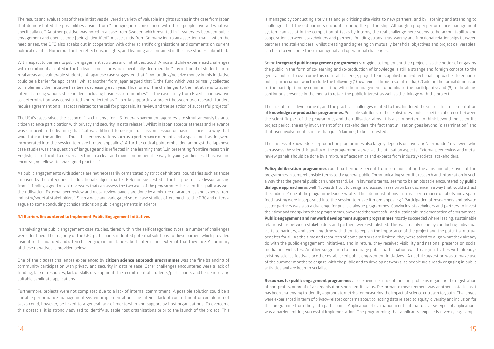The results and evaluations of these initiatives delivered a variety of valuable insights such as in the case from Japan that demonstrated the possibilities arising from "…bringing into consonance with those people involved what we specifically do." Another positive was noted in a case from Sweden which resulted in "…synergies between public engagement and open science [being] identified". A case study from Germany led to an assertion that "…when the need arises, the DFG also speaks out in cooperation with other scientific organisations and comments on current political events". Numerous further reflections, insights, and learning are contained in the case studies submitted.

With respect to barriers to public engagement activities and initiatives, South Africa and Chile experienced challenges with recruitment as noted in the Chilean submission which specifically identified the "…recruitment of students from rural areas and vulnerable students". A Japanese case suggested that "…no funding/no prize money in this initiative could be a barrier for applicants" whilst another from Japan argued that "…the fund which was primarily collected to implement the initiative has been decreasing each year. Thus, one of the challenges to the initiative is to spark interest among various stakeholders including business communities". In the case study from Brazil, an innovative co-determination was constituted and reflected as "…jointly supporting a project between two research funders require agreement on all aspects related to the call for proposals, its review and the selection of successful projects".

The USA's cases raised the lesson of "…a challenge for U.S. federal government agencies is to simultaneously balance citizen science participation with privacy and security in data release", whilst in Japan appropriateness and relevance was surfaced in the learning that "…it was difficult to design a discussion session on basic science in a way that would attract the audience. Thus, the demonstrations such as a performance of robots and a space food tasting were incorporated into the session to make it more appealing". A further critical point embedded amongst the Japanese case studies was the question of language and is reflected in the learning that "…in presenting frontline research in English, it is difficult to deliver a lecture in a clear and more comprehensible way to young audiences. Thus, we are encouraging fellows to share good practices".

As public engagements with science are not necessarily demarcated by strict definitional boundaries such as those imposed by the categories of educational subject matter, Belgium suggested a further progressive lesson arising from "…finding a good mix of reviewers that can assess the two axes of the programme: the scientific quality as well the utilisation. External peer review and meta-review panels are done by a mixture of academics and experts from industry/societal stakeholders". Such a wide and variegated set of case studies offers much to the GRC and offers a segue to some concluding considerations on public engagements in science.

#### **4.1 Barriers Encountered to Implement Public Engagement Initiatives**

In analysing the public engagement case studies, tiered within the self-categorised types, a number of challenges were identified. The majority of the GRC participants indicated potential solutions to these barriers which provided insight to the nuanced and often challenging circumstances, both internal and external, that they face. A summary of these narratives is provided below:

One of the biggest challenges experienced by **citizen science approach programmes** was the fine balancing of community participation with privacy and security in data release. Other challenges encountered were a lack of funding, lack of resources, lack of skills development, the recruitment of students/participants and hence receiving suitable candidate applications.

Furthermore, projects were not completed due to a lack of internal commitment. A possible solution could be a suitable performance management system implementation. The interns' lack of commitment or completion of tasks could, however, be linked to a general lack of mentorship and support by host organisations. To overcome this obstacle, it is strongly advised to identify suitable host organisations prior to the launch of the project. This is managed by conducting site visits and prioritising site visits to new partners, and by listening and attending to challenges that the old partners encounter during the partnership. Although a proper performance management system can assist in the completion of tasks by interns, the real challenge here seems to be accountability and cooperation between stakeholders and partners. Building strong, trustworthy and functional relationships between partners and stakeholders, whilst creating and agreeing on mutually beneficial objectives and project deliverables, can help to overcome these managerial and operational challenges.

Some **integrated public engagement programmes** struggled to implement their projects, as the notion of engaging the public in the form of co-learning and co-production of knowledge is still a strange and foreign concept to the general public. To overcome this cultural challenge, project teams applied multi-directional approaches to enhance public participation, which include the following: (1) awareness through social media; (2) adding the formal dimension to the participation by communicating with the management to nominate the participants; and (3) maintaining continuous presence in the media to retain the public interest as well as the linkage with the project.

The lack of skills development, and the practical challenges related to this, hindered the successful implementation of **knowledge co-production programmes.** Possible solutions to these obstacles could be better coherence between the scientific part of the programme, and the utilisation aims. It is also important to think beyond the scientific project period, the early involvement of the stakeholders, the fact that utilisation goes beyond "dissemination", and that user involvement is more than just 'claiming to be interested'.

The success of knowledge co-production programmes also largely depends on involving 'all-rounder' reviewers who can assess the scientific quality of the programme, as well as the utilisation aspects. External peer review and metareview panels should be done by a mixture of academics and experts from industry/societal stakeholders.

**Policy deliberation programmes** could furthermore benefit from communicating the aims and objectives of the programmes in comprehensible terms to the general public. Communicating scientific research and information in such a way that the general public can understand, i.e. in layman's terms, seems to be an obstacle encountered by **public dialogue approaches** as well. "It was difficult to design a discussion session on basic science in a way that would attract the audience", one of the programme leaders wrote. "Thus, demonstrations such as a performance of robots and a space food tasting were incorporated into the session to make it more appealing." Participation of researchers and private sector partners was also a challenge for public dialogue programmes. Convincing stakeholders and partners to invest their time and energy into these programmes, prevented the successful and sustainable implementation of programmes. **Public engagement and network development support programmes** mostly succeeded where lasting, sustainable relationships between stakeholders and partners were established. This was mainly done by conducting individual visits to partners, and spending time with them to explain the importance of the project and the potential mutual benefits for all. As the time and resources of some partners are limited, they were asked to align what they already do with the public engagement initiatives, and in return, they received visibility and national presence on social media and websites. Another suggestion to encourage public participation was to align activities with alreadyexisting science festivals or other established public engagement initiatives. A useful suggestion was to make use of the summer months to engage with the public and to develop networks, as people are already engaging in public activities and are keen to socialise.

**Resources for public engagement programmes** also experience a lack of funding, problems regarding the registration of non-profits, or proof of an organisation's non-profit status. Performance measurement was another obstacle, as it has been challenging to identify appropriate metrics for measuring the impact of science outreach to youth. Challenges were experienced in term of privacy-related concerns about collecting data related to equity, diversity and inclusion for this programme from the youth participants. Application of evaluation merit criteria to diverse types of applications was a barrier limiting successful implementation. The programming that applicants propose is diverse, e.g. camps,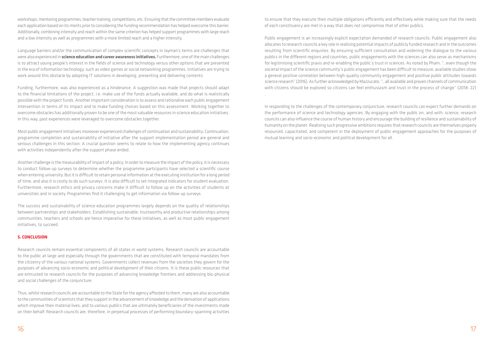workshops, mentoring programmes, teacher training, competitions, etc. Ensuring that the committee members evaluate each application based on its merits prior to considering the funding recommendation has helped overcome this barrier. Additionally, combining intensity and reach within the same criterion has helped support programmes with large reach and a low intensity as well as programmes with a more limited reach and a higher intensity.

Language barriers and/or the communication of complex scientific concepts in layman's terms are challenges that were also experienced in **science education and career awareness initiatives.** Furthermore, one of the main challenges is to attract young people's interest in the fields of science and technology versus other options that are presented in the era of information technology, such as video games or social networking programmes. Initiatives are trying to work around this obstacle by adopting IT solutions in developing, presenting and delivering contents.

Funding, furthermore, was also experienced as a hinderance. A suggestion was made that projects should adapt to the financial limitations of the project, i.e. make use of the funds actually available, and do what is realistically possible with the project funds. Another important consideration is to assess and rationalise each public engagement intervention in terms of its impact and to make funding choices based on this assessment. Working together to overcome obstacles has additionally proven to be one of the most valuable resources in science education initiatives. In this way, past experiences were leveraged to overcome obstacles together.

Most public engagement initiatives moreover experienced challenges of continuation and sustainability; Continuation, programme completion and sustainability of initiative after the support implementation period are general and serious challenges in this section. A crucial question seems to relate to how the implementing agency continues with activities independently after the support phase ended.

Another challenge is the measurability of impact of a policy; In order to measure the impact of the policy, it is necessary to conduct follow-up surveys to determine whether the programme participants have selected a scientific course when entering university. But it is difficult to retain personal information at the executing institution for a long period of time, and also it is costly to do such surveys. It is also difficult to set integrated indicators for student evaluation. Furthermore, research ethics and privacy concerns make it difficult to follow up on the activities of students at universities and in society. Programmes find it challenging to get information via follow-up surveys.

The success and sustainability of science education programmes largely depends on the quality of relationships between partnerships and stakeholders. Establishing sustainable, trustworthy and productive relationships among communities, teachers and schools are hence imperative for these initiatives, as well as most public engagement initiatives, to succeed.

#### **5. CONCLUSION**

Research councils remain essential components of all states in world systems. Research councils are accountable to the public at large and especially through the governments that are constituted with temporal mandates from the citizenry of the various national systems. Governments collect revenues from the societies they govern for the purposes of advancing socio-economic and political development of their citizens. It is these public resources that are entrusted to research councils for the purposes of advancing knowledge frontiers and addressing bio-physical and social challenges of the conjuncture.

Thus, whilst research councils are accountable to the State for the agency afforded to them, many are also accountable to the communities of scientists that they support in the advancement of knowledge and the derivation of applications which improve their material lives; and to various publics that are ultimately beneficiaries of the investments made on their behalf. Research councils are, therefore, in perpetual processes of performing boundary-spanning activities

to ensure that they execute their multiple obligations efficiently and effectively while making sure that the needs of each constituency are met in a way that does not compromise that of other publics.

Public engagement is an increasingly explicit expectation demanded of research councils. Public engagement also allocates to research councils a key role in realising potential impacts of publicly funded research and in the outcomes resulting from scientific enquiries. By ensuring sufficient consultation and widening the dialogue to the various publics in the different regions and countries, public engagements with the sciences can also serve as mechanisms for legitimising scientific praxis and re-enabling the public's trust in sciences. As noted by Pham, "…even though the societal impact of the science community's public engagement has been difficult to measure, available studies show a general positive correlation between high-quality community engagement and positive public attitudes towards science research" (2016). As further acknowledged by Mazzucato, "…all available and proven channels of communication with citizens should be explored so citizens can feel enthusiasm and trust in the process of change" (2018: 22) .

In responding to the challenges of the contemporary conjuncture, research councils can expect further demands on the performance of science and technology agencies. By engaging with the public on, and with, science, research councils can also influence the course of human history and encourage the building of resilience and sustainability of humanity on the planet. Realising such progressive ambitions requires that research councils are themselves properly resourced, capacitated, and competent in the deployment of public engagement approaches for the purposes of mutual learning and socio-economic and political development for all.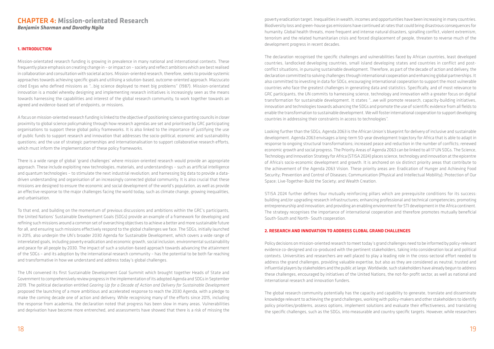#### **1. INTRODUCTION**

Mission-orientated research funding is growing in prevalence in many national and international contexts. These frequently place emphasis on creating change in – or impact on – society and reflect ambitions which are best realised in collaboration and consultation with societal actors. Mission-oriented research, therefore, seeks to provide systemic approaches towards achieving specific goals and utilising a solution-based, outcome-oriented approach. Mazzucato cited Ergas who defined missions as "…big science deployed to meet big problems" (1987). Mission-orientated innovation is a model whereby designing and implementing research initiatives is increasingly seen as the means towards harnessing the capabilities and interest of the global research community, to work together towards an agreed and evidence-based set of endpoints, or missions.

A focus on mission-oriented research funding is linked to the objective of positioning science granting councils in closer proximity to global science policymaking through how research agendas are set and prioritised by GRC participating organisations to support these global policy frameworks. It is also linked to the importance of justifying the use of public funds to support research and innovation that addresses the socio-political, economic and sustainability questions; and the use of strategic partnerships and internationalisation to support collaborative research efforts, which must inform the implementation of these policy frameworks.

There is a wide range of global 'grand challenges' where mission-oriented research would provide an appropriate approach. These include exploiting new technologies, materials, and understandings – such as artificial intelligence and quantum technologies – to stimulate the next industrial revolution; and harnessing big data to provide a datadriven understanding and organisation of an increasingly connected global community. It is also crucial that these missions are designed to ensure the economic and social development of the world's population, as well as provide an effective response to the major challenges facing the world today, such as climate change, growing inequalities, and urbanisation.

To that end, and building on the momentum of previous discussions and ambitions within the GRC's participants, the United Nations' Sustainable Development Goals (SDGs) provide an example of a framework for developing and refining such missions around a common set of overarching objectives to achieve a better and more sustainable future for all, and ensuring such missions effectively respond to the global challenges we face. The SDGs, initially launched in 2015, also underpin the UN's broader 2030 Agenda for Sustainable Development, which covers a wide range of interrelated goals, including poverty eradication and economic growth, social inclusion, environmental sustainability and peace for all people by 2030. The impact of such a solution-based approach towards advancing the attainment of the SDGs – and its adoption by the international research community – has the potential to be both far reaching and transformative in how we understand and address today's global challenges.

The UN convened its first Sustainable Development Goal Summit which brought together Heads of State and Government to comprehensively review progress in the implementation of its adopted Agenda and SDGs in September 2019. The political declaration entitled *Gearing Up for a Decade of Action and Delivery for Sustainable Development* proposed the launching of a more ambitious and accelerated response to reach the 2030 Agenda, with a pledge to make the coming decade one of action and delivery. While recognising many of the efforts since 2015, including the response from academia, the declaration noted that progress has been slow in many areas. Vulnerabilities and deprivation have become more entrenched, and assessments have showed that there is a risk of missing the

# CHAPTER 4: **Mission-orientated Research** *Benjamin Sharman and Dorothy Ngila*

poverty eradication target. Inequalities in wealth, incomes and opportunities have been increasing in many countries. Biodiversity loss and green-house gas emissions have continued at rates that could bring disastrous consequences for humanity. Global health threats, more frequent and intense natural disasters, spiralling conflict, violent extremism, terrorism and the related humanitarian crisis and forced displacement of people, threaten to reverse much of the development progress in recent decades.

The declaration recognised the specific challenges and vulnerabilities faced by African countries, least developed countries, landlocked developing countries, small island developing states and countries in conflict and postconflict situations, in pursuing sustainable development. Therefore, as part of the decade of action and delivery, the declaration committed to solving challenges through international cooperation and enhancing global partnerships. It also committed to investing in data for SDGs, encouraging international cooperation to support the most vulnerable countries who face the greatest challenges in generating data and statistics. Specifically, and of most relevance to GRC participants, the UN commits to harnessing science, technology and innovation with a greater focus on digital transformation for sustainable development. It states "…we will promote research, capacity-building initiatives, innovation and technologies towards advancing the SDGs and promote the use of scientific evidence from all fields to enable the transformation to sustainable development. We will foster international cooperation to support developing countries in addressing their constraints in access to technologies".

Looking further than the SDGs, Agenda 2063 is the African Union's blueprint for delivery of inclusive and sustainable development. Agenda 2063 envisages a long-term 50-year development trajectory for Africa that is able to adapt in response to ongoing structural transformations; increased peace and reduction in the number of conflicts; renewed economic growth and social progress. The Priority Areas of Agenda 2063 can be linked to all 17 UN SDGs. The Science, Technology and Innovation Strategy for Africa (STISA 2024) places science, technology and innovation at the epicentre of Africa's socio-economic development and growth. It is anchored on six distinct priority areas that contribute to the achievement of the Agenda 2063 Vision. These priority areas are: Eradication of Hunger and Achieving Food Security; Prevention and Control of Diseases; Communication (Physical and Intellectual Mobility); Protection of Our Space; Live-Together-Build the Society; and Wealth Creation.

STISA 2024 further defines four mutually reinforcing pillars which are prerequisite conditions for its success: building and/or upgrading research infrastructures; enhancing professional and technical competencies; promoting entrepreneurship and innovation; and providing an enabling environment for STI development in the Africa continent. The strategy recognises the importance of international cooperation and therefore promotes mutually beneficial South-South and North- South cooperation.

# **2. RESEARCH AND INNOVATION TO ADDRESS GLOBAL GRAND CHALLENGES**

Policy decisions on mission-oriented research to meet today's grand challenges need to be informed by policy-relevant evidence co-designed and co-produced with the pertinent stakeholders, taking into consideration local and political contexts. Universities and researchers are well placed to play a leading role in the cross-sectoral effort needed to address the grand challenges, providing valuable expertise, but also as they are considered as neutral, trusted and influential players by stakeholders and the public at large. Worldwide, such stakeholders have already begun to address these challenges, encouraged by initiatives of the United Nations, the not-for-profit sector, as well as national and international research and innovation funders.

The global research community potentially has the capacity and capability to generate, translate and disseminate knowledge relevant to achieving the grand challenges, working with policy-makers and other stakeholders to identify policy priorities/problems, assess options, implement solutions and evaluate their effectiveness, and translating the specific challenges, such as the SDGs, into measurable and country specific targets. However, while researchers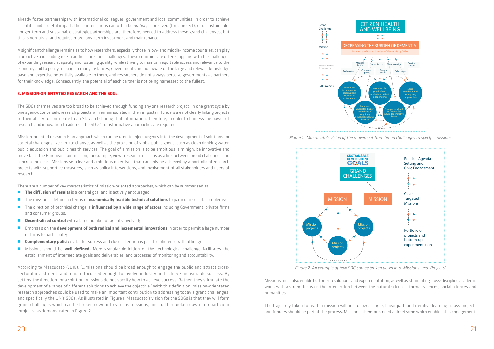already foster partnerships with international colleagues, government and local communities, in order to achieve scientific and societal impact, these interactions can often be *ad hoc,* short-lived (for a project), or unsustainable. Longer-term and sustainable strategic partnerships are, therefore, needed to address these grand challenges, but this is non-trivial and requires more long-term investment and maintenance.

A significant challenge remains as to how researchers, especially those in low- and middle-income countries, can play a proactive and leading role in addressing grand challenges. These countries are often grappling with the challenges of expanding research capacity and fostering quality, while striving to maintain equitable access and relevance to the economy and to policy making. In many instances, governments are not aware of the large and relevant knowledge base and expertise potentially available to them, and researchers do not always perceive governments as partners for their knowledge. Consequently, the potential of each partner is not being harnessed to the fullest.

#### **3. MISSION-ORIENTATED RESEARCH AND THE SDGs**

The SDGs themselves are too broad to be achieved through funding any one research project, in one grant cycle by one agency. Conversely, research projects will remain isolated in their impacts if funders are not clearly linking projects to their ability to contribute to an SDG and sharing that information. Therefore, in order to harness the power of research and innovation to address the SDGs' transformative approaches are required.

- **The diffusion of results** is a central goal and is actively encouraged;
- O The mission is defined in terms of **economically feasible technical solutions** to particular societal problems;
- O The direction of technical change is **influenced by a wide range of actors** including Government, private firms and consumer groups;
- **O Decentralised control** with a large number of agents involved;
- O Emphasis on the **development of both radical and incremental innovations** in order to permit a large number of firms to participate;
- **Complementary policies** vital for success and close attention is paid to coherence with other goals;
- O Missions should be **well defined.** More granular definition of the technological challenge facilitates the establishment of intermediate goals and deliverables, and processes of monitoring and accountability.

Mission-oriented research is an approach which can be used to inject urgency into the development of solutions for societal challenges like climate change, as well as the provision of global public goods, such as clean drinking water, public education and public health services. The goal of a mission is to be ambitious, aim high, be innovative and move fast. The European Commission, for example, views research missions as a link between broad challenges and concrete projects. Missions set clear and ambitious objectives that can only be achieved by a portfolio of research projects with supportive measures, such as policy interventions, and involvement of all stakeholders and users of research.

There are a number of key characteristics of mission-oriented approaches, which can be summarised as:

According to Mazzucato (2018), "…missions should be broad enough to engage the public and attract crosssectoral investment; and remain focussed enough to involve industry and achieve measurable success. By setting the direction for a solution, missions do not specify how to achieve success. Rather, they stimulate the development of a range of different solutions to achieve the objective." With this definition, mission-orientated research approaches could be used to make an important contribution to addressing today's grand challenges, and specifically the UN's SDGs. As illustrated in Figure 1, Mazzucato's vision for the SDGs is that they will form grand challenges which can be broken down into various missions, and further broken down into particular 'projects' as demonstrated in Figure 2.

Missions must also enable bottom-up solutions and experimentation, as well as stimulating cross-discipline academic work, with a strong focus on the intersection between the natural sciences, formal sciences, social sciences and humanities.

The trajectory taken to reach a mission will not follow a single, linear path and iterative learning across projects and funders should be part of the process. Missions, therefore, need a timeframe which enables this engagement,



*Figure 1. Mazzucato's vision of the movement from broad challenges to specific missions*



*Figure 2. An example of how SDG can be broken down into 'Missions' and 'Projects'*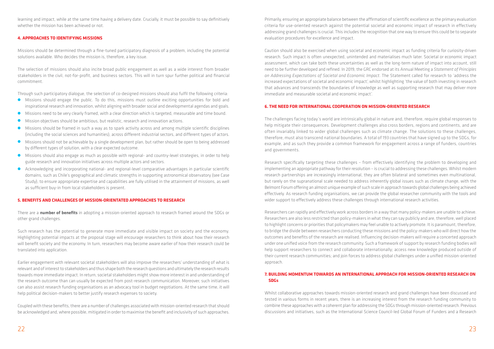learning and impact, while at the same time having a delivery date. Crucially, it must be possible to say definitively whether the mission has been achieved or not.

#### **4. APPROACHES TO IDENTIFYING MISSIONS**

Missions should be determined through a fine-tuned participatory diagnosis of a problem, including the potential solutions available. Who decides the mission is, therefore, a key issue.

The selection of missions should also incite broad public engagement as well as a wide interest from broader stakeholders in the civil, not-for-profit, and business sectors. This will in turn spur further political and financial commitment.

Through such participatory dialogue, the selection of co-designed missions should also fulfil the following criteria:

- O Missions should engage the public. To do this, missions must outline exciting opportunities for bold and inspirational research and innovation, whilst aligning with broader social and developmental agendas and goals.
- O Missions need to be very clearly framed, with a clear direction which is targeted, measurable and time bound.
- O Mission objectives should be ambitious, but realistic, research and innovation actions.
- O Missions should be framed in such a way as to spark activity across and among multiple scientific disciplines (including the social sciences and humanities), across different industrial sectors, and different types of actors.
- O Missions should not be achievable by a single development plan, but rather should be open to being addressed by different types of solution, with a clear expected outcome.
- O Missions should also engage as much as possible with regional- and country-level strategies, in order to help guide research and innovation initiatives across multiple actors and sectors.
- O Acknowledging and incorporating national- and regional-level comparative advantages in particular scientific domains, such as Chile's geographical and climatic strengths in supporting astronomical observatory (see Case Study), to ensure appropriate expertise and capabilities are fully utilised in the attainment of missions, as well as sufficient buy-in from local stakeholders is present.

#### **5. BENEFITS AND CHALLENGES OF MISSION-ORIENTATED APPROACHES TO RESEARCH**

There are a **number of benefits** in adopting a mission-oriented approach to research framed around the SDGs or other grand challenges.

Such research has the potential to generate more immediate and visible impact on society and the economy. Highlighting potential impacts at the proposal stage will encourage researchers to think about how their research will benefit society and the economy. In turn, researchers may become aware earlier of how their research could be translated into application.

Earlier engagement with relevant societal stakeholders will also improve the researchers' understanding of what is relevant and of interest to stakeholders and thus shape both the research questions and ultimately the research results towards more immediate impact. In return, societal stakeholders might show more interest in and understanding of the research outcome than can usually be expected from post-research communication. Moreover, such initiatives can also assist research funding organisations as an advocacy tool in budget negotiations. At the same time, it will help political decision-makers to better justify research expenses to society.

Coupled with these benefits, there are a number of challenges associated with mission-oriented research that should be acknowledged and, where possible, mitigated in order to maximise the benefit and inclusivity of such approaches.

Primarily, ensuring an appropriate balance between the affirmation of scientific excellence as the primary evaluation criteria for use-oriented research against the potential societal and economic impact of research in effectively addressing grand challenges is crucial. This includes the recognition that one way to ensure this could be to separate evaluation procedures for excellence and impact.

Caution should also be exercised when using societal and economic impact as funding criteria for curiosity-driven research. Such impact is often unexpected, unintended and materialises much later. Societal or economic impact assessment, which can take both these uncertainties as well as the long-term nature of impact into account, still need to be further developed and refined. In 2019, the GRC endorsed at its Annual Meeting a *Statement of Principles on Addressing Expectations of Societal and Economic Impact*. The Statement called for research to 'address the increased expectations of societal and economic impact', whilst highlighting 'the value of both investing in research that advances and transcends the boundaries of knowledge as well as supporting research that may deliver more immediate and measurable societal and economic impact'.

# **6. THE NEED FOR INTERNATIONAL COOPERATION ON MISSION-ORIENTED RESEARCH**

The challenges facing today's world are intrinsically global in nature and, therefore, require global responses to help mitigate their consequences. Development challenges also cross borders, regions and continents, and are often invariably linked to wider global challenges such as climate change. The solutions to these challenges, therefore, must also transcend national boundaries. A total of 193 countries that have signed up to the SDGs, for example, and as such they provide a common framework for engagement across a range of funders, countries and governments.

Research specifically targeting these challenges – from effectively identifying the problem to developing and implementing an appropriate pathway for their resolution – is crucial to addressing these challenges. Whilst modern research partnerships are increasingly international, they are often bilateral and sometimes even multinational, but rarely on the supranational scale needed to address inherently global issues such as climate change, with the Belmont Forum offering an almost unique example of such scale in approach towards global challenges being achieved effectively. As research funding organisations, we can provide the global researcher community with the tools and wider support to effectively address these challenges through international research activities.

Researchers can rapidly and effectively work across borders in a way that many policy-makers are unable to achieve. Researchers are also less restricted than policy-makers in what they can say publicly and are, therefore, well placed to highlight concerns or priorities that policymakers may feel unable to actively promote. It is paramount, therefore, to bridge the divide between researchers conducting these missions and the policy-makers who will direct how the outcomes and benefits of the research are realised. Influencing decision-makers will require a concerted approach under one unified voice from the research community. Such a framework of support by research funding bodies will help support researchers to connect and collaborate internationally; access new knowledge produced outside of their current research communities; and join forces to address global challenges under a unified mission-oriented approach.

# **7. BUILDING MOMENTUM TOWARDS AN INTERNATIONAL APPROACH FOR MISSION-ORIENTED RESEARCH ON SDGs**

Whilst collaborative approaches towards mission-oriented research and grand challenges have been discussed and tested in various forms in recent years, there is an increasing interest from the research funding community to combine these approaches with a coherent plan for addressing the SDGs through mission-oriented research. Previous discussions and initiatives, such as the International Science Council-led Global Forum of Funders and a Research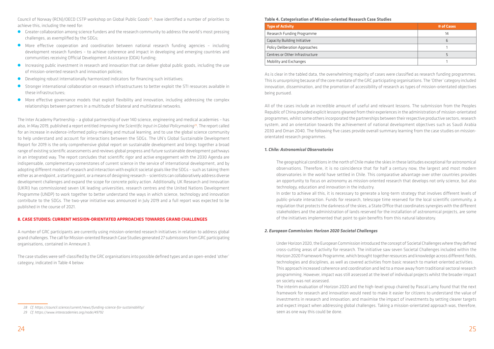Council of Norway (RCN)/OECD CSTP workshop on Global Public Goods<sup>28</sup>, have identified a number of priorities to achieve this, including the need for:

- O Greater collaboration among science funders and the research community to address the world's most pressing challenges, as exemplified by the SDGs;
- O More effective cooperation and coordination between national research funding agencies including development research funders – to achieve coherence and impact in developing and emerging countries and communities receiving Official Development Assistance (ODA) funding;
- O Increasing public investment in research and innovation that can deliver global public goods, including the use of mission-oriented research and innovation policies;
- O Developing robust internationally harmonized indicators for financing such initiatives;
- O Stronger international collaboration on research infrastructures to better exploit the STI resources available in these infrastructures;
- O More effective governance models that exploit flexibility and innovation, including addressing the complex relationships between partners in a multitude of bilateral and multilateral networks.

The Inter Academy Partnership – a global partnership of over 140 science, engineering and medical academies – has also, in May 2019, published a report entitled *[Improving the Scientific Input](https://www.interacademies.org/36061/Improving-Scientific-Input-to-Global-Policymaking-with-a-focus-on-the-UN-Sustainable-Development-Goals) in Global Policymaking*29. The report called for an increase in evidence-informed policy-making and mutual learning, and to use the global science community to help understand and account for interactions between the SDGs. The UN's Global Sustainable Development Report for 2019 is the only comprehensive global report on sustainable development and brings together a broad range of existing scientific assessments and reviews global progress and future sustainable development pathways in an integrated way. The report concludes that scientific rigor and active engagement with the 2030 Agenda are indispensable, complementary cornerstones of current science in the service of international development, and by adopting different modes of research and interaction with explicit societal goals like the SDGs – such as taking them either as an endpoint, a starting point, or a means of designing research – scientists can collaboratively address diverse development challenges and expand the scope for concrete policy action. Additionally, UK Research and Innovation (UKRI) has commissioned seven UK leading universities, research centres and the United Nations Development Programme (UNDP) to work together to better understand the ways in which science, technology and innovation contribute to the SDGs. The two-year initiative was announced in July 2019 and a full report was expected to be published in the course of 2021.

#### **8. CASE STUDIES: CURRENT MISSION-ORIENTATED APPROACHES TOWARDS GRAND CHALLENGES**

A number of GRC participants are currently using mission-oriented research initiatives in relation to address global grand challenges. The call for Mission-oriented Research Case Studies generated 27 submissions from GRC participating organisations, contained in Annexure 3.

The case studies were self-classified by the GRC organisations into possible defined types and an open-ended 'other' category, indicated in Table 4 below:

# **Table 4. Categorisation of Mission-oriented Research Case Studies**

| <b>Type of Activity</b>         | # of Cases |
|---------------------------------|------------|
| Research Funding Programme      | 14         |
| Capacity Building Initiative    | b          |
| Policy Deliberation Approaches  |            |
| Centres or Other Infrastructure |            |
| Mobility and Exchanges          |            |

As is clear in the tabled data, the overwhelming majority of cases were classified as research funding programmes. This is unsurprising because of the core mandate of the GRC participating organisations. The 'Other' category included innovation, dissemination, and the promotion of accessibility of research as types of mission-orientated objectives being pursued.

All of the cases include an incredible amount of useful and relevant lessons. The submission from the Peoples Republic of China provided explicit lessons gleaned from their experiences in the administration of mission-orientated programmes, whilst some others incorporated the partnerships between their respective productive sectors, research system, and an orientation towards the achievement of national development objectives such as Saudi Arabia 2030 and Oman 2040. The following five cases provide overall summary learning from the case studies on missionorientated research programmes.

### *1. Chile: Astronomical Observatories*

The geographical conditions in the north of Chile make the skies in these latitudes exceptional for astronomical observations. Therefore, it is no coincidence that for half a century now, the largest and most modern observatories in the world have settled in Chile. This comparative advantage over other countries provides an opportunity to focus on astronomy as mission-oriented research that develops not only science, but also technology, education and innovation in the industry. In order to achieve all this, it is necessary to generate a long-term strategy that involves different levels of public-private interaction. Funds for research, telescope time reserved for the local scientific community, a regulation that protects the darkness of the skies, a State Office that coordinates synergies with the different stakeholders and the administration of lands reserved for the installation of astronomical projects, are some of the initiatives implemented that point to gain benefits from this natural laboratory.

# *2. European Commission: Horizon 2020 Societal Challenges*

Under Horizon 2020, the European Commission introduced the concept of Societal Challenges where they defined cross-cutting areas of activity for research. The initiative saw seven Societal Challenges included within the Horizon 2020 Framework Programme, which brought together resources and knowledge across different fields, technologies and disciplines, as well as covered activities from basic research to market-oriented activities. This approach increased coherence and coordination and led to a move away from traditional sectoral research programming. However, impact was still assessed at the level of individual projects whilst the broader impact on society was not assessed.

The interim evaluation of Horizon 2020 and the high-level group chaired by Pascal Lamy found that the next framework for research and innovation would need to make it easier for citizens to understand the value of investments in research and innovation; and maximise the impact of investments by setting clearer targets and expect impact when addressing global challenges. Taking a mission-orientated approach was, therefore, seen as one way this could be done.

*<sup>28</sup> Cf.<https://council.science/current/news/funding-science-for-sustainability/>*

*<sup>29</sup> Cf.<https://www.interacademies.org/node/49792>*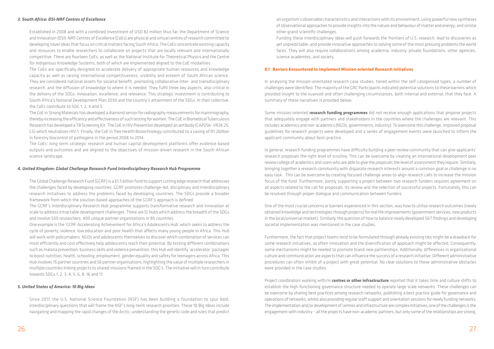#### *3. South Africa: DSI-NRF Centres of Excellence*

Established in 2008 and with a combined investment of USD 82 million thus far, the Department of Science and Innovation (DSI)-NRF Centres of Excellence (CoEs) are physical and virtual centres of research committed to developing novel ideas that focus on critical matters facing South Africa. The CoEs concentrate existing capacity and resources to enable researchers to collaborate on projects that are locally relevant and internationally competitive. There are fourteen CoEs, as well as the National Institute for Theoretical Physics and the Centre for Indigenous Knowledge Systems, both of which are implemented aligned to the CoE modalities.

The CoEs are specifically designed to accelerate delivery of appropriate human resources and knowledge capacity as well as raising international competitiveness, visibility and esteem of South African science. They are considered national assets for societal benefit, promoting collaborative inter- and transdisciplinary research, and the diffusion of knowledge to where it is needed. They fulfil three key aspects, also critical in the delivery of the SDGs: innovation, excellence, and relevance. This strategic investment is contributing to South Africa's National Development Plan 2030 and the country's attainment of the SDGs. In their collective, the CoEs contribute to SDG 1, 2, 4 and 5.

The CoE in Strong Materials has developed a diamond sensor for radiography measurements for mammography, thereby increasing the efficiency and effectiveness of such testing for women. The CoE in Biomedical Tuberculosis Research has developed a TB Screening Kit. The CoE in HIV Prevention developed an antibody (CAP256- VR26.25. LS) which neutralizes HIV-1. Finally, the CoE in Tree Health Biotechnology contributed to a saving of R1.2billion in forestry biocontrol of pathogens in the period 2008 to 2014.

The CoEs' long-term strategic research and human capital development platforms offer evidence-based outputs and outcomes and are aligned to the objectives of mission-driven research in the South African science landscape.

#### *4. United Kingdom: Global Challenge Research Fund Interdisciplinary Research Hub Programme*

The Global Challenge Research Fund (GCRF) is a £1.5 billion fund to support cutting edge research that addresses the challenges faced by developing countries. GCRF promotes challenge-led, disciplinary and interdisciplinary research initiatives to address the problems faced by developing countries. The SDGs provide a broader framework from which the solution-based approaches of the GCRF's approach is defined.

The GCRF's Interdisciplinary Research Hub programme supports transformative research and innovation at scale to address intractable development challenges. There are 12 Hubs which address the breadth of the SDGs and involve 550 researchers, 400 unique partner organisations in 85 countries.

One example is the 'GCRF Accelerating Achievement for Africa's Adolescents Hub' which seeks to address the cycle of poverty, violence, low education and poor health that affects many young people in Africa. This Hub will work with policymakers, NGOs and adolescents themselves to discover which combination of services can most efficiently and cost effectively help adolescents reach their potential. By testing different combinations such as malaria prevention, business skills and violence prevention, this Hub will identify 'accelerator' packages to boost nutrition, health, schooling, employment, gender equality and safety for teenagers across Africa. This Hub involves 15 partner countries and 56 partner organisations, highlighting the value of multiple researchers in multiple countries linking projects to shared missions framed in the SDG's. The initiative will in turn contribute towards SDGs 1, 2, 3, 4, 5, 6, 8, 16 and 17.

#### *5. United States of America: 10 Big Ideas*

Since 2017, the U.S. National Science Foundation (NSF) has been building a foundation to spur bold, interdisciplinary questions that will frame the NSF's long-term research priorities. These 10 Big Ideas include navigating and mapping the rapid changes of the Arctic; understanding the genetic code and rules that predict

an organism's observable characteristics and interactions with its environment; using powerful new syntheses of observational approaches to provide insights into the nature and behaviour of matter and energy; and similar other grand scientific challenges.

Funding these interdisciplinary ideas will push forwards the frontiers of U.S. research, lead to discoveries as yet unpredictable, and provide innovative approaches to solving some of the most pressing problems the world faces. They will also require collaborations among academia, industry, private foundations, other agencies, science academies, and society.

# **8.1 Barriers Encountered to Implement Mission-oriented Research Initiatives**

In analysing the mission-orientated research case studies, tiered within the self-categorised types, a number of challenges were identified. The majority of the GRC Participants indicated potential solutions to these barriers which provided insight to the nuanced and often challenging circumstances, both internal and external, that they face. A summary of these narratives is provided below:

Some mission-oriented **research funding programmes** did not receive enough applications that propose projects that adequately engage with partners and stakeholders in the countries where the challenges are relevant. This includes academics and non-academics (NGOs, governments, industry). To overcome this challenge, improved proposal guidelines for research projects were developed and a series of engagement events were launched to inform the applicant community about best-practice.

In general, research funding programmes have difficulty building a peer review community that can give applicants' research proposals the right level of scrutiny. This can be overcome by creating an international development peer review college of academics and users who are able to give the proposals the level of assessment they require. Similarly, bringing together a research community with disparate research interests around a common goal or challenge is no easy task. This can be overcome by creating focused challenge areas to align research calls to increase the mission focus of the fund. Furthermore, jointly supporting a project between two research funders requires agreement on all aspects related to the call for proposals, its review and the selection of successful projects. Fortunately, this can be resolved through proper dialogue and communication between funders.

One of the most crucial concerns or barriers experienced in this section, was how to utilise research outcomes (newly obtained knowledge and technologies through projects) for real life improvements (government services, new products in the local/universal market). Similarly, the question of how to balance newly developed S&T findings and developing societal implementation was mentioned in the case studies.

Furthermore, the fact that project teams tend to be formulated through already existing ties might be a drawback for some research initiatives, as often innovation and the diversification of approach might be affected. Consequently, some mechanisms might be needed to promote brand new partnerships. Additionally, differences in organisational culture and communication are aspects that can influence the success of a research initiative. Different administrative procedures can often inhibit of a project with great potential. No clear solutions to these administrative obstacles were provided in the case studies.

Project coordinators working with/in **centres or other infrastructure** reported that it takes time and culture shifts to establish the high-functioning governance structure needed to operate large scale networks. These challenges can be overcome by sharing best practices among research networks, publishing a best practice guide for governance and operations of networks, whilst also providing regular staff support and orientation sessions for newly funding networks. The implementation and/or development of centres and infrastructure are complex initiatives; one of the challenges is the engagement with industry – all the projects have non-academic partners, but only some of the relationships are strong.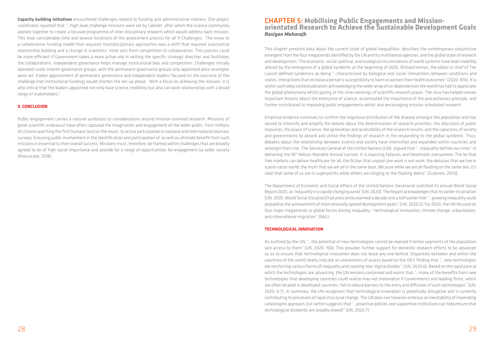**Capacity building initiatives** encountered challenges related to funding and administrative matters. One project coordinator reported that "…high-level challenge missions were set by Cabinet, after which the science community worked together to create a focused programme of inter-disciplinary research which would address each mission. This took considerable time and several iterations of the assessment process for all 11 Challenges. The move to a collaborative funding model that required multidisciplinary approaches was a shift that required substantial relationship building and a change in scientists' mind sets from competition to collaboration. This process could be more efficient if Government takes a more active role in setting the specific strategic direction and facilitates the collaborations. Independent governance helps manage institutional bias and competition. Challenges initially operated under interim governance groups, with the permanent governance groups only appointed once strategies were set. Earlier appointment of permanent governance and independent leaders focused on the outcome of the challenge (not institutional funding) would shorten the set-up phase. With a focus on achieving the mission, it is also critical that the leaders appointed not only have science credibility but also can work relationships with a broad range of stakeholders."

Public engagement carries a natural symbiosis to considerations around mission-oriented research. Missions of great scientific endeavour have often captured the imagination and engagement of the wider public, from millions of citizens watching the first humans land on the moon, to active participation in national and international biomass surveys. Ensuring public involvement in the identification and participation of, as well as ultimate benefit from such missions is essential to their overall success. Missions must, therefore, be framed within challenges that are broadly agreed to be of high social importance and provide for a range of opportunities for engagement by wider society (Mazzucato, 2018).

#### **9. CONCLUSION**

# CHAPTER 5: **Mobilising Public Engagements and Mission- orientated Research to Achieve the Sustainable Development Goals** *Rasigan Maharajh*

This chapter presents data about the current state of global inequalities; describes the contemporary conjuncture emergent from the four megatrends identified by the UN and its multilateral agencies; and the global state of research and development. The economic, social, political, and ecological circumstances of world systems have been indelibly altered by the emergence of a global syndemic at the beginning of 2020. Richard Horton, the editor in chief of The Lancet defined syndemics as being "…characterised by biological and social interactions between conditions and states, interactions that increase a person's susceptibility to harm or worsen their health outcomes" (2020: 874). It is within such deep contextualisation acknowledging the wider array of co-dependencies the world has had to appreciate the global phenomena whilst gazing at the inner workings of scientific research praxis. The virus has helped convey important lessons about the enterprise of science, accentuated the importance of the precautionary principle, and further contributed to improving public engagements whilst also encouraging mission-orientated research.

Empirical evidence continues to confirm the iniquitous distribution of the disease amongst the population and has served to intensify and amplify the debate about the determination of research priorities, the allocation of public resources, the praxis of science, the generation and accessibility of the research results, and the capacities of society and governments to absorb and utilise the findings of research in the responding to the global syndemic. Thus, debates about the relationship between science and society have intensified and expanded within countries and amongst them too. The Secretary General of the United Nations (UN), argued that "…inequality defines our time," in delivering the 18th Nelson Mandela Annual Lecture. It is exposing fallacies and falsehoods everywhere: The lie that free markets can deliver healthcare for all; the fiction that unpaid care work is not work; the delusion that we live in a post-racist world; the myth that we are all in the same boat. Because while we are all floating on the same sea, it's clear that some of us are in superyachts while others are clinging to the floating debris" (Guterres, 2020).

The Department of Economic and Social Affairs of the United Nations Secretariat subtitled its annual World Social Report 2020, as *'Inequality in a rapidly changing world'* (UN, 2020). The Report acknowledges that its earlier incarnation [UN. 2005. World Social Situation] had presciently warmed a decade and a half earlier that "…growing inequality could jeopardise the achievement of internationally agreed development goals" (UN, 2020:2). For 2020, the UN focused on four major megatrends or global forces driving inequality: "technological innovation, climate change, urbanisation, and international migration" (ibid.).

### **TECHNOLOGICAL INNOVATION**

As outlined by the UN, "…the potential of new technologies cannot be realized if entire segments of the population lack access to them" (UN, 2020: 150). This provides further support for domestic research efforts to be advanced so as to ensure that technological innovation does not leave any one behind. Disparities between and within the countries of the world clearly indicate an unevenness of access based on the UN's finding that "…new technologies are reinforcing various forms of inequality and creating new 'digital divides'" (UN, 2020:6). Based on the rapid pace at which the technologies are advancing, the UN remains concerned and warns that "…many of the benefits from new technologies that developing countries could realize may not materialize if Governments and leading firms, which are often located in developed countries, fail to reduce barriers to the entry and diffusion of such technologies" (UN, 2020: 6-7). In summary, the UN recognises that technological innovation is potentially disruptive and is currently contributing to processes of rapid structural change. The UN does not however embrace an inevitability of impending catastrophe approach, but rather suggests that "…proactive policies and supportive institutions can help ensure that technological dividends are broadly shared" (UN, 2020:7).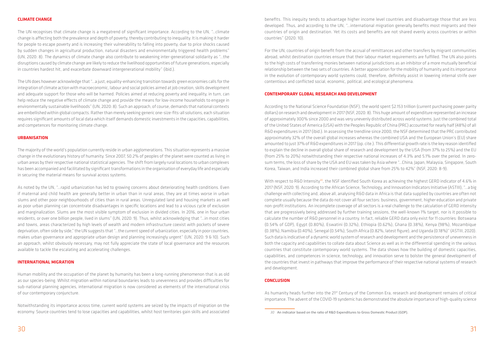#### **CLIMATE CHANGE**

The UN recognises that climate change is a megatrend of significant importance. According to the UN, "…climate change is affecting both the prevalence and depth of poverty, thereby contributing to inequality. It is making it harder for people to escape poverty and is increasing their vulnerability to falling into poverty, due to price shocks caused by sudden changes in agricultural production, natural disasters and environmentally triggered health problems" (UN, 2020: 8). The dynamics of climate change also contribute to weakening inter-generational solidarity as "…the disruptions caused by climate change are likely to reduce the livelihood opportunities of future generations, especially in countries hardest hit, and exacerbate downward intergenerational mobility" (ibid.).

The UN does however acknowledge that "…a just, equality-enhancing transition towards green economies calls for the integration of climate action with macroeconomic, labour and social policies aimed at job creation, skills development and adequate support for those who will be harmed. Policies aimed at reducing poverty and inequality, in turn, can help reduce the negative effects of climate change and provide the means for low-income households to engage in environmentally sustainable livelihoods" (UN, 2020: 8). Such an approach, of course, demands that national contexts are embellished within global compacts. Rather than merely seeking generic one-size-fits-all solutions, each situation requires significant amounts of local data which itself demands domestic investments in the capacities, capabilities, and competences for monitoring climate change.

#### **URBANISATION**

The majority of the world's population currently reside in urban agglomerations. This situation represents a massive change in the evolutionary history of humanity. Since 2007, 50.2% of peoples of the planet were counted as living in urban areas by their respective national statistical agencies. The shift from largely rural locations to urban complexes has been accompanied and facilitated by significant transformations in the organisation of everyday life and especially in securing the material means for survival across systems.

As noted by the UN, "…rapid urbanization has led to growing concerns about deteriorating health conditions. Even if maternal and child health are generally better in urban than in rural areas, they are at times worse in urban slums and other poor neighbourhoods of cities than in rural areas. Unregulated land and housing markets as well as poor urban planning can concentrate disadvantages in specific locations and lead to a vicious cycle of exclusion and marginalization. Slums are the most visible symptom of exclusion in divided cities. In 2016, one in four urban residents, or over one billion people, lived in slums" (UN, 2020: 9). Thus, whilst acknowledging that "…in most cities and towns, areas characterized by high levels of wealth and modern infrastructure coexist with pockets of severe deprivation, often side by side," the UN suggests that "…the current speed of urbanization, especially in poor countries, makes urban governance and appropriate urban design and planning increasingly urgent" (UN, 2020: 9 & 10). Such an approach, whilst obviously necessary, may not fully appreciate the state of local governance and the resources available to tackle the escalating and accelerating challenges.

#### **INTERNATIONAL MIGRATION**

Human mobility and the occupation of the planet by humanity has been a long-running phenomenon that is as old as our species-being. Whilst migration within national boundaries leads to unevenness and provides difficulties for sub-national planning agencies, international migration is now considered as elements of the international crisis of our contemporary conjuncture.

Notwithstanding its importance across time, current world systems are seized by the impacts of migration on the economy. Source countries tend to lose capacities and capabilities, whilst host territories gain skills and associated

With respect to R&D Intensity<sup>30</sup>, the NSF identified South Korea as achieving the highest GERD indicator of 4.6% in 2017 (NSF, 2020: 9). According to the African Science, Technology, and Innovation Indicators Initiative (ASTIII), "…a big challenge with collecting and, above all, analysing R&D data in Africa is that data supplied by countries are often not complete usually because the data do not cover all four sectors: business, government, higher education and private non-profit institutions. An incomplete coverage of all sectors is a real challenge to the calculation of GERD intensity that are progressively being addressed by further training sessions, the well-known 1% target, nor is it possible to calculate the number of R&D personnel in a country. In fact, reliable GERD data only exist for 11 countries: Botswana (0.54% of GDP), Egypt (0.80%), Eswatini (0.32%), Ethiopia (0.62%), Ghana (0.38%), Kenya (98%), Mozambique (0.38%), Namibia (0.40%), Senegal (0.54%), South Africa (0.82%, latest figure), and Uganda (0.18%)" (ASTIII, 2020). Such data is indicative of a dynamic world system of research and development and the persistence of unevenness in both the capacity and capabilities to collate data about Science as well as in the differential spending in the various countries that constitute contemporary world systems. The data shows how the building of domestic capacities, capabilities, and competences in science, technology, and innovation serve to bolster the general development of the countries that invest in pathways that improve the performance of their respective national systems of research and development.

As humanity heads further into the 21<sup>st</sup> Century of the Common Era, research and development remains of critical importance. The advent of the COVID-19 syndemic has demonstrated the absolute importance of high-quality science

benefits. This inequity tends to advantage higher income level countries and disadvantage those that are less developed. Thus, and according to the UN, "…international migration generally benefits most migrants and their countries of origin and destination. Yet its costs and benefits are not shared evenly across countries or within countries" (2020: 10).

For the UN, countries of origin benefit from the accrual of remittances and other transfers by migrant communities abroad, whilst destination countries ensure that their labour market requirements are fulfilled. The UN also points to the high costs of transferring monies between national jurisdictions as an inhibitor of a more mutually beneficial relationship between the two sets of countries. A better appreciation for the mobility of humanity and its importance in the evolution of contemporary world systems could, therefore, definitely assist in lowering internal strife over contentious and conflicted social, economic, political, and ecological phenomena.

#### **CONTEMPORARY GLOBAL RESEARCH AND DEVELOPMENT**

According to the National Science Foundation (NSF), the world spent \$2.153 trillion (current purchasing power parity dollars) on research and development in 2017 (NSF, 2020: 8). This huge amount of expenditure represented an increase of approximately 300% since 2000 and was very unevenly distributed across world systems. Just the combined total of the United States of America (USA) with the Peoples Republic of China (PRC) accounted for nearly half (48%) of all R&D expenditures in 2017 (ibid.). In assessing the trendline since 2000, the NSF determined that the PRC contributed approximately 32% of the overall global increases whereas the combined USA and the European Union's (EU) share amounted to just 37% of R&D expenditures in 2017 (op. cite.). This differential growth rate is the key reason identified to explain the decline in overall global share of research and development by the USA (from 37% to 25%) and the EU (from 25% to 20%) notwithstanding their respective national increases of 4.3% and 5.1% over the period. In zerosum terms, the loss of share by the USA and EU was taken by Asia where "…China, Japan, Malaysia, Singapore, South Korea, Taiwan, and India increased their combined global share from 25% to 42%" (NSF, 2020: 8-9).

#### **CONCLUSION**

*<sup>30</sup>* An indicator based on the ratio of R&D Expenditures to Gross Domestic Product (GDP).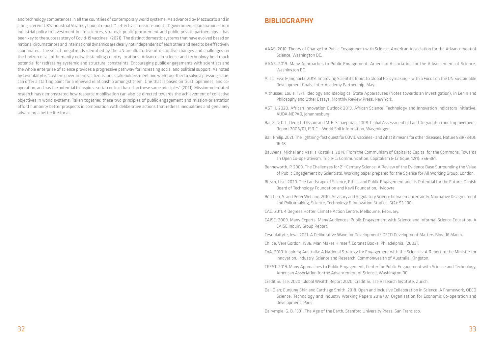and technology competences in all the countries of contemporary world systems. As advanced by Mazzucato and in citing a recent UK's Industrial Strategy Council report, "…effective, 'mission-oriented' government coordination – from industrial policy to investment in life sciences, strategic public procurement and public-private partnerships – has been key to the success story of Covid-19 vaccines" (2021). The distinct domestic systems that have evolved based on national circumstances and international dynamics are clearly not independent of each other and need to be effectively coordinated. The set of megatrends identified by the UN are illustrative of disruptive changes and challenges on the horizon of all of humanity notwithstanding country locations. Advances in science and technology hold much potential for redressing systemic and structural constraints. Encouraging public engagements with scientists and the whole enterprise of science provides a progressive pathway for increasing social and political support. As noted by Cesnulaityte, "…where governments, citizens, and stakeholders meet and work together to solve a pressing issue, can offer a starting point for a renewed relationship amongst them. One that is based on trust, openness, and cooperation, and has the potential to inspire a social contract based on these same principles" (2021). Mission-orientated research has demonstrated how resource mobilisation can also be directed towards the achievement of collective objectives in world systems. Taken together, these two principles of public engagement and mission-orientation afford humanity better prospects in combination with deliberative actions that redress inequalities and genuinely advancing a better life for all.

# **BIBLIOGRAPHY**

Althusser, Louis. 1971. Ideology and Ideological State Apparatuses (Notes towards an Investigation), in Lenin and

of Public Engagement by Scientists. Working paper prepared for the Science for All Working Group, London.

- AAAS. 2016. Theory of Change for Public Engagement with Science, American Association for the Advancement of Science, Washington DC.
- AAAS. 2019. Many Approaches to Public Engagement, American Association for the Advancement of Science, Washington DC.
- Alisic, Eva; & Jinghai Li. 2019. Improving Scientific Input to Global Policymaking with a Focus on the UN Sustainable Development Goals, Inter-Academy Partnership, May.
- Philosophy and Other Essays, Monthly Review Press, New York.
- ASTIII. 2020. African Innovation Outlook 2019, African Science, Technology and Innovation Indicators Initiative, AUDA-NEPAD, Johannesburg.
- Bai, Z. G; D. L. Dent; L. Olsson; and M. E. Schaepman. 2008. Global Assessment of Land Degradation and Improvement, Report 2008/01, ISRIC – World Soil Information, Wageningen.
- Ball, Philip. 2021. The lightning-fast quest for COVID vaccines and what it means for other diseases, Nature 589(7840): 16-18.
- Bauwens, Michel and Vasilis Kostakis. 2014. From the Communism of Capital to Capital for the Commons: Towards an Open Co-operativism, Triple-C: Communication, Capitalism & Critique, 12(1): 356-361.
- Benneworth, P. 2009. The Challenges for 21st Century Science: A Review of the Evidence Base Surrounding the Value
- Bitsch, Lise. 2020. The Landscape of Science, Ethics and Public Engagement and its Potential for the Future, Danish Board of Technology Foundation and Kavli Foundation, Hvidovre
- Böschen, S. and Peter Wehling. 2010. Advisory and Regulatory Science between Uncertainty, Normative Disagreement and Policymaking, Science, Technology & Innovation Studies, 6(2): 93-100.
- CAC. 2011. 4 Degrees Hotter, Climate Action Centre, Melbourne, February.
- CAISE. 2009. Many Experts, Many Audiences: Public Engagement with Science and Informal Science Education. A CAISE Inquiry Group Report,
- Cesnulaityte, Ieva. 2021. A Deliberative Wave for Development? OECD Development Matters Blog, 16 March.
- Childe, Vere Gordon. 1936. Man Makes Himself, Coronet Books, Philadelphia, [2003].
- CoA. 2010. Inspiring Australia: A National Strategy for Engagement with the Sciences: A Report to the Minister for Innovation, Industry, Science and Research, Commonwealth of Australia, Kingston.
- CPEST. 2019. Many Approaches to Public Engagement, Center for Public Engagement with Science and Technology, American Association for the Advancement of Science, Washington DC.
- Credit Suisse. 2020. Global Wealth Report 2020, Credit Suisse Research Institute, Zurich.
- Dai, Qian; Eunjung Shin and Carthage Smith. 2018. Open and Inclusive Collaboration in Science: A Framework, OECD Development, Paris.
- Dalrymple, G. B. 1991. The Age of the Earth, Stanford University Press, San Francisco.

Science, Technology and Industry Working Papers 2018/07, Organisation for Economic Co-operation and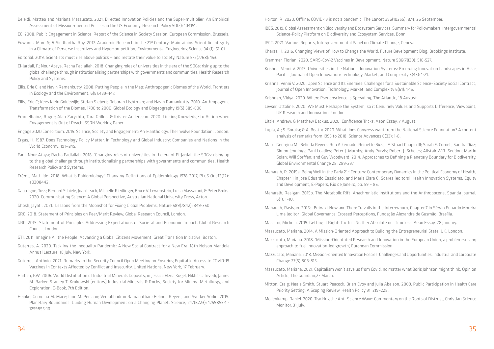- Deleidi, Matteo and Mariana Mazzucato. 2021. Directed Innovation Policies and the Super-multiplier: An Empirical Assessment of Mission-oriented Policies in the US Economy, Research Policy 50(2): 104151.
- EC. 2008. Public Engagement in Science: Report of the Science in Society Session, European Commission, Brussels.
- Edwards, Marc A; & Siddhartha Roy. 2017. Academic Research in the 21st Century: Maintaining Scientific Integrity in a Climate of Perverse Incentives and Hypercompetition, Environmental Engineering Science 34 (1): 51-61.
- Editorial. 2019. Scientists must rise above politics and restate their value to society, Nature 572(7768): 153.
- El-Jardali, F.; Nour Ataya, Racha Fadlallah. 2018. Changing roles of universities in the era of the SDGs: rising up to the global challenge through institutionalising partnerships with governments and communities, Health Research Policy and Systems.
- Ellis, Erle C; and Navin Ramankutty. 2008. Putting People in the Map: Anthropogenic Biomes of the World, Frontiers in Ecology and the Environment, 6(8):439-447.
- Ellis, Erle C; Kees Klein Goldewijk; Stefan Siebert; Deborah Lightman; and Navin Ramankutty. 2010. Anthropogenic Transformation of the Biomes, 1700 to 2000, Global Ecology and Biogeography 19(5):589-606.
- Emmelhainz, Roger; Alan Zarychta, Tara Grillos, & Krister Andersson. 2020. Linking Knowledge to Action when Engagement is Out of Reach, SSRN Working Paper.
- Engage 2020 Consortium. 2015. Science, Society and Engagement: An e-anthology, The Involve Foundation, London.
- Ergas, H. 1987. Does Technology Policy Matter, in Technology and Global Industry: Companies and Nations in the World Economy: 191—245.
- Fadi, Nour Ataya; Racha Fadlallah. 2018. 'Changing roles of universities in the era of El-Jardali the SDGs: rising up to the global challenge through institutionalising partnerships with governments and communities', Health Research Policy and Systems.
- Frérot, Mathilde. 2018. What is Epidemiology? Changing Definitions of Epidemiology 1978-2017, PLoS One13(12): e0208442.
- Gascoigne, Toss; Bernard Schiele, Joan Leach, Michelle Riedlinger, Bruce V. Lewenstein, Luisa Massarani, & Peter Broks. 2020. Communicating Science: A Global Perspective, Australian National University Press, Acton.
- Ghosh, Jayati. 2021. Lessons from the Moonshot for Fixing Global Problems, Nature 589(7842): 349-350.
- GRC. 2018. Statement of Principles on Peer/Merit Review, Global Research Council, London.
- GRC. 2019. Statement of Principles Addressing Expectations of Societal and Economic Impact, Global Research Council, London.
- GTI. 2011. Imagine All the People: Advancing a Global Citizens Movement, Great Transition Initiative, Boston.
- Guterres, A. 2020. Tackling the Inequality Pandemic: A New Social Contract for a New Era, 18th Nelson Mandela Annual Lecture, 18 July, New York.
- Guterres, António. 2021. Remarks to the Security Council Open Meeting on Ensuring Equitable Access to COVID-19 Vaccines in Contexts Affected by Conflict and Insecurity, United Nations, New York, 17 February.
- Harben, P.W. 2006. World Distribution of Industrial Minerals Deposits, in Jessica Elzea Kogel, Nikhil C. Trivedi, James M. Barker, Stanley T. Krukowski [editors] Industrial Minerals & Rocks, Society for Mining, Metallurgy, and Exploration, E-Book, 7th Edition.
- Heinke; Georgina M. Mace; Linn M. Persson; Veerabhadran Ramanathan; Belinda Reyers; and Sverker Sörlin. 2015. Planetary Boundaries: Guiding Human Development on a Changing Planet, Science, 247(6223): 1259855-1 - 1259855-10.

Horton, R. 2020. Offline: COVID-19 is not a pandemic, The Lancet 396(10255): 874, 26 September.

IBES. 2019. Global Assessment on Biodiversity and Ecosystem Services: Summary for Policymakers, Intergovernmental

Krishna, Venni V. 2019. Universities in the National Innovation Systems: Emerging Innovation Landscapes in Asia-

Leyser, Ottoline. 2020. We Must Reshape the System, so it Genuinely Values and Supports Difference, Viewpoint,

Lupia, A.; S. Soroka; & A. Beatty. 2020. What does Congress want from the National Science Foundation? A content

Mace, Georgina M.; Belinda Reyers; Rob Alkemade; Reinette Biggs; F. Stuart Chapin III; Sarah E. Cornell; Sandra Díaz; Simon Jennings; Paul Leadley; Peter J. Mumby; Andy Purvis; Robert J. Scholes; Alistair W.R. Seddon; Martin Solan; Will Steffen; and Guy Woodward. 2014. Approaches to Defining a Planetary Boundary for Biodiversity,

- Science-Policy Platform on Biodiversity and Ecosystem Services, Bonn.
- IPCC. 2021. Various Reports, Intergovernmental Panel on Climate Change, Geneva.
- Kharas, H. 2016. Changing Views of How to Change the World, Future Development Blog, Brookings Institute.
- Krammer, Florian. 2020. SARS-CoV-2 Vaccines in Development, Nature 586(7830): 516-527.
- Pacific, Journal of Open Innovation: Technology, Market, and Complexity 5(43): 1-21.
- Krishna, Venni V. 2020. Open Science and Its Enemies: Challenges for a Sustainable Science–Society Social Contract, Journal of Open Innovation: Technology, Market, and Complexity 6(61): 1-15.
- Krishnan, Vidya. 2020. Where Pseudoscience Is Spreading, The Atlantic, 18 August.
- UK Research and Innovation, London.
- Little, Andrew; & Matthew Backus. 2020. Confidence Tricks, Aeon Essay, 7 August.
- analysis of remarks from 1995 to 2018, Science Advances 6(33): 1-8.
- Global Environmental Change 28: 289-297.
- and Development, E-Papers, Rio de Janeiro, pp. 59 86.
- $6(1): 1-10.$
- Lima [editor] Global Governance: Crossed Perceptions, Fundação Alexandre de Gusmão, Brasília.
- Massimi, Michela. 2019. Getting It Right: Truth is Neither Absolute nor Timeless, Aeon Essay, 28 January.
- Mazzucato, Mariana. 2014. A Mission-Oriented Approach to Building the Entrepreneurial State, UK, London.
- approach to fuel innovation-led growth', European Commission.
- Change 27(5):803-815.
- Article, The Guardian,27 March.
- Priority Setting: A Scoping Review, Health Policy 91: 219–228.
- Monitor, 31 July.

Maharajh, R. 2015a. Being Well in the Early 21st Century: Contemporary Dynamics in the Political Economy of Health, Chapter 1 in Jose Eduardo Cassiolato, and Maria Clara C. Soares [editors] Health Innovation Systems, Equity

Maharajh, Rasigan. 2015b. The Metabolic Rift, Anachronistic Institutions and the Anthropocene, Spanda Journal,

Maharajh, Rasigan. 2015c. Betwixt Now and Then: Travails in the Interregnum, Chapter 7 in Sérgio Eduardo Moreira

Mazzucato, Mariana. 2018. 'Mission-Orientated Research and Innovation in the European Union, a problem-solving

Mazzucato, Mariana. 2018. Mission-oriented Innovation Policies: Challenges and Opportunities, Industrial and Corporate

Mazzucato, Mariana. 2021. Capitalism won't save us from Covid, no matter what Boris Johnson might think, Opinion

Mitton, Craig; Neale Smith, Stuart Peacock, Brian Evoy and Julia Abelson. 2009. Public Participation in Health Care

Mollenkamp, Daniel. 2020. Tracking the Anti-Science Wave: Commentary on the Roots of Distrust, Christian Science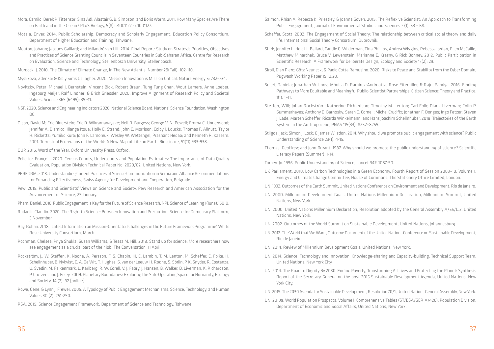- Mora, Camilo; Derek P. Tittensor; Sina Adl; Alastair G. B. Simpson; and Boris Worm. 2011. How Many Species Are There on Earth and in the Ocean? PLoS Biology, 9(8): e1001127 - e1001127.
- Motala, Enver. 2014. Public Scholarship, Democracy and Scholarly Engagement, Education Policy Consortium, Department of Higher Education and Training, Tshwane.
- Mouton, Johann; Jacques Gaillard; and Milandré van Lill. 2014. Final Report: Study on Strategic Priorities, Objectives and Practices of Science Granting Councils in Seventeen Countries in Sub-Saharan Africa, Centre for Research on Evaluation, Science and Technology, Stellenbosch University, Stellenbosch.
- Murdock, J. 2010. The Climate of Climate Change, in The New Atlantis, Number 29(Fall): 102-110.
- Myslikova, Zdenka; & Kelly Sims Gallagher. 2020. Mission Innovation is Mission Critical, Nature Energy 5: 732–734.
- Novitzky, Peter; Michael J. Bernstein. Vincent Blok. Robert Braun. Tung Tung Chan. Wout Lamers. Anne Loeber. Ingeborg Meijer. Ralf Lindner; & Erich Griessler. 2020. Improve Alignment of Research Policy and Societal Values, Science 369 (6499): 39-41.
- NSF. 2020. Science and Engineering Indicators 2020, National Science Board, National Science Foundation, Washington DC.
- Olson, David M; Eric Dinerstein; Eric D. Wikramanayake; Neil D. Burgess; George V. N. Powell; Emma C. Underwood; Jennifer A. D'amico; Illanga Itoua; Holly E. Strand; John C. Morrison; Colby J. Loucks; Thomas F. Allnutt; Taylor H. Ricketts; Yumiko Kura; John F. Lamoreux; Wesley W. Wettengel; Prashant Hedao; and Kenneth R. Kassem. 2001. Terrestrial Ecoregions of the World: A New Map of Life on Earth, Bioscience, 51(11):933-938.
- OUP. 2016. Word of the Year. Oxford University Press, Oxford.
- Pelletier, François. 2020. Census Counts, Undercounts and Population Estimates: The Importance of Data Quality Evaluation, Population Division Technical Paper No. 2020/02, United Nations, New York.
- PERFORM. 2018. Understanding Current Practices of Science Communication in Serbia and Albania: Recommendations for Enhancing Effectiveness, Swiss Agency for Development and Cooperation, Belgrade.
- Pew. 2015. Public and Scientists' Views on Science and Society, Pew Research and American Association for the Advancement of Science, 29 January.
- Pham, Daniel. 2016. Public Engagement is Key for the Future of Science Research, NPJ: Science of Learning 1(June):16010.
- Radaelli, Claudio. 2020. The Right to Science: Between Innovation and Precaution, Science for Democracy Platform, 3 November.
- Ray, Rohan. 2018. 'Latest Information on Mission-Orientated Challenges in the Future Framework Programme', White Rose University Consortium, March.
- Rochman, Chelsea; Priya Shukla, Susan Williams, & Tessa M. Hill. 2018. Stand up for science: More researchers now see engagement as a crucial part of their job, The Conversation, 11 April.
- Rockström, J., W. Steffen, K. Noone, Å. Persson, F. S. Chapin, III, E. Lambin, T. M. Lenton, M. Scheffer, C. Folke, H. Schellnhuber, B. Nykvist, C. A. De Wit, T. Hughes, S. van der Leeuw, H. Rodhe, S. Sörlin, P. K. Snyder, R. Costanza, U. Svedin, M. Falkenmark, L. Karlberg, R. W. Corell, V. J. Fabry, J. Hansen, B. Walker, D. Liverman, K. Richardson, P. Crutzen, and J. Foley. 2009. Planetary Boundaries: Exploring the Safe Operating Space for Humanity, Ecology and Society, 14 (2): 32 [online].
- Rowe, Gene; & Lynn J. Frewer. 2005. A Typology of Public Engagement Mechanisms, Science, Technology, and Human Values 30 (2): 251-290.
- RSA. 2015. Science Engagement Framework, Department of Science and Technology, Tshwane.

Matthew Minarchek, Bruce V. Lewenstein, Marianne E. Krasny, & Rick Bonney. 2012. Public Participation in

Pathways to More Equitable and Meaningful Public-Scientist Partnerships, Citizen Science: Theory and Practice,

Summerhayes; Anthony D. Barnosky; Sarah E. Cornell; Michel Crucifix; Jonathan F. Donges; Ingo Fetzer; Steven J. Lade; Marten Scheffer; Ricarda Winkelmann; and Hans Joachim Schellnhuber. 2018. Trajectories of the Earth

- Salmon, Rhian A; Rebecca K. Priestley, & Joanna Goven. 2015. The Reflexive Scientist: An Approach to Transforming Public Engagement, Journal of Environmental Studies and Sciences 7 (1): 53 – 68.
- Schaffer, Scott. 2002. The Engagement of Social Theory: The relationship between critical social theory and daily life, International Social Theory Consortium, Dubrovnik.
- Shirk, Jennifer L; Heidi L. Ballard, Candie C. Wilderman, Tina Phillips, Andrea Wiggins, Rebecca Jordan, Ellen McCallie, Scientific Research: A Framework for Deliberate Design, Ecology and Society 17(2): 29.
- Siroli, Gian Piero; Götz Neuneck, & Paolo Cotta Ramusino. 2020. Risks to Peace and Stability from the Cyber Domain, Pugwash Working Paper 15.10.20.
- Soleri, Daniela; Jonathan W. Long, Mónica D. Ramirez-Andreotta, Rose Eitemiller, & Rajul Pandya. 2016. Finding  $1(1): 1-11.$
- Steffen, Will; Johan Rockström; Katherine Richardson; Timothy M. Lenton; Carl Folk; Diana Liverman; Colin P. System in the Anthropocene, PNAS 115(33): 8252–8259.
- Stilgoe, Jack; Simon J. Lock; & James Wilsdon. 2014. Why should we promote public engagement with science? Public Understanding of Science 23(1): 4-15.
- Thomas, Geoffrey; and John Durant. 1987. Why should we promote the public understanding of science? Scientific Literacy Papers (Summer): 1-14.
- Turney, Jo. 1996. Public Understanding of Science, Lancet 347: 1087-90.
- UK Parliament. 2010. Low Carbon Technologies in a Green Economy, Fourth Report of Session 2009–10, Volume 1, Energy and Climate Change Committee, House of Commons, The Stationery Office Limited, London.
- UN. 1992. Outcomes of the Earth Summit, United Nations Conference on Environment and Development, Rio de Janeiro.
- UN. 2000. Millennium Development Goals, United Nations Millennium Declaration, Millennium Summit, United Nations, New York.
- UN. 2000. United Nations Millennium Declaration, Resolution adopted by the General Assembly A/55/L.2, United Nations, New York.
- UN. 2002. Outcomes of the World Summit on Sustainable Development, United Nations, Johannesburg.
- UN. 2012. The World that We Want, Outcome Document of the United Nations Conference on Sustainable Development, Rio de Janeiro.
- UN. 2014. Review of Millennium Development Goals, United Nations, New York.
- UN. 2014. Science, Technology and Innovation, Knowledge-sharing and Capacity-building, Technical Support Team, United Nations, New York City.
- UN. 2014. The Road to Dignity By 2030: Ending Poverty, Transforming All Lives and Protecting the Planet: Synthesis York City.
- UN. 2015. The 2030 Agenda for Sustainable Development, Resolution 70/1, United Nations General Assembly, New York.
- UN. 2019a. World Population Prospects, Volume I: Comprehensive Tables (ST/ESA/SER.A/426), Population Division, Department of Economic and Social Affairs, United Nations, New York.

Report of the Secretary-General on the post-2015 Sustainable Development Agenda, United Nations, New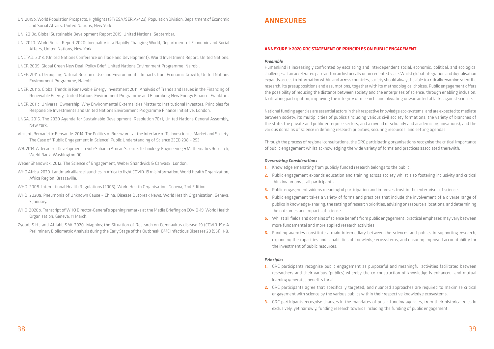- UN. 2019b. World Population Prospects, Highlights (ST/ESA/SER.A/423), Population Division, Department of Economic and Social Affairs, United Nations, New York.
- UN. 2019c. Global Sustainable Development Report 2019, United Nations, September.
- UN. 2020. World Social Report 2020: Inequality in a Rapidly Changing World, Department of Economic and Social Affairs, United Nations, New York.
- UNCTAD. 2013. (United Nations Conference on Trade and Development). World Investment Report. United Nations.
- UNEP. 2009. Global Green New Deal: Policy Brief, United Nations Environment Programme, Nairobi.
- UNEP. 2011a. Decoupling Natural Resource Use and Environmental Impacts from Economic Growth, United Nations Environment Programme, Nairobi.
- UNEP. 2011b. Global Trends in Renewable Energy Investment 2011: Analysis of Trends and Issues in the Financing of Renewable Energy, United Nations Environment Programme and Bloomberg New Energy Finance, Frankfurt.
- UNEP. 2011c. Universal Ownership: Why Environmental Externalities Matter to Institutional Investors, Principles for Responsible Investments and United Nations Environment Programme Finance Initiative, London.
- UNGA. 2015. The 2030 Agenda for Sustainable Development, Resolution 70/1, United Nations General Assembly, New York.
- Vincent, Bernadette Bensaude. 2014. The Politics of Buzzwords at the Interface of Technoscience, Market and Society: The Case of 'Public Engagement in Science', Public Understanding of Science 23(3) 238 – 253.
- WB. 2014. A Decade of Development in Sub-Saharan African Science, Technology, Engineering & Mathematics Research, World Bank. Washington DC.
- Weber Shandwick. 2012. The Science of Engagement, Weber Shandwick & Canvas8, London.
- WHO Africa. 2020. Landmark alliance launches in Africa to fight COVID-19 misinformation, World Health Organization, Africa Region, Brazzaville.
- WHO. 2008. International Health Regulations (2005), World Health Organisation, Geneva, 2nd Edition.
- WHO. 2020a. Pneumonia of Unknown Cause China, Disease Outbreak News, World Health Organisation, Geneva, 5 January.
- WHO. 2020b. Transcript of WHO Director-General's opening remarks at the Media Briefing on COVID-19, World Health Organisation, Geneva, 11 March.
- Zyoud, S.H., and Al-Jabi, S.W. 2020. Mapping the Situation of Research on Coronavirus disease-19 (COVID-19): A Preliminary Bibliometric Analysis during the Early Stage of the Outbreak, BMC Infectious Diseases 20 (561): 1-8.

4. Public engagement takes a variety of forms and practices that include the involvement of a diverse range of publics in knowledge-sharing, the setting of research priorities, advising on resource allocations, and determining

# ANNEXURES

- 1. Knowledge emanating from publicly funded research belongs to the public.
- 2. Public engagement expands education and training across society whilst also fostering inclusivity and critical thinking amongst all participants.
- **3.** Public engagement widens meaningful participation and improves trust in the enterprises of science.
- the outcomes and impacts of science.
- 5. Whilst all fields and domains of science benefit from public engagement, practical emphases may vary between more fundamental and more applied research activities.
- **6.** Funding agencies constitute a main intermediary between the sciences and publics in supporting research, the investment of public resources.

# **ANNEXURE 1: 2020 GRC STATEMENT OF PRINCIPLES ON PUBLIC ENGAGEMENT**

#### *Preamble*

Humankind is increasingly confronted by escalating and interdependent social, economic, political, and ecological challenges at an accelerated pace and on an historically unprecedented scale. Whilst global integration and digitalisation expands access to information within and across countries, society should always be able to critically examine scientific research, its presuppositions and assumptions, together with its methodological choices. Public engagement offers the possibility of reducing the distance between society and the enterprises of science, through enabling inclusion, facilitating participation, improving the integrity of research, and obviating unwarranted attacks against science.

National funding agencies are essential actors in their respective knowledge eco-systems, and are expected to mediate between society, its multiplicities of publics (including various civil society formations, the variety of branches of the state, the private and public enterprise sectors, and a myriad of scholarly and academic organisations), and the various domains of science in defining research priorities, securing resources, and setting agendas.

Through the process of regional consultations, the GRC participating organisations recognise the critical importance of public engagement whilst acknowledging the wide variety of forms and practices associated therewith.

#### *Overarching Considerations*

expanding the capacities and capabilities of knowledge ecosystems, and ensuring improved accountability for

#### *Principles*

researchers and their various 'publics', whereby the co-construction of knowledge is enhanced, and mutual

- 1. GRC participants recognise public engagement as purposeful and meaningful activities facilitated between learning generates benefits for all.
- 2. GRC participants agree that specifically targeted, and nuanced approaches are required to maximise critical engagement with science by the various publics within their respective knowledge ecosystems.
- 3. GRC participants recognise changes in the mandates of public funding agencies, from their historical roles in exclusively, yet narrowly, funding research towards including the funding of public engagement.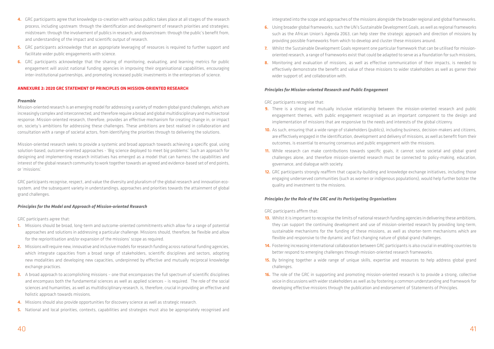- 4. GRC participants agree that knowledge co-creation with various publics takes place at all stages of the research process, including upstream: through the identification and development of research priorities and strategies; midstream: through the involvement of publics in research; and downstream: through the public's benefit from, and understanding of the impact and scientific output of research.
- 5. GRC participants acknowledge that an appropriate leveraging of resources is required to further support and facilitate wider public engagements with science.
- 6. GRC participants acknowledge that the sharing of monitoring, evaluating, and learning metrics for public engagement will assist national funding agencies in improving their organisational capabilities, encouraging inter-institutional partnerships, and promoting increased public investments in the enterprises of science.

#### **ANNEXURE 2: 2020 GRC STATEMENT OF PRINCIPLES ON MISSION-ORIENTED RESEARCH**

#### *Preamble*

Mission-oriented research is an emerging model for addressing a variety of modern global grand challenges, which are increasingly complex and interconnected, and therefore require a broad and global multidisciplinary and multisectoral response. Mission-oriented research, therefore, provides an effective mechanism for creating change in, or impact on, society's ambitions for addressing these challenges. These ambitions are best realised in collaboration and consultation with a range of societal actors, from identifying the priorities through to delivering the solutions.

Mission-oriented research seeks to provide a systemic and broad approach towards achieving a specific goal, using solution-based, outcome-oriented approaches - 'Big science deployed to meet big problems'. Such an approach for designing and implementing research initiatives has emerged as a model that can harness the capabilities and interest of the global research community to work together towards an agreed and evidence-based set of end points, or 'missions'.

GRC participants recognise, respect, and value the diversity and pluralism of the global research and innovation ecosystem, and the subsequent variety in understandings, approaches and priorities towards the attainment of global grand challenges.

#### *Principles for the Model and Approach of Mission-oriented Research*

GRC participants agree that:

- 1. Missions should be broad, long-term and outcome-oriented commitments which allow for a range of potential approaches and solutions in addressing a particular challenge. Missions should, therefore, be flexible and allow for the reprioritisation and/or expansion of the missions' scope as required.
- 2. Missions will require new, innovative and inclusive models for research funding across national funding agencies, which integrate capacities from a broad range of stakeholders, scientific disciplines and sectors, adopting new modalities and developing new capacities, underpinned by effective and mutually reciprocal knowledge exchange practices.
- 3. A broad approach to accomplishing missions one that encompasses the full spectrum of scientific disciplines and encompass both the fundamental sciences as well as applied sciences – is required. The role of the social sciences and humanities, as well as multidisciplinary research, is, therefore, crucial in providing an effective and holistic approach towards missions.
- 4. Missions should also provide opportunities for discovery science as well as strategic research.
- 5. National and local priorities, contexts, capabilities and strategies must also be appropriately recognised and
- **9.** There is a strong and mutually inclusive relationship between the mission-oriented research and public engagement themes, with public engagement recognised as an important component to the design and implementation of missions that are responsive to the needs and interests of the global citizenry.
- 10. As such, ensuring that a wide range of stakeholders (publics), including business, decision-makers and citizens, are effectively engaged in the identification, development and delivery of missions, as well as benefit from their outcomes, is essential to ensuring consensus and public engagement with the missions.
- 11. While research can make contributions towards specific goals, it cannot solve societal and global grand challenges alone, and therefore mission-oriented research must be connected to policy-making, education, governance, and dialogue with society.
- 12. GRC participants strongly reaffirm that capacity-building and knowledge exchange initiatives, including those engaging underserved communities (such as women or indigenous populations), would help further bolster the quality and investment to the missions.

- 13. Whilst it is important to recognise the limits of national research funding agencies in delivering these ambitions, they can support the continuing development and use of mission-oriented research by providing long-term, sustainable mechanisms for the funding of these missions, as well as shorter-term mechanisms which are flexible and responsive to the dynamic and fast-changing nature of global grand challenges.
- 14. Fostering increasing international collaboration between GRC participants is also crucial in enabling countries to better respond to emerging challenges through mission-oriented research frameworks.
- 15. By bringing together a wide range of unique skills, expertise and resources to help address global grand challenges.
- **16.** The role of the GRC in supporting and promoting mission-oriented research is to provide a strong, collective voice in discussions with wider stakeholders as well as by fostering a common understanding and framework for developing effective missions through the publication and endorsement of Statements of Principles.

integrated into the scope and approaches of the missions alongside the broader regional and global frameworks.

- 6. Using broader global frameworks, such the UN's Sustainable Development Goals, as well as regional frameworks such as the African Union's Agenda 2063, can help steer the strategic approach and direction of missions by providing possible frameworks from which to develop and cluster these missions around.
- 7. Whilst the Sustainable Development Goals represent one particular framework that can be utilised for missionoriented research, a range of frameworks exist that could be adapted to serve as a foundation for such missions, 8. Monitoring and evaluation of missions, as well as effective communication of their impacts, is needed to effectively demonstrate the benefit and value of these missions to wider stakeholders as well as garner their
- wider support of, and collaboration with.

#### *Principles for Mission-oriented Research and Public Engagement*

GRC participants recognise that:

# *Principles for the Role of the GRC and its Participating Organisations*

GRC participants affirm that: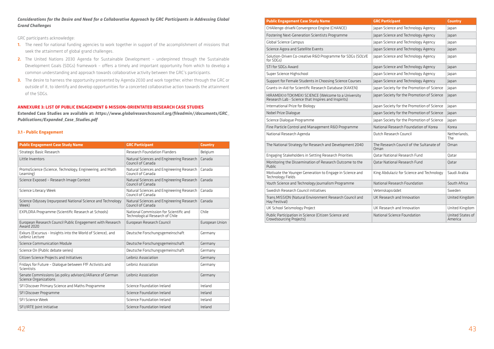### *Considerations for the Desire and Need for a Collaborative Approach by GRC Participants in Addressing Global Grand Challenges*

GRC participants acknowledge:

- 1. The need for national funding agencies to work together in support of the accomplishment of missions that seek the attainment of global grand challenges.
- 2. The United Nations 2030 Agenda for Sustainable Development underpinned through the Sustainable Development Goals (SDGs) framework – offers a timely and important opportunity from which to develop a common understanding and approach towards collaborative activity between the GRC's participants.
- 3. The desire to harness the opportunity presented by Agenda 2030 and work together, either through the GRC or outside of it, to identify and develop opportunities for a concerted collaborative action towards the attainment of the SDGs.

#### **ANNEXURE 3: LIST OF PUBLIC ENGAGEMENT & MISSION-ORIENTATED RESEARCH CASE STUDIES**

**Extended Case Studies are available at:** *[https://www.globalresearchcouncil.org/fileadmin//documents/GRC\\_](https://www.globalresearchcouncil.org/fileadmin/documents/GRC_Publications/Expanded_Case_Studies.pdf) [Publications/Expanded\\_Case\\_Studies.pdf](https://www.globalresearchcouncil.org/fileadmin/documents/GRC_Publications/Expanded_Case_Studies.pdf)*

#### **3.1 - Public Engagement**

HIRAMEKI☆TOKIMEKI SCIENCE (Welcome to a University Research Lab - Science that Inspires and Inspirits)

International Prize for Biology

Nobel Prize Dialogue

Science Dialogue Programme

Fine Particle Control and Management R&D Programme

National Research Agenda

The National Strategy for Research and Development 2040

Engaging Stakeholders in Setting Research Priorities

| <b>Public Engagement Case Study Name</b>                                            | <b>GRC Participant</b>                                                    | <b>Country</b> |
|-------------------------------------------------------------------------------------|---------------------------------------------------------------------------|----------------|
| Strategic Basic Research                                                            | <b>Research Foundation Flanders</b>                                       | Belgium        |
| Little Inventors                                                                    | Natural Sciences and Engineering Research<br>Council of Canada            | Canada         |
| PromoScience (Science, Technology, Engineering, and Math<br>Learning)               | Natural Sciences and Engineering Research<br>Council of Canada            | Canada         |
| Science Exposed - Research Image Contest                                            | Natural Sciences and Engineering Research<br>Council of Canada            | Canada         |
| Science Literacy Week                                                               | Natural Sciences and Engineering Research<br>Council of Canada            | Canada         |
| Science Odyssey (repurposed National Science and Technology<br>Week)                | Natural Sciences and Engineering Research<br>Council of Canada            | Canada         |
| EXPLORA Programme (Scientific Research at Schools)                                  | National Commission for Scientific and<br>Technological Research of Chile | Chile          |
| European Research Council Public Engagement with Research<br>Award 2020             | European Research Council                                                 | European Union |
| Exkurs (Excursus - Insights into the World of Science), and<br>Leibniz Lecture      | Deutsche Forschungsgemeinschaft                                           | Germany        |
| <b>Science Communication Module</b>                                                 | Deutsche Forschungsgemeinschaft                                           | Germany        |
| Science On (Public debate series)                                                   | Deutsche Forschungsgemeinschaft                                           | Germany        |
| Citizen Science Projects and Initiatives                                            | Leibniz Association                                                       | Germany        |
| Fridays for Future - Dialogue between FfF Activists and<br>Scientists               | Leibniz Association                                                       | Germany        |
| Senate Commissions (as policy advisors)/Alliance of German<br>Science Organizations | Leibniz Association                                                       | Germany        |
| SFI Discover Primary Science and Maths Programme                                    | Science Foundation Ireland                                                | Ireland        |
| SFI Discover Programme                                                              | Science Foundation Ireland                                                | Ireland        |
| SFI Science Week                                                                    | Science Foundation Ireland                                                | Ireland        |
| SFI/IRTE Joint Initiative                                                           | Science Foundation Ireland                                                | Ireland        |

# **Public Engagement Case Study Name**

CHAllenge-driveN Convergence Engine (CHANCE)

Fostering Next-Generation Scientists Programme

Global Science Campus

Science Agora and Satellite Events

Solution-Driven Co-creative R&D Programme for SDGs (SOLVE for SDGs)

STI for SDGs Award

Super Science Highschool

Support for Female Students in Choosing Science Courses

Grants-in-Aid for Scientific Research Database (KAKEN)

| <b>GRC Participant</b>                           | <b>Country</b>              |
|--------------------------------------------------|-----------------------------|
| Japan Science and Technology Agency              | Japan                       |
| Japan Science and Technology Agency              | Japan                       |
| Japan Science and Technology Agency              | Japan                       |
| Japan Science and Technology Agency              | Japan                       |
| Japan Science and Technology Agency              | Japan                       |
| Japan Science and Technology Agency              | Japan                       |
| Japan Science and Technology Agency              | Japan                       |
| Japan Science and Technology Agency              | Japan                       |
| Japan Society for the Promotion of Science       | Japan                       |
| Japan Society for the Promotion of Science       | Japan                       |
| Japan Society for the Promotion of Science       | Japan                       |
| Japan Society for the Promotion of Science       | Japan                       |
| Japan Society for the Promotion of Science       | Japan                       |
| National Research Foundation of Korea            | Korea                       |
| Dutch Research Council                           | Netherlands,<br>The         |
| The Research Council of the Sultanate of<br>Oman | Oman                        |
| Qatar National Research Fund                     | Qatar                       |
| Qatar National Research Fund                     | Qatar                       |
| King Abdulaziz for Science and Technology        | Saudi Arabia                |
| National Research Foundation                     | South Africa                |
| Vetenskapsrådet                                  | Sweden                      |
| UK Research and Innovation                       | United Kingdom              |
| UK Research and Innovation                       | United Kingdom              |
| National Science Foundation                      | United States of<br>America |

Monitoring the Dissemination of Research Outcome to the Public

Motivate the Younger Generation to Engage in Science and Technology Fields

Youth Science and Technology Journalism Programme

Swedish Research Council initiatives

Trans.MISSION (Natural Environment Research Council and Hay Festival)

UK School Seismology Project

Public Participation in Science (Citizen Science and Crowdsourcing Projects)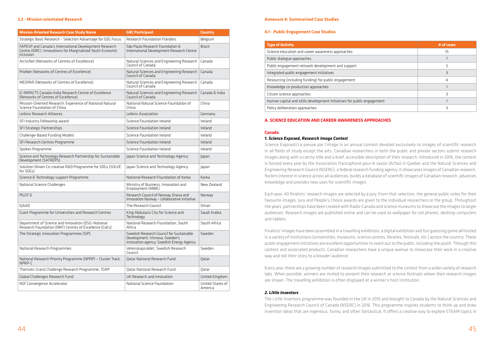#### **3.2 - Mission-orientated Research**

| <b>Mission-Oriented Research Case Study Name</b>                                                                                  | <b>GRC Participant</b>                                                                                                 | <b>Country</b>              |
|-----------------------------------------------------------------------------------------------------------------------------------|------------------------------------------------------------------------------------------------------------------------|-----------------------------|
| Strategic Basic Research - Selection Advantage for SDG Focus                                                                      | <b>Research Foundation Flanders</b>                                                                                    | Belgium                     |
| FAPESP and Canada's International Development Research<br>Centre (IDRC): Innovations for Marginalized Youth Economic<br>Inclusion | São Paulo Research Foundation &<br>International Development Research Centre                                           | <b>Brazil</b>               |
| ArcticNet (Networks of Centres of Excellence)                                                                                     | Natural Sciences and Engineering Research<br>Council of Canada                                                         | Canada                      |
| PrioNet (Networks of Centres of Excellence)                                                                                       | Natural Sciences and Engineering Research<br>Council of Canada                                                         | Canada                      |
| MEOPAR (Networks of Centres of Excellence)                                                                                        | Natural Sciences and Engineering Research<br>Council of Canada                                                         | Canada                      |
| IC-IMPACTS Canada-India Research Centre of Excellence<br>(Networks of Centres of Excellence)                                      | Natural Sciences and Engineering Research<br>Council of Canada                                                         | Canada & India              |
| Mission-Oriented Research: Experience of National Natural<br>Science Foundation of China                                          | National Natural Science Foundation of<br>China                                                                        | China                       |
| Leibniz Research Alliances                                                                                                        | Leibniz Association                                                                                                    | Germany                     |
| SFI Industry Fellowship award                                                                                                     | Science Foundation Ireland                                                                                             | Ireland                     |
| SFI Strategic Partnerships                                                                                                        | Science Foundation Ireland                                                                                             | Ireland                     |
| Challenge-Based Funding Models                                                                                                    | Science Foundation Ireland                                                                                             | Ireland                     |
| SFI Research Centres Programme                                                                                                    | Science Foundation Ireland                                                                                             | Ireland                     |
| Spokes Programme                                                                                                                  | Science Foundation Ireland                                                                                             | Ireland                     |
| Science and Technology Research Partnership for Sustainable<br>Development (SATREPS)                                              | Japan Science and Technology Agency                                                                                    | Japan                       |
| Solution-Driven Co-creative R&D Programme for SDGs (SOLVE<br>for SDGs)                                                            | Japan Science and Technology Agency                                                                                    | Japan                       |
| Science & Technology support Programme                                                                                            | National Research Foundation of Korea                                                                                  | Korea                       |
| National Science Challenges                                                                                                       | Ministry of Business, Innovation and<br>Employment (MBIE)                                                              | New Zealand                 |
| PILOT-E                                                                                                                           | Research Council of Norway, Enova and<br>Innovation Norway - collaborative initiative                                  | Norway                      |
| EJAAD                                                                                                                             | The Research Council                                                                                                   | Oman                        |
| Grant Programme for Universities and Research Centres                                                                             | King Abdulaziz City for Science and<br>Technology                                                                      | Saudi Arabia                |
| Department of Science and Innovation (DSI)-National<br>Research Foundation (NRF) Centres of Excellence (CoEs)                     | National Research Foundation, South<br>Africa                                                                          | South Africa                |
| The Strategic Innovation Programmes (SIP)                                                                                         | Swedish Research Council for Sustainable<br>Development; Vinnova, Sweden's<br>innovation agency; Swedish Energy Agency | Sweden                      |
| National Research Programmes                                                                                                      | Vetenskapsrådet, Swedish Research<br>Council                                                                           | Sweden                      |
| National Research Priority Programme (NPRP) - Cluster Track,<br>NPRP-C                                                            | <b>Qatar National Research Fund</b>                                                                                    | Qatar                       |
| Thematic Grand Challenge Research Programme, TGRP                                                                                 | <b>Qatar National Research Fund</b>                                                                                    | Qatar                       |
| Global Challenges Research Fund                                                                                                   | UK Research and Innovation                                                                                             | United Kingdom              |
| NSF Convergence Accelerator                                                                                                       | National Science Foundation                                                                                            | United States of<br>America |

#### **Annexure 4: Summarised Case Studies**

#### **4.1 - Public Engagement Case Studies**

| <b>Type of Activity</b>                                                | # of cases |
|------------------------------------------------------------------------|------------|
| Science education and career awareness approaches                      | 15         |
| Public dialogue approaches                                             |            |
| Public engagement network development and support                      |            |
| Integrated public engagement initiatives                               |            |
| Resourcing (including funding) for public engagement                   | 4          |
| Knowledge co-production approaches                                     |            |
| Citizen science approaches                                             |            |
| Human capital and skills development initiatives for public engagement |            |
| Policy deliberation approaches                                         |            |

# **A. SCIENCE EDUCATION AND CAREER AWARENESS APPROACHES**

#### **Canada**

#### *1. Science Exposed, Research Image Contest*

Science Exposed/La preuve par l'image is an annual contest devoted exclusively to images of scientific research in all fields of study except the arts. Canadian researchers in both the public and private sectors submit research images along with a catchy title and a brief, accessible description of their research. Introduced in 2016, the contest is hosted every year by the Association francophone pour le savoir (Acfas) in Quebec and the Natural Sciences and Engineering Research Council (NSERC), a federal research funding agency. It showcases images of Canadian research, fosters interest in science across all audiences, builds a database of scientific images of Canadian research, advances knowledge and provides new uses for scientific images.

Each year, 40 finalists' research images are selected by a jury. From that selection, the general public votes for their favourite images. Jury and People's Choice awards are given to the individual researchers or the group. Throughout the years, partnerships have been created with Radio-Canada and science museums to showcase the images to larger audiences. Research images are published online and can be used as wallpaper for cell phones, desktop computers and tablets.

Finalists' images have been assembled in a travelling exhibition, a digital exhibition and fun guessing game all hosted in a variety of institutions (universities, museums, science centres, libraries, festivals, etc.) across the country. These public engagement initiatives are excellent opportunities to reach out to the public, including the youth. Through this contest and associated products, Canadian researchers have a unique avenue to showcase their work in a creative way and tell their story to a broader audience.

Every year, there are a growing number of research images submitted to the contest from a wider variety of research labs. When possible, winners are invited to present their research at science festivals where their research images are shown. The travelling exhibition is often displayed at a winner's host institution.

#### *2. Little Inventors*

The Little Inventors programme was founded in the UK in 2015 and brought to Canada by the Natural Sciences and Engineering Research Council of Canada (NSERC) in 2016. This programme inspires students to think up and draw invention ideas that are ingenious, funny, and often fantastical. It offers a creative way to explore STEAM topics in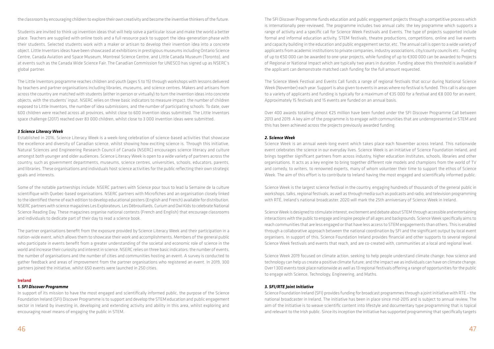the classroom by encouraging children to explore their own creativity and become the inventive thinkers of the future.

Students are invited to think up invention ideas that will help solve a particular issue and make the world a better place. Teachers are supplied with online tools and a full resource pack to support the idea-generation phase with their students. Selected students work with a maker or artisan to develop their invention idea into a concrete object. Little Inventors ideas have been showcased at exhibitions in prestigious museums including Ontario Science Centre, Canada Aviation and Space Museum, Montreal Science Centre, and Little Canada Museum (Toronto), and at events such as the Canada Wide Science Fair. The Canadian Commission for UNESCO has signed up as NSERC's global partner.

The Little Inventors programme reaches children and youth (ages 5 to 15) through workshops with lessons delivered by teachers and partner organisations including libraries, museums, and science centres. Makers and artisans from across the country are matched with students (either in person or virtually) to turn the invention ideas into concrete objects, with the students' input. NSERC relies on three basic indicators to measure impact: the number of children exposed to Little Inventors, the number of idea submissions, and the number of participating schools. To date, over 600 children were reached across all provinces, whilst close to 600 invention ideas submitted. The Little Inventors space challenge (2017) reached over 83 000 children, whilst close to 3 000 invention ideas were submitted.

#### *3 Science Literacy Week*

Established in 2016, Science Literacy Week is a week-long celebration of science-based activities that showcase the excellence and diversity of Canadian science, whilst showing how exciting science is. Through this initiative, Natural Sciences and Engineering Research Council of Canada (NSERC) encourages science literacy and culture amongst both younger and older audiences. Science Literacy Week is open to a wide variety of partners across the country, such as government departments, museums, science centres, universities, schools, educators, parents, and libraries. These organisations and individuals host science activities for the public reflecting their own strategic goals and interests.

Some of the notable partnerships include: NSERC partners with Science pour tous to lead la Semaine de la culture scientifique with Quebec-based organisations. NSERC partners with Microfiches and an organisation closely linked to the identified theme of each edition to develop educational posters (English and French) available for distribution. NSERC partners with science magazines Les Explorateurs, Les Débrouillards, Curium and Owl Kids to celebrate National Science Reading Day. These magazines organise national contests (French and English) that encourage classrooms and individuals to dedicate part of their day to read a science book.

The partner organisations benefit from the exposure provided by Science Literacy Week and their participation in a nation-wide event, which allows them to showcase their work and accomplishments. Members of the general public who participate in events benefit from a greater understanding of the societal and economic role of science in the world and increase their curiosity and interest in science. NSERC relies on three basic indicators: the number of events, the number of organisations and the number of cities and communities hosting an event. A survey is conducted to gather feedback and areas of improvement from the partner organisations who registered an event. In 2019, 300 partners joined the initiative, whilst 650 events were launched in 250 cities.

#### **Ireland**

#### *1. SFI Discover Programme*

In support of its mission to have the most engaged and scientifically informed public, the purpose of the Science Foundation Ireland (SFI) Discover Programme is to support and develop the STEM education and public engagement sector in Ireland by investing in, developing and extending activity and ability in this area, whilst exploring and encouraging novel means of engaging the public in STEM.

The SFI Discover Programme funds education and public engagement projects through a competitive process which is internationally peer-reviewed. The programme includes two annual calls: the key programme which supports a range of activity and a specific call for Science Week Festivals and Events. The type of projects supported include formal and informal education activity, STEM festivals, theatre productions, competitions, online and live events and capacity building in the education and public engagement sector, etc. The annual call is open to a wide variety of applicants from academic institutions to private companies, industry associations, city/county councils etc. Funding of up to €50 000 can be awarded to one-year projects, while funding of up to €300 000 can be awarded to Projects of Regional or National Impact which are typically two years in duration. Funding above this threshold is available if the applicant can demonstrate matched cash funding for the full amount requested.

The Science Week Festival and Events Call funds a range of regional festivals that occur during National Science Week (November) each year. Support is also given to events in areas where no festival is funded. This call is also open to a variety of applicants and funding is typically for a maximum of €35 000 for a festival and €8 000 for an event. Approximately 15 festivals and 15 events are funded on an annual basis.

Over 400 awards totalling almost €25 million have been funded under the SFI Discover Programme Call between 2013 and 2019. A key aim of the programme is to engage with communities that are underrepresented in STEM and this has been achieved across the projects previously awarded funding.

#### *2. Science Week*

Science Week is an annual week-long event which takes place each November across Ireland. This nationwide event celebrates the science in our everyday lives. Science Week is an initiative of Science Foundation Ireland, and brings together significant partners from across industry, higher education institutes, schools, libraries and other organisations. It acts as a key engine to bring together different role models and champions from the world of TV and comedy, to writers, to renowned experts, many of whom volunteer their time to support the ethos of Science Week. The aim of this effort is to contribute to Ireland having the most engaged and scientifically informed public.

Science Week is the largest science festival in the country, engaging hundreds of thousands of the general public in workshops, talks, regional festivals, as well as through media such as podcasts and radio, and television programming with RTÉ, Ireland's national broadcaster. 2020 will mark the 25th anniversary of Science Week in Ireland.

Science Week is designed to stimulate interest, excitement and debate about STEM through accessible and entertaining interactions with the public to engage and inspire people of all ages and backgrounds. Science Week specifically aims to reach communities that are less engaged or that have less access to STEM engagements than others. This is enabled through a collaborative approach between the national coordination by SFI and the significant output by local event organisers. In support of this, Science Foundation Ireland provides financial and other supports to several regional Science Week festivals and events that reach, and are co-created with, communities at a local and regional level.

Science Week 2019 focused on climate action, seeking to help people understand climate change; how science and technology can help us create a positive climate future; and the impact we as individuals can have on climate change. Over 1 300 events took place nationwide as well as 13 regional festivals offering a range of opportunities for the public to engage with Science, Technology, Engineering, and Maths.

#### *3. SFI/RTE Joint Initiative*

Science Foundation Ireland (SFI) provides funding for broadcast programmes through a joint initiative with RTE – the national broadcaster in Ireland. The initiative has been in place since mid-2015 and is subject to annual review. The aim of the initiative is to weave scientific content into lifestyle and documentary type programming that is topical and relevant to the Irish public. Since its inception the initiative has supported programming that specifically targets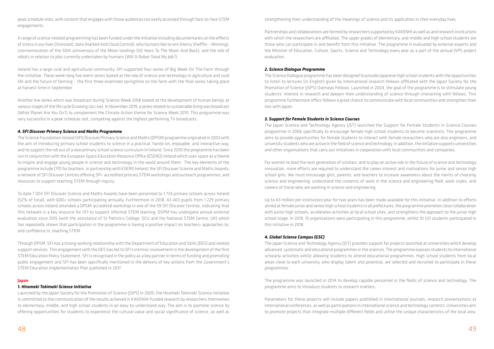peak schedule slots, with content that engages with those audiences not easily accessed through face-to-face STEM engagements.

A range of science-related programming has been funded under the initiative including documentaries on the effects of stress in our lives (Stressed), data (Hacked And Cloud Control), why humans like to win (Henry Shefflin – Winning), commemoration of the 50th anniversary of the Moon landings (50 Years To The Moon And Back), and the role of robots in relation to jobs currently undertaken by humans (Will A Robot Steal My Job?).

Ireland has a large rural and agricultural community. SFI supported four series of Big Week On The Farm through the initiative. These week-long live event series looked at the role of science and technology in agriculture and rural life and the future of farming – the first three examined springtime on the farm with the final series taking place at harvest time in September.

Another live series which was broadcast during Science Week 2018 looked at the development of human beings at various stages of the life cycle (Growing Up Live). In November 2019, a series related to sustainable living was broadcast (What Planet Are You On?) to complement the Climate Action theme for Science Week 2019. This programme was very successful in a peak schedule slot, competing against the highest performing TV broadcasts.

### *4. SFI Discover Primary Science and Maths Programme*

The Science Foundation Ireland (SFI) Discover Primary Science and Maths (DPSM) programme originated in 2003 with the aim of introducing primary school students to science in a practical, hands-on, enjoyable, and interactive way, and to support the roll out of a new primary school science curriculum in Ireland. Since 2010 the programme has been run in conjunction with the European Space Education Resource Office (ESERO) Ireland which uses space as a theme to inspire and engage young people in science and technology in the world around them. The key elements of the programme include CPD for teachers, in partnership with ESERO Ireland; the SFI Discover Science and Maths Awards; a network of SFI Discover Centres offering SFI- accredited primary STEM workshops and outreach programmes; and resources to support teaching STEM through inquiry.

To date 7 003 SFI Discover Science and Maths Awards have been presented to 1 733 primary schools across Ireland (52% of total), with 600+ schools participating annually. Furthermore in 2018, 43 403 pupils from 1 229 primary schools across Ireland attended a DPSM-accredited workshop in one of the 59 SFI Discover Centres, indicating that this network is a key resource for SFI to support informal STEM learning. DSPM has undergone annual external evaluation since 2015 (with the assistance of St Patrick›s College, DCU and the National STEM Centre, UK) which has repeatedly shown that participation in the programme is having a positive impact on teachers› approaches to, and confidence in, teaching STEM.

Through DPSM, SFI has a strong working relationship with the Department of Education and Skills (DES) and related support services. This engagement with the DES has led to SFI's intrinsic involvement in the development of the first STEM Education Policy Statement. SFI is recognised in the policy as a key partner in terms of funding and promoting public engagement and SFI has been specifically mentioned in the delivery of key actions from the Government's STEM Education Implementation Plan published in 2017.

Up to ¥3 million per institution/year for two years has been made available for this initiative. In addition to efforts aimed at female junior and senior high school students in all prefectures, the programme promotes close collaboration with junior high schools, accelerates activities at local school sites, and strengthens the approach to the junior high school stage. In 2019, 15 organisations were participating in this programme, whilst 10 531 students participated in this initiative in 2018.

#### **Japan**

#### *1. Hirameki Tokimeki Science Initiative*

Launched by the Japan Society for the Promotion of Science (JSPS) in 2005, the Hirameki Tokimeki Science initiative is committed to the communication of the results achieved in KAKENHI-funded research by researchers themselves to elementary, middle, and high school students in an easy-to-understand way. The aim is to promote science by offering opportunities for students to experience the cultural value and social significance of science, as well as

strengthening their understanding of the meanings of science and its application in their everyday lives.

Partnerships and collaborations are formed by researchers supported by KAKENHI as well as and research institutions with which the researchers are affiliated. The upper grades of elementary, and middle and high school students are those who can participate in and benefit from this initiative. The programme is evaluated by external experts and the Minister of Education, Culture, Sports, Science and Technology every year as a part of the annual JSPS project evaluation.

# *2. Science Dialogue Programme*

The Science Dialogue programme has been designed to provide Japanese high school students with the opportunities to listen to lectures (in English) given by international research fellows affiliated with the Japan Society for the Promotion of Science (JSPS) Overseas Fellows. Launched in 2004, the goal of the programme is to stimulate young students' interest in research and deepen their understanding of science through interacting with fellows. This programme furthermore offers fellows a great chance to communicate with local communities and strengthen their ties with Japan.

# *3. Support for Female Students in Science Courses*

The Japan Science and Technology Agency (JST) launched the Support for Female Students in Science Courses programme in 2006 specifically to encourage female high school students to become scientists. The programme aims to provide opportunities for female students to interact with female researchers who are also engineers, and university students who are active in the field of science and technology. In addition, the initiative supports universities and other organisations that carry out initiatives in cooperation with local communities and companies.

For women to lead the next generation of scholars, and to play an active role in the future of science and technology innovation, more efforts are required to understand the career interest and motivations for junior and senior high school girls. We must encourage girls, parents, and teachers to increase awareness about the merits of choosing science and engineering, understand the contents of work in the science and engineering field, work styles, and careers of those who are working in science and engineering.

# *4. Global Science Campus (GSC)*

The Japan Science and Technology Agency (JST) provides support for projects launched at universities which develop advanced, systematic and educational programmes in the sciences. The programme exposes students to international scholarly activities whilst allowing students to attend educational programmes. High school students from local areas close to each university, who display talent and potential, are selected and recruited to participate in these programmes.

The programme was launched in 2014 to develop capable personnel in the fields of science and technology. The programme aims to introduce students to research matters.

Parameters for these projects will include papers published in international journals, research presentations at international conferences, as well as participations in international science and technology contests. Universities aim to promote projects that integrate multiple different fields and utilise the unique characteristics of the local area.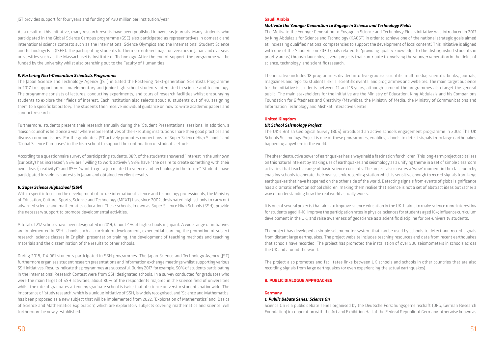#### JST provides support for four years and funding of ¥30 million per institution/year.

As a result of this initiative, many research results have been published in overseas journals. Many students who participated in the Global Science Campus programme (GSC) also participated as representatives in domestic and international science contests such as the International Science Olympics and the International Student Science and Technology Fair (ISEF). The participating students furthermore entered major universities in Japan and overseas universities such as the Massachusetts Institute of Technology. After the end of support, the programme will be funded by the university whilst also branching out to the Faculty of Humanities.

### *5. Fostering Next-Generation Scientists Programme*

The Japan Science and Technology Agency (JST) initiated the Fostering Next-generation Scientists Programme in 2017 to support promising elementary and junior high school students interested in science and technology. The programme consists of lectures, conducting experiments, and tours of research facilities whilst encouraging students to explore their fields of interest. Each institution also selects about 10 students out of 40, assigning them to a specific laboratory. The students then receive individual guidance on how to write academic papers and conduct research.

Furthermore, students present their research annually during the 'Student Presentations' sessions. In addition, a 'liaison council' is held once a year where representatives of the executing institutions share their good practices and discuss common issues. For the graduates, JST actively promotes connections to 'Super Science High Schools' and 'Global Science Campuses' in the high school to support the continuation of students' efforts.

According to a questionnaire survey of participating students, 98% of the students answered "interest in the unknown (curiosity) has increased"; 95% are "willing to work actively"; 93% have "the desire to create something with their own ideas (creativity)"; and 89% "want to get a job related to science and technology in the future". Students have participated in various contests in Japan and obtained excellent results.

# *6. Super Science Highschool (SSH)*

With a specific focus on the development of future international science and technology professionals, the Ministry of Education, Culture, Sports, Science and Technology (MEXT) has, since 2002, designated high schools to carry out advanced science and mathematics education. These schools, known as Super Science High Schools (SSH), provide the necessary support to promote developmental activities.

A total of 212 schools have been designated in 2019, (about 4% of high schools in Japan). A wide range of initiatives are implemented in SSH schools such as curriculum development, experiential learning, the promotion of subject research, science classes in English, presentation training, the development of teaching methods and teaching materials and the dissemination of the results to other schools.

During 2018, 114 061 students participated in SSH programmes. The Japan Science and Technology Agency (JST) furthermore organises student research presentations and information exchange meetings whilst supporting various SSH initiatives. Results indicate the programmes are successful. During 2017, for example, 50% of students participating in the International Research Contest were from SSH designated schools. In a survey conducted for graduates who were the main target of SSH activities, about 80% of the respondents majored in the science field of universities whilst the rate of graduates attending graduate school is twice that of science university students nationwide. The importance of 'study research', which is a unique initiative of SSH, is widely recognised, and 'Science and Mathematics' has been proposed as a new subject that will be implemented from 2022. 'Exploration of Mathematics' and 'Basics of Science and Mathematics Exploration', which are exploratory subjects covering mathematics and science, will furthermore be newly established.

#### **Saudi Arabia**

# *Motivate the Younger Generation to Engage in Science and Technology Fields*

The Motivate the Younger Generation to Engage in Science and Technology Fields initiative was introduced in 2017 by King Abdulaziz for Science and Technology (KACST) in order to achieve one of the national strategic goals aimed at 'increasing qualified national competencies to support the development of local content'. This initiative is aligned with one of the Saudi Vision 2030 goals related to 'providing quality knowledge to the distinguished students in priority areas', through launching several projects that contribute to involving the younger generation in the fields of science, technology, and scientific research.

The initiative includes 18 programmes divided into five groups: scientific multimedia; scientific books, journals, magazines and reports; students' skills; scientific events; and programmes and websites. The main target audience for the initiative is students between 12 and 18 years, although some of the programmes also target the general public. The main stakeholders for the initiative are the Ministry of Education, King Abdulaziz and his Companions Foundation for Giftedness and Creativity (Mawhiba), the Ministry of Media, the Ministry of Communications and Information Technology and Mishkat Interactive Centre.

# **United Kingdom**

#### *UK School Seismology Project*

The UK's British Geological Survey (BGS) introduced an active schools engagement programme in 2007. The UK Schools Seismology Project is one of these programmes, enabling schools to detect signals from large earthquakes happening anywhere in the world.

The sheer destructive power of earthquakes has always held a fascination for children. This long-term project capitalises on this natural interest by making use of earthquakes and seismology as a unifying theme in a set of simple classroom activities that teach a range of basic science concepts. The project also creates a 'wow' moment in the classroom by enabling schools to operate their own seismic recording station which is sensitive enough to record signals from large earthquakes that have happened on the other side of the world. Detecting signals from events of global significance has a dramatic effect on school children, making them realise that science is not a set of abstract ideas but rather a way of understanding how the real world actually works.

It is one of several projects that aims to improve science education in the UK. It aims to make science more interesting for students aged 11-16; improve the participation rates in physical sciences for students aged 16+; influence curriculum development in the UK; and raise awareness of geoscience as a scientific discipline for pre-university students.

The project has developed a simple seismometer system that can be used by schools to detect and record signals from distant large earthquakes. The project website includes teaching resources and data from recent earthquakes that schools have recorded. The project has promoted the installation of over 500 seismometers in schools across the UK and around the world.

The project also promotes and facilitates links between UK schools and schools in other countries that are also recording signals from large earthquakes (or even experiencing the actual earthquakes).

#### **B. PUBLIC DIALOGUE APPROACHES**

#### **Germany**

### *1. Public Debate Series: Science On*

Science On is a public debate series organised by the Deutsche Forschungsgemeinschaft (DFG, German Research Foundation) in cooperation with the Art and Exhibition Hall of the Federal Republic of Germany, otherwise known as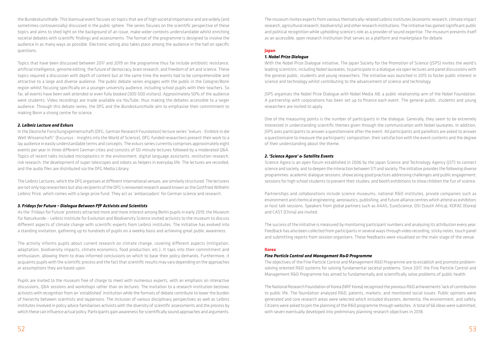the Bundeskunsthalle. This biannual event focuses on topics that are of high societal importance and are widely (and sometimes controversially) discussed in the public sphere. The series focuses on the scientific perspective of these topics and aims to shed light on the background of an issue, make wider contexts understandable whilst enriching societal debates with scientific findings and assessments. The format of the programme is designed to involve the audience in as many ways as possible. Electronic voting also takes place among the audience in the hall on specific questions.

Topics that have been discussed between 2017 and 2019 on the programme thus far include antibiotic resistance, artificial intelligence, genome editing, the future of democracy, brain research, and freedom of art and science. These topics required a discussion with depth of content but at the same time the events had to be comprehensible and attractive to a large and diverse audience. The public debate series engages with the public in the Cologne/Bonn region whilst focusing specifically on a younger university audience, including school pupils with their teachers. So far, all events have been well attended or even fully booked (300-500 visitors). Approximately 50% of the audience were students. Video recordings are made available via YouTube, thus making the debates accessible to a larger audience. Through this debate series, the DFG and the *Bundeskunsthalle* aim to emphasise their commitment to making Bonn a strong centre for science.

#### *2. Leibniz Lecture and Exkurs*

In the Deutsche Forschungsgemeinschaft (DFG, German Research Foundation) lecture series "exkurs - Einblick in die Welt Wissenschaft" (Excursus - Insights into the World of Science), DFG-funded researchers present their work to a lay audience in easily understandable terms and concepts. The *exkurs* series currently comprises approximately eight events per year in three different German cities and consists of 50-minute lectures followed by a moderated Q&A. Topics of recent talks included microplastics in the environment, digital language assistants, restitution research, risk research, the development of super telescopes and robots as helpers in everyday life. The lectures are recorded, and the audio files are distributed via the DFG Media Library.

The Leibniz Lectures, which the DFG organises at different international venues, are similarly structured. The lecturers are not only top researchers but also recipients of the DFG's renowned research award known as the Gottfried Wilhelm Leibniz Prize, which comes with a large prize fund. They act as 'ambassadors' for German science and research.

With the Nobel Prize Dialogue initiative, The Japan Society for the Promotion of Science (JSPS) invites the world's leading scientists, including Nobel laureates, to participate in a dialogue via open lectures and panel discussions with the general public, students and young researchers. The initiative was launched in 2015 to foster public interest in science and technology whilst contributing to the advancement of science and technology.

#### *3. Fridays for Future – Dialogue Between FfF Activists and Scientists*

As the 'Fridays for Future' protests attracted more and more interest among Berlin pupils in early 2019, the Museum für Naturkunde – Leibniz Institute for Evolution and Biodiversity Science invited activists to the museum to discuss different aspects of climate change with scientific experts from Leibniz institutes. The initiative has evolved into a standing invitation, gathering up to hundreds of pupils on a weekly basis and achieving great public awareness.

The activity informs pupils about current research on climate change, covering different aspects (mitigation, adaptation, biodiversity impacts, climate economics, food production, etc.). It taps into their commitment and enthusiasm, allowing them to draw informed conclusions on which to base their policy demands. Furthermore, it acquaints pupils with the scientific process and the fact that scientific results may vary depending on the approaches or assumptions they are based upon.

Pupils are invited to the museum free of charge to meet with numerous experts, with an emphasis on interactive discussions, Q&A sessions and workshops rather than on lectures. The invitation to a research institution bestows activists with recognition from an 'established' institution while the formats of debate contribute to lower the burden of hierarchy between scientists and laypersons. The inclusion of various disciplinary perspectives as well as Leibniz institutes involved in policy advice familiarises activists with the diversity of scientific assessments and the process by which these can influence actual policy. Participants gain awareness for scientifically sound approaches and arguments.

The museum invites experts from various thematically-related Leibniz institutes (economic research, climate impact research, agricultural research, biodiversity) and other research institutions. The initiative has gained significant public and political recognition while upholding science's role as a provider of sound expertise. The museum presents itself as an accessible, open research institution that serves as a platform and marketplace for debate.

# **Japan**

#### *1. Nobel Prize Dialogue*

JSPS organises the Nobel Prize Dialogue with Nobel Media AB, a public relationship arm of the Nobel Foundation. A partnership with corporations has been set up to finance each event. The general public, students and young researchers are invited to apply.

One of the measuring points is the number of participants in the dialogue. Generally, they seem to be extremely interested in understanding scientific themes given through the communication with Nobel laureates. In addition, JSPS asks participants to answer a questionnaire after the event. All participants and panellists are asked to answer a questionnaire to measure the participants' composition, their satisfaction with the event contents and the degree of their understanding about the theme.

#### *2. 'Science Agora' & Satellite Events*

Science Agora is an open forum established in 2006 by the Japan Science and Technology Agency (JST) to connect science and society, and to deepen the interaction between STI and society. The initiative provides the following diverse programmes: academic dialogue sessions; showcasing good practices addressing challenges and public engagement; sessions for high school students to present their studies; and booth exhibitions to show children the fun of science.

Partnerships and collaborations include science museums, national R&D institutes, private companies such as environment and chemical engineering, aeronautics, publishing, and future alliance centres which attend as exhibitors or host talk sessions. Speakers from global partners such as AAAS, EuroScience, DSI (South Africa), KOFAC (Korea) and CAST (China) are invited.

The success of the initiative is measured by monitoring participant numbers and analysing its attribution every year. Feedback has also been collected from participants in several ways through video recording, sticky notes, touch panel and submitting reports from session organisers. These feedbacks were visualised on the main stage of the venue.

#### **Korea**

#### *Fine Particle Control and Management R&D Programme*

The objectives of the Fine Particle Control and Management R&D Programme are to establish and promote problemsolving oriented R&D systems for solving fundamental societal problems. Since 2017, the Fine Particle Control and Management R&D Programme has aimed to fundamentally and scientifically solve problems of public health.

The National Research Foundation of Korea (NRF Korea) recognised the previous R&D achievements' lack of contribution to public life. The foundation analysed R&D, patents, markets, and monitored social issues. Public opinions were generated and core research areas were selected which included disasters, dementia, the environment, and safety. Citizens were asked to join the planning of the R&D programme through websites. A total of 66 ideas were submitted, with seven eventually developed into preliminary planning research objectives in 2018.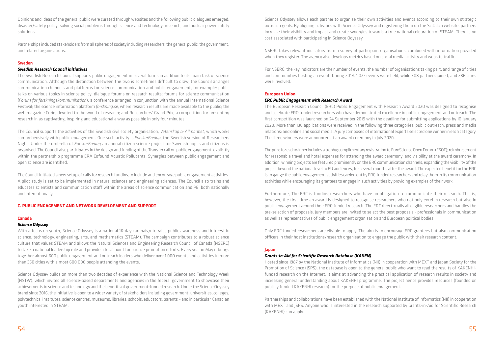Opinions and ideas of the general public were curated through websites and the following public dialogues emerged: disaster/safety policy; solving social problems through science and technology; research; and nuclear power safety solutions.

Partnerships included stakeholders from all spheres of society including researchers, the general public, the government, and related organisations.

#### **Sweden**

#### *Swedish Research Council initiatives*

The Swedish Research Council supports public engagement in several forms in addition to its main task of science communication. Although the distinction between the two is sometimes difficult to draw, the Council arranges communication channels and platforms for science communication and public engagement, for example: public talks on various topics in science policy; dialogue forums on research results; forums for science communication (*Forum för forskningskommunikation*), a conference arranged in conjunction with the annual International Science Festival; the science information platform *forskning.se*, where research results are made available to the public; the web magazine Curie, devoted to the world of research; and Researchers' Grand Prix, a competition for presenting research in as captivating, inspiring and educational a way as possible in only four minutes.

The Council supports the activities of the Swedish civil society organisation, *Vetenskap & Allmänhet*, which works comprehensively with public engagement. One such activity is *ForskarFredag*, the Swedish version of Researchers Night. Under the umbrella of *ForskarFredag* an annual citizen science project for Swedish pupils and citizens is organised. The Council also participates in the design and funding of the Transfer call on public engagement, explicitly within the partnership programme ERA Cofound Aquatic Pollutants. Synergies between public engagement and open science are identified.

The Council initiated a new setup of calls for research funding to include and encourage public engagement activities. A pilot study is set to be implemented in natural sciences and engineering sciences. The Council also trains and educates scientists and communication staff within the areas of science communication and PE, both nationally and internationally.

#### **C. PUBLIC ENGAGEMENT AND NETWORK DEVELOPMENT AND SUPPORT**

#### **Canada**

#### *Science Odyssey*

With a focus on youth, Science Odyssey is a national 16-day campaign to raise public awareness and interest in science, technology, engineering, arts, and mathematics (STEAM). The campaign contributes to a robust science culture that values STEAM and allows the Natural Sciences and Engineering Research Council of Canada (NSERC) to take a national leadership role and provide a focal point for science promotion efforts. Every year in May it brings together almost 600 public engagement and outreach leaders who deliver over 1 000 events and activities in more than 350 cities with almost 600 000 people attending the events.

Science Odyssey builds on more than two decades of experience with the National Science and Technology Week (NSTW), which invited all science-based departments and agencies in the federal government to showcase their achievements in science and technology and the benefits of government-funded research. Under the Science Odyssey brand since 2016, the initiative is open to a wider variety of stakeholders including government, universities, colleges, polytechnics, institutes, science centres, museums, libraries, schools, educators, parents – and in particular, Canadian youth interested in STEAM.

Science Odyssey allows each partner to organise their own activities and events according to their own strategic outreach goals. By aligning activities with Science Odyssey and registering them on the SciOd.ca website, partners increase their visibility and impact and create synergies towards a true national celebration of STEAM. There is no cost associated with participating in Science Odyssey.

NSERC takes relevant indicators from a survey of participant organisations, combined with information provided when they register. The agency also develops metrics based on social media activity and website traffic.

For NSERC, the key indicators are the number of events, the number of organisations taking part, and range of cities and communities hosting an event. During 2019, 1 027 events were held, while 508 partners joined, and 286 cities were involved.

#### **European Union**

#### *ERC Public Engagement with Research Award*

The European Research Council (ERC) Public Engagement with Research Award 2020 was designed to recognise and celebrate ERC-funded researchers who have demonstrated excellence in public engagement and outreach. The first competition was launched on 24 September 2019 with the deadline for submitting applications by 10 January 2020. More than 130 applications were received in the following three categories: public outreach; press and media relations; and online and social media. A jury composed of international experts selected one winner in each category. The three winners were announced at an award ceremony in July 2020.

The prize for each winner includes a trophy; complimentary registration to EuroScience Open Forum (ESOF); reimbursement for reasonable travel and hotel expenses for attending the award ceremony; and visibility at the award ceremony. In addition, winning projects are featured prominently on the ERC communication channels, expanding the visibility of the project beyond the national level to EU audiences, for several months after the award. The expected benefit for the ERC is to gauge the public engagement activities carried out by ERC-funded researchers and relay them in its communication activities while encouraging its grantees to engage in such activities by providing examples of their work.

Furthermore, The ERC is funding researchers who have an obligation to communicate their research. This is, however, the first time an award is designed to recognise researchers who not only excel in research but also in public engagement around their ERC-funded research. The ERC direct-mails all eligible researchers and handles the pre-selection of proposals. Jury members are invited to select the best proposals - professionals in communication as well as representatives of public engagement organisation and European political bodies.

Only ERC-funded researchers are eligible to apply. The aim is to encourage ERC grantees but also communication officers in their host institutions/research organisation to engage the public with their research content.

#### **Japan**

#### *Grants-in-Aid for Scientific Research Database (KAKEN)*

Hosted since 1987 by the National Institute of Informatics (NII) in cooperation with MEXT and Japan Society for the Promotion of Science (JSPS), the database is open to the general public who want to read the results of KAKENHIfunded research on the Internet. It aims at advancing the practical application of research results in society and increasing general understanding about KAKENHI programme. The project hence provides resources (founded on publicly funded KAKENHI research) for the purpose of public engagement.

Partnerships and collaborations have been established with the National Institute of Informatics (NII) in cooperation with MEXT and JSPS. Anyone who is interested in the research supported by Grants-in-Aid for Scientific Research (KAKENHI) can apply.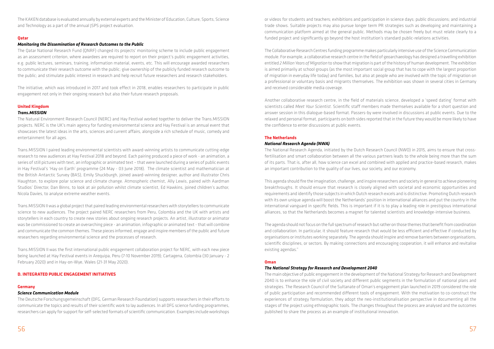The KAKEN database is evaluated annually by external experts and the Minister of Education, Culture, Sports, Science and Technology as a part of the annual JSPS project evaluation.

#### **Qatar**

#### *Monitoring the Dissemination of Research Outcomes to the Public*

The Qatar National Research Fund (QNRF) changed its projects' monitoring scheme to include public engagement as an assessment criterion, where awardees are required to report on their project's public engagement activities, e.g. public lectures, seminars, training, information material, events, etc. This will encourage awarded researchers to communicate their research outcome with the public; give ownership of the publicly funded research outcome to the public; and stimulate public interest in research and help recruit future researchers and research stakeholders.

The initiative, which was introduced in 2017 and took effect in 2018, enables researchers to participate in public engagement not only in their ongoing research but also their future research proposals.

### **United Kingdom**

#### *Trans.MISSION*

The Natural Environment Research Council (NERC) and Hay Festival worked together to deliver the Trans.MISSION projects. NERC is the UK's main agency for funding environmental science and Hay Festival is an annual event that showcases the latest ideas in the arts, sciences and current affairs, alongside a rich schedule of music, comedy and entertainment for all ages.

Trans.MISSION I paired leading environmental scientists with award-winning artists to communicate cutting-edge research to new audiences at Hay Festival 2018 and beyond. Each pairing produced a piece of work - an animation, a series of still pictures with text, an infographic or animated text – that were launched during a series of public events in Hay Festival's 'Hay on Earth' programme (24 May - 03 June 2018). The climate scientist and mathematician at the British Antarctic Survey (BAS), Emily Shuckburgh, joined award-winning designer, author and illustrator Chris Haughton, to explore polar science and climate change. Atmospheric chemist, Ally Lewis, paired with Aardman Studios' Director, Dan Binns, to look at air pollution whilst climate scientist, Ed Hawkins, joined children's author, Nicola Davies, to analyse extreme weather events.

Trans.MISSION II was a global project that paired leading environmental researchers with storytellers to communicate science to new audiences. The project paired NERC researchers from Peru, Colombia and the UK with artists and storytellers in each country to create new stories about ongoing research projects. An artist, illustrator or animator was be commissioned to create an overarching piece - an animation, infographic or animated text - that will combine and communicate the common themes. These pieces informed, engage and inspire members of the public and future researchers regarding environmental science and the processes of research.

Trans.MISSION II was the first international public engagement collaboration project for NERC, with each new piece being launched at Hay Festival events in Arequipa, Peru (7-10 November 2019); Cartagena, Colombia (30 January - 2 February 2020) and in Hay-on-Wye, Wales (21-31 May 2020).

#### **D. INTEGRATED PUBLIC ENGAGEMENT INITIATIVES**

#### **Germany**

#### *Science Communication Module*

The Deutsche Forschungsgemeinschaft (DFG, German Research Foundation) supports researchers in their efforts to communicate the topics and results of their scientific work to lay audiences. In all DFG science funding programmes, researchers can apply for support for self-selected formats of scientific communication. Examples include workshops

or videos for students and teachers; exhibitions and participation in science days; public discussions; and industrial trade shows. Suitable projects may also pursue longer term PR strategies such as developing and maintaining a communication platform aimed at the general public. Methods may be chosen freely but must relate clearly to a funded project and significantly go beyond the host institution's standard public-relations activities.

The Collaborative Research Centres funding programme makes particularly intensive use of the Science Communication module. For example, a collaborative research centre in the field of geoarchaeology has designed a travelling exhibition entitled *2 Million Years of Migration* to show that migration is part of the history of human development. The exhibition is aimed primarily at school groups (as the most important social group that has to cope with the largest proportion of migration in everyday life today) and families, but also at people who are involved with the topic of migration on a professional or voluntary basis and migrants themselves. The exhibition was shown in several cities in Germany and received considerable media coverage.

Another collaborative research centre, in the field of materials science, developed a 'speed dating' format with scientists called *Meet Your Scientist*. Scientific staff members made themselves available for a short question and answer session in this dialogue-based format. Passers-by were involved in discussions at public events. Due to the relaxed and personal format, participants on both sides reported that in the future they would be more likely to have the confidence to enter discussions at public events.

# **The Netherlands**

#### *National Research Agenda (NWA)*

The National Research Agenda, initiated by the Dutch Research Council (NWO) in 2015, aims to ensure that crossfertilisation and smart collaboration between all the various partners leads to the whole being more than the sum of its parts. That is, after all, how science can excel and combined with applied and practice-based research, makes an important contribution to the quality of our lives, our society, and our economy.

This agenda should fire the imagination, challenge, and inspire researchers and society in general to achieve pioneering breakthroughs. It should ensure that research is closely aligned with societal and economic opportunities and requirements and identify those subjects in which Dutch research excels and is distinctive. Promoting Dutch research with its own unique agenda will boost the Netherlands' position in international alliances and put the country in the international vanguard in specific fields. This is important if it is to play a leading role in prestigious international alliances, so that the Netherlands becomes a magnet for talented scientists and knowledge-intensive business.

The agenda should not focus on the full spectrum of research but rather on those themes that benefit from coordination and collaboration. In particular, it should feature research that would be less efficient and effective if conducted by organisations or institutes working separately. The agenda should inspire and remove barriers between organisations, scientific disciplines, or sectors. By making connections and encouraging cooperation, it will enhance and revitalise existing agendas."

#### **Oman**

#### *The National Strategy for Research and Development 2040*

The main objective of public engagement in the development of the National Strategy for Research and Development 2040 is to enhance the role of civil society and different public segments in the formulation of national plans and strategies. The Research Council of the Sultanate of Oman's engagement plan launched in 2019 considered the role of public participation and recommended different tools of engagement. With the motivation to co-construct the experiences of strategy formulation, they adopt the neo-institutionalisation perspective in documenting all the stages of the project using ethnographic tools. The changes throughout the process are analysed and the outcomes published to share the process as an example of institutional innovation.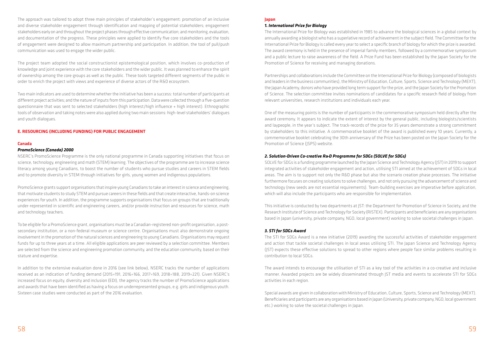The approach was tailored to adopt three main principles of stakeholder's engagement: promotion of an inclusive and diverse stakeholder engagement through identification and mapping of potential stakeholders; engagement stakeholders early on and throughout the project phases through effective communication; and monitoring, evaluation, and documentation of the progress. These principles were applied to identify five core stakeholders and the tools of engagement were designed to allow maximum partnership and participation. In addition, the tool of pull/push communication was used to engage the wider public.

The project team adopted the social constructionist epistemological position, which involves co-production of knowledge and joint experience with the core stakeholders and the wider public. It was planned to enhance the spirit of ownership among the core groups as well as the public. These tools targeted different segments of the public in order to enrich the project with views and experience of diverse actors of the R&D ecosystem.

Two main indicators are used to determine whether the initiative has been a success: total number of participants at different project activities; and the nature of inputs from this participation. Data were collected through a five-question questionnaire that was sent to selected stakeholders (high interest/high influence + high interest). Ethnographic tools of observation and taking notes were also applied during two main sessions: high-level stakeholders' dialogues and youth dialogues.

#### **E. RESOURCING (INCLUDING FUNDING) FOR PUBLIC ENGAGEMENT**

#### **Canada**

#### *PromoScience (Canada) 2000*

NSERC's PromoScience Programme is the only national programme in Canada supporting initiatives that focus on science, technology, engineering and math (STEM) learning. The objectives of the programme are to increase science literacy among young Canadians, to boost the number of students who pursue studies and careers in STEM fields and to promote diversity in STEM through initiatives for girls, young women and indigenous populations.

PromoScience grants support organisations that inspire young Canadians to take an interest in science and engineering, that motivate students to study STEM and pursue careers in these fields and that create interactive, hands-on science experiences for youth. In addition, the programme supports organisations that focus on groups that are traditionally under-represented in scientific and engineering careers, and/or provide instruction and resources for science, math and technology teachers.

To be eligible for a PromoScience grant, organisations must be a Canadian-registered non-profit organisation, a postsecondary institution, or a non-federal museum or science centre. Organisations must also demonstrate ongoing involvement in the promotion of the natural sciences and engineering to young Canadians. Organisations may request funds for up to three years at a time. All eligible applications are peer reviewed by a selection committee. Members are selected from the science and engineering promotion community, and the education community, based on their stature and expertise.

In addition to the extensive evaluation done in 2016 (see link below), NSERC tracks the number of applications received as an indication of funding demand (2015=191, 2016=166, 2017=169, 2018=188, 2019=221). Given NSERC's increased focus on equity, diversity and inclusion (EDI), the agency tracks the number of PromoScience applications and awards that have been identified as having a focus on underrepresented groups, e.g. girls and indigenous youth. Sixteen case studies were conducted as part of the 2016 evaluation.

#### **Japan**

#### *1. International Prize for Biology*

The International Prize for Biology was established in 1985 to advance the biological sciences in a global context by annually awarding a biologist who has a superlative record of achievement in the subject field. The Committee for the International Prize for Biology is called every year to select a specific branch of biology for which the prize is awarded. The award ceremony is held in the presence of imperial family members, followed by a commemorative symposium and a public lecture to raise awareness of the field. A Prize Fund has been established by the Japan Society for the Promotion of Science for receiving and managing donations.

Partnerships and collaborations include the Committee on the International Prize for Biology (composed of biologists and leaders in the business communities), the Ministry of Education, Culture, Sports, Science and Technology (MEXT), the Japan Academy, donors who have provided long term support for the prize, and the Japan Society for the Promotion of Science. The selection committee invites nominations of candidates for a specific research field of biology from relevant universities, research institutions and individuals each year.

One of the measuring points is the number of participants in the commemorative symposium held directly after the award ceremony. It appears to indicate the extent of interest by the general public, including biologists/scientists and laypeople, in the year's subject. The track-records of the prize for 35 years demonstrate a strong commitment by stakeholders to this initiative. A commemorative booklet of the award is published every 10 years. Currently, a commemorative booklet celebrating the 30th anniversary of the Prize has been posted on the Japan Society for the Promotion of Science (JSPS) website.

# *2. Solution-Driven Co-creative R&D Programme for SDGs (SOLVE for SDGs)*

SOLVE for SDGs is a funding programme launched by the Japan Science and Technology Agency (JST) in 2019 to support integrated activities of stakeholder engagement and action, utilising STI aimed at the achievement of SDGs in local areas. The aim is to support not only the R&D phase but also the scenario creation phase processes. The initiative furthermore focuses on creating solutions to solve challenges, and not only pursuing the advancement of science and technology (new seeds are not essential requirements). Team-building exercises are imperative before application, which will also include the participants who are responsible for implementation.

This initiative is conducted by two departments at JST: the Department for Promotion of Science in Society, and the Research Institute of Science and Technology for Society (RISTEX). Participants and beneficiaries are any organisations based in Japan (university, private company, NGO, local government) working to solve societal challenges in Japan.

#### *3. STI for SDGs Award*

The STI for SDGs Award is a new initiative (2019) awarding the successful activities of stakeholder engagement and action that tackle societal challenges in local areas utilising STI. The Japan Science and Technology Agency (JST) expects these effective solutions to spread to other regions where people face similar problems resulting in contribution to local SDGs.

The award intends to encourage the utilisation of STI as a key tool of the activities in a co-creative and inclusive manner. Awarded projects are be widely disseminated through JST media and events to accelerate STI for SDGs activities in each region.

Special awards are given in collaboration with Ministry of Education, Culture, Sports, Science and Technology (MEXT). Beneficiaries and participants are any organisations based in Japan (University, private company, NGO, local government etc.) working to solve the societal challenges in Japan.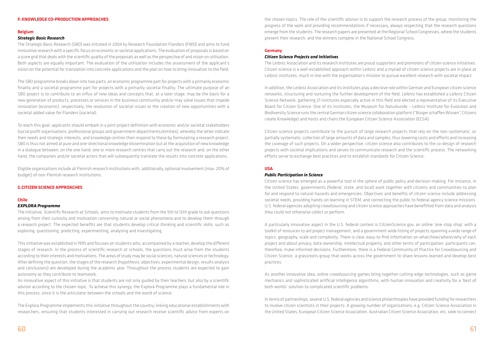#### **F. KNOWLEDGE CO-PRODUCTION APPROACHES**

#### **Belgium**

#### *Strategic Basic Research*

The Strategic Basic Research (SBO) was initiated in 2004 by Research Foundation Flanders (FWO) and aims to fund innovative research with a specific focus on economic or societal applications. The evaluation of proposals is based on a score grid that deals with the scientific quality of the proposals as well as the perspective of and vision on utilisation. Both aspects are equally important. The evaluation of the utilisation includes the assessment of the applicant's vision on the potential for translation into concrete applications and the plan on how to bring innovation to the field.

The SBO programme breaks down into two parts: an economic programme part for projects with a primarily economic finality and a societal programme part for projects with a primarily societal finality. The ultimate purpose of an SBO project is to contribute to an influx of new ideas and concepts that, at a later stage, may be the basis for a new generation of products, processes or services in the business community and/or may solve issues that impede innovation (economic), respectively, the resolution of societal issues or the creation of new opportunities with a societal added value for Flanders (societal).

To reach this goal, applicants should embark in a joint project definition with economic and/or societal stakeholders (social profit organisations, professional groups and government departments/entities), whereby the latter indicate their needs and strategic interests, and knowledge centres then respond to these by formulating a research project. SBO is thus not aimed at pure and one-directional knowledge dissemination but at the acquisition of new knowledge in a dialogue between, on the one hand, one or more research centres that carry out the research and, on the other hand, the companies and/or societal actors that will subsequently translate the results into concrete applications.

Eligible organisations include all Flemish research institutions with, additionally, optional involvement (max. 20% of budget) of non-Flemish research institutions.

#### **G.CITIZEN SCIENCE APPROACHES**

#### **Chile**

#### *EXPLORA Programme*

The initiative, Scientific Research at Schools, aims to motivate students from the 5th to 12th grade to ask questions arising from their curiosity and motivation concerning natural or social phenomena and to develop them through a research project. The expected benefits are that students develop critical thinking and scientific skills, such as exploring, questioning, predicting, experimenting, analysing and investigating.

This initiative was established in 1995 and focuses on students who, accompanied by a teacher, develop the different stages of research. In the process of scientific research at schools, the questions must arise from the students according to their interests and motivations. The areas of study may be social sciences, natural sciences or technology. After defining the question, the stages of the research (hypothesis, objectives, experimental design, results analysis and conclusions) are developed during the academic year. Throughout the process students are expected to gain autonomy as they contribute to teamwork.

An innovative aspect of this initiative is that students are not only guided by their teachers, but also by a scientific advisor according to the chosen topic. To achieve this synergy, the Explora Programme plays a fundamental role in this process, since it is the articulator between the schools and the world of science.

The Explora Programme implements this initiative throughout the country, linking educational establishments with researchers, ensuring that students interested in carrying out research receive scientific advice from experts on the chosen topics. The role of the scientific advisor is to support the research process of the group, monitoring the progress of the work and providing recommendations if necessary, always respecting that the research questions emerge from the students. The research papers are presented at the Regional School Congresses, where the students present their research, and the winners compete in the National School Congress.

#### **Germany**

#### *Citizen Science Projects and Initiatives*

The Leibniz Association and its research institutes are proud supporters and promoters of citizen science initiatives. Citizen science is a well-established approach within Leibniz and a myriad of citizen science projects are in place at Leibniz institutes, much in line with the organisation's mission to pursue excellent research with societal impact.

In addition, the Leibniz Association and its institutes play a decisive role within German and European citizen science networks, structuring and nurturing the further development of the field. Leibniz has established a Leibniz Citizen Science Network, gathering 21 institutes especially active in this field and elected a representative of its Executive Board for Citizen Science. One of its institutes, the Museum für Naturkunde – Leibniz Institute for Evolution and Biodiversity Science runs the central German citizen science collaboration platform ("Bürger schaffen Wissen", Citizens create Knowledge) and hosts and chairs the European Citizen Science Association (ECSA).

Citizen science projects contribute to the pursuit of large research projects that rely on the non-systematic, or partially systematic, collection of large amounts of data and samples, thus lowering costs and efforts and increasing the coverage of such projects. On a wider perspective, citizen science also contributes to the co-design of research projects with societal implications and serves to communicate research and the scientific process. The networking efforts serve to exchange best practices and to establish standards for Citizen Science.

#### **USA**

#### *Public Participation in Science*

Citizen science has emerged as a powerful tool in the sphere of public policy and decision-making. For instance, in the United States, governments (federal, state, and local) work together with citizens and communities to plan for and respond to natural hazards and emergencies. Objectives and benefits of citizen science include addressing societal needs, providing hands-on learning in STEM, and connecting the public to federal agency science missions. U.S. federal agencies adopting crowdsourcing and citizen science approaches have benefitted from data and analysis they could not otherwise collect or perform.

A particularly innovative aspect in the U.S. federal context is CitizenScience.gov, an online 'one-stop shop' with a toolkit of resources to aid project management, and a government-wide listing of projects spanning a wide range of topics, geography, scale and complexity. There is clear, easy-to-find information on what/how/where/why of each project and about privacy, data ownership, intellectual property, and other terms of participation; participants can, therefore, make informed decisions. Furthermore, there is a Federal Community of Practice for Crowdsourcing and Citizen Science, a grassroots group that works across the government to share lessons learned and develop best practices.

As another innovative idea, online crowdsourcing games bring together cutting-edge technologies, such as game mechanics and sophisticated artificial intelligence algorithms, with human innovation and creativity for a 'best of both worlds' solution to complicated scientific problems.

In terms of partnerships, several U.S. federal agencies and science philanthropies have provided funding for researchers to involve citizen scientists in their projects. A growing number of organizations, e.g. Citizen Science Association in the United States, European Citizen Science Association, Australian Citizen Science Association, etc, seek to connect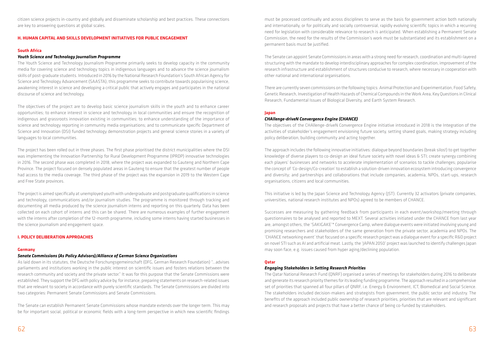citizen science projects in-country and globally and disseminate scholarship and best practices. These connections are key to answering questions at global scales.

#### **H. HUMAN CAPITAL AND SKILLS DEVELOPMENT INITIATIVES FOR PUBLIC ENGAGEMENT**

#### **South Africa**

#### *Youth Science and Technology Journalism Programme*

The Youth Science and Technology Journalism Programme primarily seeks to develop capacity in the community media for covering science and technology topics in indigenous languages and to advance the science journalism skills of post-graduate students. Introduced in 2016 by the National Research Foundation's South African Agency for Science and Technology Advancement (SAASTA), this programme seeks to contribute towards popularising science, awakening interest in science and developing a critical public that actively engages and participates in the national discourse of science and technology.

The objectives of the project are to develop basic science journalism skills in the youth and to enhance career opportunities; to enhance interest in science and technology in local communities and ensure the recognition of indigenous and grassroots innovation existing in communities; to enhance understanding of the importance of science and technology reporting in community media organisations; and to communicate specific Department of Science and Innovation (DSI) funded technology demonstration projects and general science stories in a variety of languages to local communities.

The project has been rolled out in three phases. The first phase prioritised the district municipalities where the DSI was implementing the Innovation Partnership for Rural Development Programme (IPRDP) innovative technologies in 2016. The second phase was completed in 2018, where the project was expanded to Gauteng and Northern Cape Province. The project focused on densely populated areas in Gauteng to ensure that the greatest number of people had access to the media coverage. The third phase of the project was the expansion in 2019 to the Western Cape and Free State provinces.

The project is aimed specifically at unemployed youth with undergraduate and postgraduate qualifications in science and technology, communications and/or journalism studies. The programme is monitored through tracking and documenting all media produced by the science journalism interns and reporting on this quarterly. Data has been collected on each cohort of interns and this can be shared. There are numerous examples of further engagement with the interns after completion of the 12-month programme, including some interns having started businesses in the science journalism and engagement space.

#### **I. POLICY DELIBERATION APPROACHES**

#### **Germany**

#### *Senate Commissions (As Policy Advisors)/Alliance of German Science Organizations*

As laid down in its statutes, the Deutsche Forschungsgemeinschaft (DFG, German Research Foundation) "…advises parliaments and institutions working in the public interest on scientific issues and fosters relations between the research community and society and the private sector." It was for this purpose that the Senate Commissions were established. They support the DFG with policy advice by, for instance, preparing statements on research-related issues that are relevant to society in accordance with purely scientific standards. The Senate Commissions are divided into two categories: Permanent Senate Commissions and Senate Commissions.

The Senate can establish Permanent Senate Commissions whose mandate extends over the longer term. This may be for important social, political or economic fields with a long-term perspective in which new scientific findings

must be processed continually and across disciplines to serve as the basis for government action both nationally and internationally, or for politically and socially controversial, rapidly evolving scientific topics in which a recurring need for legislation with considerable relevance to research is anticipated. When establishing a Permanent Senate Commission, the need for the results of the Commission's work must be substantiated and its establishment on a permanent basis must be justified.

The Senate can appoint Senate Commissions in areas with a strong need for research, coordination and multi-layered structuring with the mandate to develop interdisciplinary approaches for complex coordination, improvement of the research infrastructure and establishment of structures conducive to research, where necessary in cooperation with other national and international organisations.

There are currently seven commissions on the following topics: Animal Protection and Experimentation, Food Safety, Genetic Research, Investigation of Health Hazards of Chemical Compounds in the Work Area, Key Questions in Clinical Research, Fundamental Issues of Biological Diversity, and Earth System Research.

#### **Japan**

#### *CHAllenge-driveN Convergence Engine (CHANCE)*

The objectives of the CHAllenge-driveN Convergence Engine initiative introduced in 2018 is the Integration of the activities of stakeholder's engagement envisioning future society, setting shared goals, making strategy including policy deliberation, building community and acting together.

The approach includes the following innovative initiatives: dialogue beyond boundaries (break silos!) to get together knowledge of diverse players to co-design an ideal future society with novel ideas & STI; create synergy combining each players' businesses and networks to accelerate implementation of scenarios to tackle challenges; popularise the concept of 'Co-design/Co-creation' to establish a solution-driven innovation ecosystem introducing convergence and diversity; and partnerships and collaborations that include companies, academia, NPOs, start-ups, research organisations, citizens and local communities.

This initiative is led by the Japan Science and Technology Agency (JST). Currently 32 activators (private companies, universities, national research institutes and NPOs) agreed to be members of CHANCE.

Successes are measuring by gathering feedback from participants in each event/workshop/meeting through questionnaires to be analysed and reported to MEXT. Several activities initiated under the CHANCE from last year are, amongst others, the 'SAKIGAKE'\* Convergence Camp, where dialogue events were initiated involving young and promising researchers and stakeholders of the same generation from the private sector, academia and NPOs. The 'CHANCE networking event' that focused on a specific research project was a dialogue event for a specific R&D project on novel STI such as AI and artificial meat. Lastly, the 'JAPAN 2050' project was launched to identify challenges Japan may soon face, e.g. issues caused from hyper aging/declining population.

#### **Qatar**

#### *Engaging Stakeholders in Setting Research Priorities*

The Qatar National Research Fund (QNRF) organised a series of meetings for stakeholders during 2016 to deliberate and generate its research priority themes for its leading funding programme. The approach resulted in a comprehensive set of priorities that spanned all four pillars of QNRF, i.e. Energy & Environment, ICT, Biomedical and Social Science. The stakeholders included decision-makers and strategists from government, the public sector and industry. The benefits of the approach included public ownership of research priorities, priorities that are relevant and significant and research proposals and projects that have a better chance of being co-funded by stakeholders.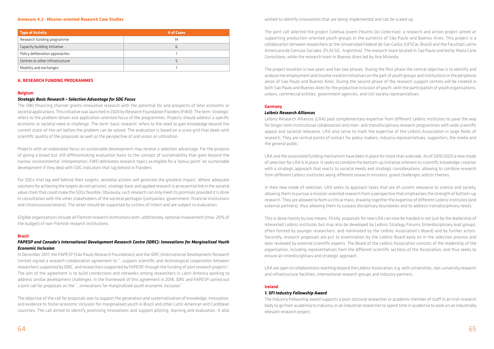#### **Annexure 4.2 - Mission-oriented Research Case Studies**

| <b>Type of Activity</b>         | # of Cases |
|---------------------------------|------------|
| Research funding programme      | 14         |
| Capacity building initiative    | b          |
| Policy deliberation approaches  |            |
| Centres or other infrastructure |            |
| Mobility and exchanges          |            |

#### **A. RESEARCH FUNDING PROGRAMMES**

#### **Belgium**

#### *Strategic Basic Research – Selection Advantage for SDG Focus*

The SBO financing channel grants innovative research with the potential for and prospects of later economic or societal applications. This initiative was launched in 2020 by Research Foundation Flanders (FWO). The term 'strategic' refers to the problem-driven and application-oriented focus of the programmes. Projects should address a specific economic or societal need or challenge. The term 'basic research' refers to the need to gain knowledge beyond the current state-of-the-art before the problem can be solved. The evaluation is based on a score grid that deals with scientific quality of the proposals as well as the perspective of and vision on utilisation.

Projects with an elaborated focus on sustainable development may receive a selection advantage. For the purpose of giving a broad but still differentiating evaluation basis to the concept of sustainability that goes beyond the narrow 'environmental' interpretation, FWO delineates research topics as eligible for a 'bonus point' on sustainable development if they deal with SDG indicators that lag behind in Flanders.

For SDGs that lag well behind their targets, remedial actions will generate the greatest impact. Where adequate solutions for achieving the targets do not yet exist, strategic basic and applied research is an essential link in the societal value chain that could make the SDGs feasible. Obviously, such research can only meet its promises provided it is done in consultation with the other stakeholders of the societal pentagon (companies, government, financial institutions and citizens/associations). The latter should be supported by Letters of Intent and are subject to evaluation.

Eligible organisations include all Flemish research institutions with, additionally, optional involvement (max. 20% of the budget) of non-Flemish research institutions.

#### **Brazil**

### *FAPESP and Canada's International Development Research Centre (IDRC): Innovations for Marginalized Youth Economic Inclusion*

In December 2017, the FAPESP (São Paulo Research Foundation) and the IDRC (International Development Research Centre) signed a research collaboration agreement to "…support scientific and technological cooperation between researchers supported by IDRC, and researchers supported by FAPESP, through the funding of joint research projects". The aim of the agreement is to build connections and networks among researchers in Latin America working to address similar development challenges. In the framework of this agreement in 2018, IDRC and FAPESP carried out a joint call for proposals on the "…innovations for marginalized youth economic inclusion".

In their new mode of selection, LRA seeks to approach tasks that are of current relevance to science and society, allowing them to pursue a mission-oriented research from a perspective that emphasises the strength of bottom-up research. They are allowed to form a critical mass, drawing together the expertise of different Leibniz institutes (and external partners), thus allowing them to surpass disciplinary boundaries and to address transdisciplinary needs.

The objective of the call for proposals was to support the generation and systematisation of knowledge, innovation, and evidence to foster economic inclusion for marginalised youth in Brazil and other Latin American and Caribbean countries. The call aimed to identify promising innovations and support piloting, learning and evaluation. It also wished to identify innovations that are being implemented and can be scaled up.

The joint call selected the project Coletiva Jovem (Youths Do Collective): a research and action project aimed at supporting production-oriented youth groups in the outskirts of São Paulo and Buenos Aires. This project is a collaboration between researchers at the Universidad Federal de San Carlos (UFSCar, Brazil) and the Facultad Latino Americana de Ciencias Sociales (FLACSO, Argentina). The research team located in Sao Paulo and led by Maria Carla Corrochano, while the research team in Buenos Aires led by Ana Miranda.

The project duration is two years and has two phases. During the first phase the central objective is to identify and analyse the employment and income creation initiatives on the part of youth groups and institutions in the peripheral areas of Sao Paulo and Buenos Aires. During the second phase of the research support centres will be created in both Sao Paulo and Buenos Aires for the productive inclusion of youth, with the participation of youth organisations, unions, commercial entities, government agencies, and civil society representatives.

#### **Germany**

#### *Leibniz Research Alliances*

Leibniz Research Alliances (LRA) pool complementary expertise from different Leibniz institutes to pave the way for longer term institutional collaboration and inter- and transdisciplinary research programmes with wide scientific appeal and societal relevance. LRA also serve to mark the expertise of the Leibniz Association in large fields of research. They are central points of contact for policy-makers, industry representatives, supporters, the media and the general public.

LRA and the associated funding mechanism have been in place for more than a decade. As of 2019/2020 a new mode of selection for LRA is in place. It seeks to combine the bottom-up initiative inherent to scientific knowledge-creation with a strategic approach that reacts to societal needs and strategic considerations, allowing to combine research from different Leibniz institutes along different research missions, grand challenges and/or themes.

This is done mostly by two means. Firstly, proposals for new LRA can now be handed in not just by the leadership of interested Leibniz institutes but may also be developed by Leibniz Strategy Forums (interdisciplinary lead groups, often formed by younger researchers, and nominated by the Leibniz Association's Board) and by further actors. Secondly, research proposals are put to examination by the Leibniz Board early on in the selection process and later reviewed by external scientific experts. The Board of the Leibniz Association consists of the leadership of the organisation, including representatives from the different scientific sections of the Association, and thus seeks to ensure an interdisciplinary and strategic approach.

LRA are open to collaborations reaching beyond the Leibniz Association, e.g. with universities, non-university research and infrastructure facilities, international research groups and industry partners.

#### **Ireland**

#### *1. SFI Industry Fellowship Award*

The Industry Fellowship award supports a post-doctoral researcher or academic member of staff in an Irish research body to go from academia to industry, or an industrial researcher to spend time in academia to work on an industrially relevant research project.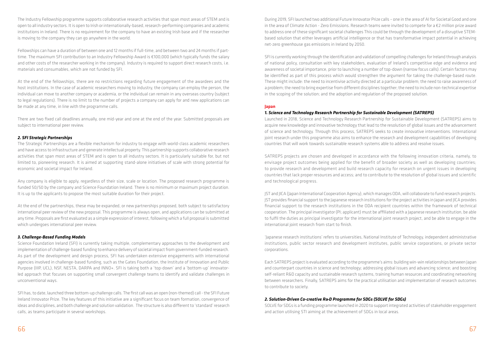The Industry Fellowship programme supports collaborative research activities that span most areas of STEM and is open to all industry sectors. It is open to Irish or internationally-based, research-performing companies and academic institutions in Ireland. There is no requirement for the company to have an existing Irish base and if the researcher is moving to the company they can go anywhere in the world.

Fellowships can have a duration of between one and 12 months if full-time, and between two and 24 months if parttime. The maximum SFI contribution to an Industry Fellowship Award is €100,000 (which typically funds the salary and other costs of the researcher working in the company). Industry is required to support direct research costs, i.e. materials and consumables, which are not funded by SFI.

At the end of the fellowships, there are no restrictions regarding future engagement of the awardees and the host institutions. In the case of academic researchers moving to industry, the company can employ the person, the individual can move to another company or academia, or the individual can remain in any overseas country (subject to legal regulations). There is no limit to the number of projects a company can apply for and new applications can be made at any time, in line with the programme calls.

There are two fixed call deadlines annually, one mid-year and one at the end of the year. Submitted proposals are subject to international peer review.

### *2. SFI Strategic Partnerships*

The Strategic Partnerships are a flexible mechanism for industry to engage with world-class academic researchers and have access to infrastructure and generate intellectual property. This partnership supports collaborative research activities that span most areas of STEM and is open to all industry sectors. It is particularly suitable for, but not limited to, pioneering research. It is aimed at supporting stand-alone initiatives of scale with strong potential for economic and societal impact for Ireland.

Any company is eligible to apply, regardless of their size, scale or location. The proposed research programme is funded 50/50 by the company and Science Foundation Ireland. There is no minimum or maximum project duration. It is up to the applicants to propose the most suitable duration for their project.

At the end of the partnerships, these may be expanded, or new partnerships proposed, both subject to satisfactory international peer review of the new proposal. This programme is always open, and applications can be submitted at any time. Proposals are first evaluated as a simple expression of interest, following which a full proposal is submitted which undergoes international peer review.

#### *3. Challenge-Based Funding Models*

Science Foundation Ireland (SFI) is currently taking multiple, complementary approaches to the development and implementation of challenge-based funding to enhance delivery of societal impact from government-funded research. As part of the development and design process, SFI has undertaken extensive engagements with international agencies involved in challenge-based funding, such as the Gates Foundation, the Institute of Innovation and Public Purpose (IIIP, UCL), NSF, NESTA, DARPA and INNO+. SFI is taking both a 'top-down' and a 'bottom-up' innovatorled approach that focuses on supporting small convergent challenge teams to identify and validate challenges in unconventional ways.

SFI has, to date, launched three bottom-up challenge calls. The first call was an open (non-themed) call - the SFI Future Ireland Innovator Prize. The key features of this initiative are a significant focus on team formation, convergence of ideas and disciplines, and both challenge and solution validation. The structure is also different to 'standard' research calls, as teams participate in several workshops.

During 2019, SFI launched two additional Future Innovator Prize calls – one in the area of AI for Societal Good and one in the area of Climate Action - Zero Emissions. Research teams were invited to compete for a €2 million prize award to address one of these significant societal challenges This could be through the development of a disruptive STEMbased solution that either leverages artificial intelligence or that has transformative impact potential in achieving net-zero greenhouse gas emissions in Ireland by 2050.

SFI is currently working through the identification and validation of compelling challenges for Ireland through analysis of national policy, consultation with key stakeholders, evaluation of Ireland's competitive edge and evidence and awareness of societal importance, prior to launching a number of top-down (narrow focus calls). Certain factors may be identified as part of this process which would strengthen the argument for taking the challenge-based route. These might include: the need to incentivise activity directed at a particular problem; the need to raise awareness of a problem; the need to bring expertise from different disciplines together; the need to include non-technical expertise in the scoping of the solution; and the adoption and regulation of the proposed solution.

#### **Japan**

# *1. Science and Technology Research Partnership for Sustainable Development (SATREPS)*

Launched in 2018, Science and Technology Research Partnership for Sustainable Development (SATREPS) aims to acquire new knowledge and innovative technology that lead to the resolution of global issues and the advancement of science and technology. Through this process, SATREPS seeks to create innovative interventions. International joint research under this programme also aims to enhance the research and development capabilities of developing countries that will work towards sustainable research systems able to address and resolve issues.

SATREPS projects are chosen and developed in accordance with the following innovation criteria, namely, to envisage project outcomes being applied for the benefit of broader society as well as developing countries; to provide research and development and build research capacity for research on urgent issues in developing countries that lack proper resources and access; and to contribute to the resolution of global issues and scientific and technological progress.

JST and JICA (Japan International Cooperation Agency), which manages ODA, will collaborate to fund research projects. JST provides financial support to the Japanese research institutions for the project activities in Japan and JICA provides financial support to the research institutions in the ODA recipient countries within the framework of technical cooperation. The principal investigator (PI; applicant) must be affiliated with a Japanese research institution, be able to fulfil the duties as principal investigator for the international joint research project, and be able to engage in the international joint research from start to finish.

'Japanese research institutions' refers to universities, National Institute of Technology, independent administrative institutions, public sector research and development institutes, public service corporations, or private sector corporations.

Each SATREPS project is evaluated according to the programme's aims: building win-win relationships between Japan and counterpart countries in science and technology; addressing global issues and advancing science; and boosting self-reliant R&D capacity and sustainable research systems, training human resources and coordinating networking between researchers. Finally, SATREPS aims for the practical utilisation and implementation of research outcomes to contribute to society.

# *2. Solution-Driven Co-creative R&D Programme for SDGs (SOLVE for SDGs)*

SOLVE for SDGs is a funding programme launched in 2020 to support integrated activities of stakeholder engagement and action utilising STI aiming at the achievement of SDGs in local areas.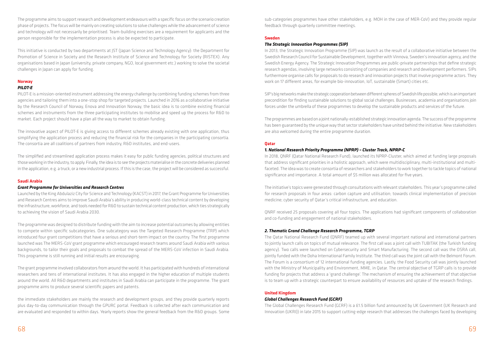The programme aims to support research and development endeavours with a specific focus on the scenario creation phase of projects. The focus will be mainly on creating solutions to solve challenges while the advancement of science and technology will not necessarily be prioritised. Team-building exercises are a requirement for applicants and the person responsible for the implementation process is also be expected to participate.

This initiative is conducted by two departments at JST (Japan Science and Technology Agency): the Department for Promotion of Science in Society and the Research Institute of Science and Technology for Society (RISTEX). Any organisations based in Japan (university, private company, NGO, local government etc.) working to solve the societal challenges in Japan can apply for funding.

# **Norway**

# *PILOT-E*

PILOT-E is a mission-oriented instrument addressing the energy challenge by combining funding schemes from three agencies and tailoring them into a one-stop shop for targeted projects. Launched in 2016 as a collaborative initiative by the Research Council of Norway, Enova and Innovation Norway, the basic idea is to combine existing financial schemes and instruments from the three participating institutes to mobilise and speed up the process for R&D to market. Each project should have a plan all the way to market to obtain funding.

The innovative aspect of PILOT-E is giving access to different schemes already existing with one application, thus simplifying the application process and reducing the financial risk for the companies in the participating consortia. The consortia are all coalitions of partners from industry, R&D institutes, and end-users.

The simplified and streamlined application process makes it easy for public funding agencies, political structures and those working in the industry, to apply. Finally, the idea is to see the projects materialise in the concrete deliveries planned in the application, e.g. a truck, or a new industrial process. If this is the case, the project will be considered as successful.

#### **Saudi Arabia**

#### *Grant Programme for Universities and Research Centres*

Launched by the King Abdulaziz City for Science and Technology (KACST) in 2017, the Grant Programme for Universities and Research Centres aims to improve Saudi Arabia's ability in producing world-class technical content by developing the infrastructure, workforce, and tools needed for R&D to sustain technical content production, which ties strategically to achieving the vision of Saudi Arabia 2030.

The programme was designed to distribute funding with the aim to increase potential outcomes by allowing entities to compete within specific subcategories. One subcategory was the Targeted Research Programme (TRP) which introduced four grant competitions that have a serious and short-term impact on the country. The first programme launched was The MERS-CoV grant programme which encouraged research teams around Saudi Arabia with various backgrounds, to tailor their goals and proposals to combat the spread of the MERS-CoV infection in Saudi Arabia. This programme is still running and initial results are encouraging.

The grant programme involved collaborators from around the world. It has participated with hundreds of international researchers and tens of international institutes. It has also engaged in the higher education of multiple students around the world. All R&D departments and institutes in Saudi Arabia can participate in the programme. The grant programme aims to produce several scientific papers and patents.

the immediate stakeholders are mainly the research and development groups, and they provide quarterly reports plus day-to-day communication through the GPURC portal. Feedback is collected after each communication and are evaluated and responded to within days. Yearly reports show the general feedback from the R&D groups. Some

sub-categories programmes have other stakeholders, e.g. MOH in the case of MER-CoV) and they provide regular feedback through quarterly committee meetings.

# **Sweden**

# *The Strategic Innovation Programmes (SIP)*

In 2013, the Strategic Innovation Programme (SIP) was launch as the result of a collaborative initiative between the Swedish Research Council for Sustainable Development, together with Vinnova, Sweden's innovation agency, and the Swedish Energy Agency. The Strategic Innovation Programmes are public-private partnerships that define strategic research agendas, involving large networks consisting of companies and research and development performers. SIPs furthermore organise calls for proposals to do research and innovation projects that involve programme actors. They work on 17 different areas, for example bio-innovation, IoT, sustainable (Smart) cities etc.

SIP's big networks make the strategic cooperation between different spheres of Swedish life possible, which is an important precondition for finding sustainable solutions to global social challenges. Businesses, academia and organisations join forces under the umbrella of these programmes to develop the sustainable products and services of the future.

The programmes are based on a joint nationally-established strategic innovation agenda. The success of the programme has been guaranteed by the unique way that sector stakeholders have united behind the initiative. New stakeholders are also welcomed during the entire programme duration.

#### **Qatar**

# *1. National Research Priority Programme (NPRP) – Cluster Track, NPRP-C*

In 2018, QNRF (Qatar National Research Fund), launched its NPRP-Cluster, which aimed at funding large proposals that address significant priorities in a holistic approach, which were multidisciplinary, multi-institutional and multifaceted. The idea was to create consortia of researchers and stakeholders to work together to tackle topics of national significance and importance. A total amount of \$5 million was allocated for five years.

The initiative's topics were generated through consultations with relevant stakeholders. This year's programme called for research proposals in four areas: carbon capture and utilisation; towards clinical implementation of precision medicine; cyber security of Qatar's critical infrastructure, and education.

QNRF received 25 proposals covering all four topics. The applications had significant components of collaboration and co-funding and engagement of national stakeholders.

# *2. Thematic Grand Challenge Research Programme, TGRP*

The Qatar National Research Fund (QNRF) teamed up with several important national and international partners to jointly launch calls on topics of mutual relevance. The first call was a joint call with TUBITAK (the Turkish funding agency). Two calls were launched on Cybersecurity and Smart Manufacturing. The second call was the OSRA call, jointly funded with the Doha International Family Institute. The third call was the joint call with the Belmont Forum. The Forum is a consortium of 12 international funding agencies. Lastly, the Food Security call was jointly launched with the Ministry of Municipality and Environment, MME, in Qatar. The central objective of TGRP calls is to provide funding for projects that address a 'grand challenge'. The mechanism of ensuring the achievement of that objective is to team up with a strategic counterpart to ensure availability of resources and uptake of the research findings.

# **United Kingdom**

# *Global Challenges Research Fund (GCRF)*

The Global Challenges Research Fund (GCRF) is a £1.5 billion fund announced by UK Government (UK Research and Innovation (UKRI)) in late 2015 to support cutting-edge research that addresses the challenges faced by developing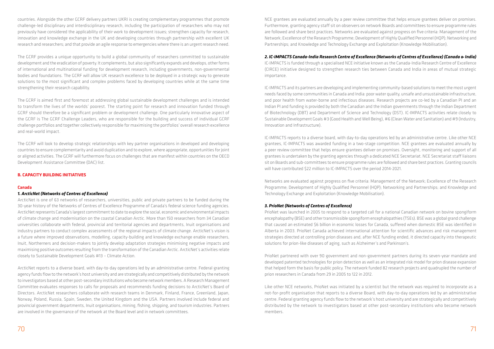countries. Alongside the other GCRF delivery partners UKRI is creating complementary programmes that promote challenge-led disciplinary and interdisciplinary research, including the participation of researchers who may not previously have considered the applicability of their work to development issues; strengthen capacity for research, innovation and knowledge exchange in the UK and developing countries through partnership with excellent UK research and researchers; and that provide an agile response to emergencies where there is an urgent research need.

The GCRF provides a unique opportunity to build a global community of researchers committed to sustainable development and the eradication of poverty. It complements, but also significantly expands and develops, other forms of international and multinational funding for development research, including governments, non-governmental bodies and foundations. The GCRF will allow UK research excellence to be deployed in a strategic way to generate solutions to the most significant and complex problems faced by developing countries while at the same time strengthening their research capability.

The GCRF is aimed first and foremost at addressing global sustainable development challenges and is intended to transform the lives of the worlds' poorest. The starting point for research and innovation funded through GCRF should therefore be a significant problem or development challenge. One particularly innovative aspect of the GCRF is The GCRF Challenge Leaders, who are responsible for the building and success of individual GCRF challenge portfolios and together collectively responsible for maximising the portfolios' overall research excellence and real-world impact.

The GCRF will look to develop strategic relationships with key partner organisations in developed and developing countries to ensure complementarity and avoid duplication and to explore, where appropriate, opportunities for joint or aligned activities. The GCRF will furthermore focus on challenges that are manifest within countries on the OECD Development Assistance Committee (DAC) list.

#### **B. CAPACITY BUILDING INITIATIVES**

#### **Canada**

#### *1. ArcticNet (Networks of Centres of Excellence)*

ArcticNet is one of 63 networks of researchers, universities, public and private partners to be funded during the 30-year history of the Networks of Centres of Excellence Programme of Canada's federal science funding agencies. ArcticNet represents Canada's largest commitment to date to explore the social, economic and environmental impacts of climate change and modernisation on the coastal Canadian Arctic. More than 150 researchers from 34 Canadian universities collaborate with federal, provincial and territorial agencies and departments, Inuit organisations and industry partners to conduct complex assessments of the regional impacts of climate change. ArcticNet's vision is a future where improved observations, modelling, capacity-building and knowledge exchange enable researchers, Inuit, Northerners and decision-makers to jointly develop adaptation strategies minimising negative impacts and maximising positive outcomes resulting from the transformation of the Canadian Arctic. ArcticNet's activities relate closely to Sustainable Development Goals #13 – Climate Action.

ArcticNet reports to a diverse board, with day-to-day operations led by an administrative centre. Federal granting agency funds flow to the network's host university and are strategically and competitively distributed by the network to investigators based at other post-secondary institutions who become network members. A Research Management Committee evaluates responses to calls for proposals and recommends funding decisions to ArcticNet's Board of Directors. ArcticNet researchers collaborate with research teams in Denmark, Finland, France, Greenland, Japan, Norway, Poland, Russia, Spain, Sweden, the United Kingdom and the USA. Partners involved include federal and provincial government departments, Inuit organisations, mining, fishing, shipping, and tourism industries. Partners are involved in the governance of the network at the Board level and in network committees.

NCE grantees are evaluated annually by a peer review committee that helps ensure grantees deliver on promises. Furthermore, granting agency staff sit on observers on network Boards and committees to ensure programme rules are followed and share best practices. Networks are evaluated against progress on five criteria: Management of the Network; Excellence of the Research Programme; Development of Highly Qualified Personnel (HQP); Networking and Partnerships; and Knowledge and Technology Exchange and Exploitation (Knowledge Mobilisation).

# *2. IC-IMPACTS Canada-India Research Centre of Excellence (Networks of Centres of Excellence) (Canada & India)*

IC-IMPACTS is funded through a specialised NCE initiative known as the Canada-India Research Centre of Excellence (CIRCE) initiative designed to strengthen research ties between Canada and India in areas of mutual strategic importance.

IC-IMPACTS and its partners are developing and implementing community-based solutions to meet the most urgent needs faced by some communities in Canada and India: poor water quality, unsafe and unsustainable infrastructure, and poor health from water-borne and infectious diseases. Research projects are co-led by a Canadian PI and an Indian PI and funding is provided by both the Canadian and the Indian governments through the Indian Department of Biotechnology (DBT) and Department of Science and Technology (DST). IC-IMPACTS activities relate closely to Sustainable Development Goals #3 (Good Health and Well Being), #6 (Clean Water and Sanitation) and #9 (Industry, Innovation and Infrastructure).

IC-IMPACTS reports to a diverse board, with day-to-day operations led by an administrative centre. Like other NCE grantees, IC-IMPACTS was awarded funding in a two-stage competition. NCE grantees are evaluated annually by a peer review committee that helps ensure grantees deliver on promises. Oversight, monitoring and support of all grantees is undertaken by the granting agencies through a dedicated NCE Secretariat. NCE Secretariat staff liaisons sit on Boards and sub-committees to ensure programme rules are followed and share best practices. Granting councils will have contributed \$22 million to IC-IMPACTS over the period 2014-2021.

Networks are evaluated against progress on five criteria: Management of the Network; Excellence of the Research Programme; Development of Highly Qualified Personnel (HQP); Networking and Partnerships; and Knowledge and Technology Exchange and Exploitation (Knowledge Mobilisation).

#### *3. PrioNet (Networks of Centres of Excellence)*

PrioNet was launched in 2005 to respond to a targeted call for a national Canadian network on bovine spongiform encephalopathy (BSE) and other transmissible spongiform encephalopathies (TSEs). BSE was a global grand challenge that caused an estimated \$6 billion in economic losses for Canada, suffered when domestic BSE was identified in Alberta in 2003. PrioNet Canada achieved international attention for scientific advances and risk management strategies directed at controlling prion diseases and, after NCE funding ended, it directed capacity into therapeutic solutions for prion-like diseases of aging, such as Alzheimer's and Parkinson's.

PrioNet partnered with over 90 government and non-government partners during its seven-year mandate and developed patented technologies for prion detection as well as an integrated risk model for prion disease expansion that helped form the basis for public policy. The network funded 82 research projects and quadrupled the number of prion researchers in Canada from 29 in 2005 to 122 in 2012.

Like other NCE networks, PrioNet was initiated by a scientist but the network was required to incorporate as a not-for-profit organisation that reports to a diverse Board, with day-to-day operations led by an administrative centre. Federal granting agency funds flow to the network's host university and are strategically and competitively distributed by the network to investigators based at other post-secondary institutions who become network members.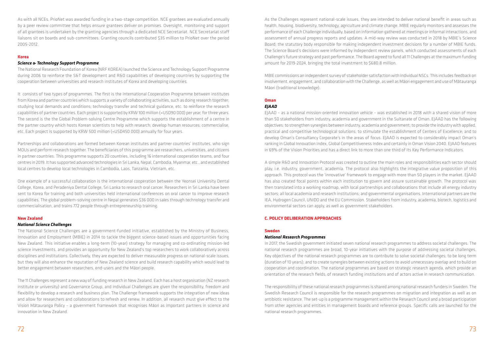As with all NCEs, PrioNet was awarded funding in a two-stage competition. NCE grantees are evaluated annually by a peer review committee that helps ensure grantees deliver on promises. Oversight, monitoring and support of all grantees is undertaken by the granting agencies through a dedicated NCE Secretariat. NCE Secretariat staff liaisons sit on boards and sub-committees. Granting councils contributed \$35 million to PrioNet over the period 2005-2012.

#### **Korea**

#### *Science & Technology Support Programme*

The National Research Foundation of Korea (NRF KOREA) launched the Science and Technology Support Programme during 2006 to reinforce the S&T development and R&D capabilities of developing countries by supporting the cooperation between universities and research institutes of Korea and developing countries.

It consists of two types of programmes. The first is the International Cooperation Programme between institutes from Korea and partner countries which supports a variety of collaborating activities, such as doing research together; studying local demands and conditions; technology transfer and technical guidance, etc. to reinforce the research capabilities of partner countries. Each project is supported by KRW 100 million (≈USD90 000) per year, for three years. The second is the the Global Problem-solving Centre Programme which supports the establishment of a centre in the partner country which hosts Korean scientists to help with research; develop human resources; commercialise, etc. Each project is supported by KRW 500 million (≈USD450 000) annually for four years.

Partnerships and collaborations are formed between Korean institutes and partner countries' institutes, who sign MOUs and perform research together. The beneficiaries of this programme are researchers, universities, and citizens in partner countries. This programme supports 20 countries, including 16 international cooperation teams, and four centres in 2019. It has supported advanced technologies in Sri Lanka, Nepal, Cambodia, Myanmar, etc., and established local centres to develop local technologies in Cambodia, Laos, Tanzania, Vietnam, etc.

One example of a successful collaboration is the international cooperation between the Yeonsei University Dental College, Korea, and Peradeniya Dental College, Sri Lanka to research oral cancer. Researchers in Sri Lanka have been sent to Korea for training and both universities held international conferences on oral cancer to improve research capabilities. The global problem-solving centre in Nepal generates \$36 000 in sales through technology transfer and commercialisation, and trains 772 people through entrepreneurship training.

#### **New Zealand**

#### *National Science Challenges*

The National Science Challenges are a government-funded initiative, established by the Ministry of Business, Innovation and Employment (MBIE) in 2014 to tackle the biggest science-based issues and opportunities facing New Zealand. This initiative enables a long-term (10-year) strategy for managing and co-ordinating mission-led science investments, and provides an opportunity for New Zealand's top researchers to work collaboratively across disciplines and institutions. Collectively, they are expected to deliver measurable progress on national-scale issues, but they will also enhance the reputation of New Zealand science and build research capability which would lead to better engagement between researchers, end-users and the Māori people.

The 11 Challenges represent a new way of funding research in New Zealand. Each has a host organisation (NZ research institute or university) and Governance Group, and individual Challenges are given the responsibility, freedom and flexibility to develop a research and business plan. The Challenge framework supports the integration of new ideas and allow for researchers and collaborations to refresh and renew. In addition, all research must give effect to the Vision Mātauranga Policy – a government framework that recognises Māori as important partners in science and innovation in New Zealand.

As the Challenges represent national-scale issues, they are intended to deliver national benefit in areas such as health, housing, biodiversity, technology, agriculture and climate change. MBIE regularly monitors and assesses the performance of each Challenge individually, based on information gathered at meetings or informal interactions, and assessment of annual progress reports and updates. A mid-way review was conducted in 2018 by MBIE's Science Board; the statutory body responsible for making independent investment decisions for a number of MBIE funds. The Science Board's decisions were informed by independent review panels, which conducted assessments of each Challenge's future strategy and past performance. The Board agreed to fund all 11 Challenges at the maximum funding amount for 2019-2024, bringing the total investment to \$680.8 million.

MBIE commissions an independent survey of stakeholder satisfaction with individual NSCs. This includes feedback on involvement, engagement, and collaboration with the Challenge, as well as Māori engagement and use of Mātauranga Māori (traditional knowledge).

### **Oman**

# *EJAAD*

EJAAD – as a national mission-oriented innovation vehicle – was established in 2018 with a shared vision of more than 50 stakeholders from industry, academia and government in the Sultanate of Oman. EJAAD has the following objectives: to strengthen synergies between industry, academia and government; to provide the industry with applied, practical and competitive technological solutions; to stimulate the establishment of Centers of Excellence; and to develop Oman's Consultancy Corporate's in the areas of focus. EJAAD is expected to considerably impact Oman's ranking in Global Innovation Index, Global Competitiveness Index and certainly in Oman Vision 2040. EJAAD features in 69% of the Vision Priorities and has a direct link to more than one third of its Key Performance Indicators.

A simple R&D and Innovation Protocol was created to outline the main roles and responsibilities each sector should play, i.e. industry, government, academia. The protocol also highlights the integrative value proposition of this approach. This protocol was the 'innovative' framework to engage with more than 50 players in the market. EJAAD has also created focal points within each institution to govern and assure sustainable growth. The protocol was then translated into a working roadmap, with local partnerships and collaborations that include all energy industry sectors; all local academia and research institutions; and governmental organisations. International partners are the IEA, Hydrogen Council, UNIDO and the EU Commission. Stakeholders from industry, academia, biotech, logistics and environmental sectors can apply, as well as government stakeholders.

#### **C. POLICY DELIBERATION APPROACHES**

#### **Sweden**

#### *National Research Programmes*

In 2017, the Swedish government initiated seven national research programmes to address societal challenges. The national research programmes are broad, 10-year initiatives with the purpose of addressing societal challenges. Key objectives of the national research programmes are to contribute to solve societal challenges; to be long term (duration of 10 years); and to create synergies between existing actions to avoid unnecessary overlap and to build on cooperation and coordination. The national programmes are based on strategic research agenda, which provide an orientation of the research fields, of research funding institutions and of actors active in research communication.

The responsibility of these national research programmes is shared among national research funders in Sweden. The Swedish Research Council is responsible for the research programmes on migration and integration as well as on antibiotic resistance. The set-up is a programme management within the Research Council and a broad participation from other agencies and entities in management boards and reference groups. Specific calls are launched for the national research programmes.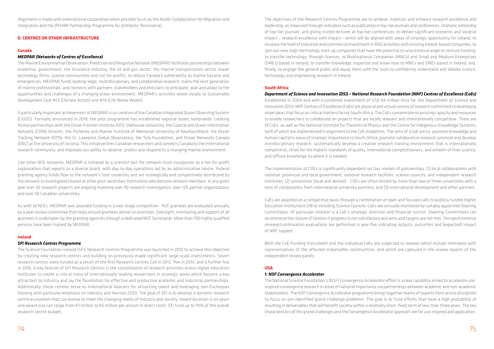Alignment is made with international cooperation when possible (such as the Nordic Collaboration for Migration and Integration and the JPIAMR Partnership Programme for Antibiotic Resistance).

#### **D. CENTRES OR OTHER INFRASTRUCTURE**

#### **Canada**

#### *MEOPAR (Networks of Centres of Excellence)*

Th[e Marine Environmental Observation, Prediction and Response Network](https://meopar.ca/about/key-documents/) (MEOPAR) facilitates partnerships between academia, government, the insurance industry, the oil and gas sector, the marine transportation sector, ocean technology firms, coastal communities and not-for-profits, to reduce Canada's vulnerability to marine hazards and emergencies. MEOPAR funds leading-edge, multidisciplinary, and collaborative research; trains the next generation of marine professionals; and connects with partners, stakeholders and end users to anticipate, plan and adapt to the opportunities and challenges of a changing ocean environment. MEOPAR's activities relate closely to Sustainable Development Goal #13 (Climate Action) and #14 (Life Below Water).

A particularly important achievement of MEOPAR is co-creation of the Canadian Integrated Ocean Observing System (CIOOS). Formally announced in 2019, the pilot programme has established regional nodes nationwide, creating formal partnerships with the Ocean Frontier Institute (OFI); Dalhousie University; the Coastal and Ocean Information Network (COIN) Atlantic; the Fisheries and Marine Institute of Memorial University of Newfoundland; the Ocean Tracking Network (OTN); the St. Lawrence Global Observatory; the Tula Foundation; and Ocean Networks Canada (ONC) at the University of Victoria. This initiative links Canadian researchers and connects Canada to the international research community, and improves our ability to observe, predict and respond to a changing marine environment.

Like other NCE networks, MEOPAR is initiated by a scientist but the network must incorporate as a not-for-profit organisation that reports to a diverse board, with day-to-day operations led by an administrative centre. Federal granting agency funds flow to the network's host university and are strategically and competitively distributed by the network to investigators based at other post-secondary institutions who become network members. In any given year over 30 research projects are ongoing involving over 90 research investigators, over 120 partner organisations and over 30 Canadian universities.

As with all NCEs, MEOPAR was awarded funding in a two-stage competition. NCE grantees are evaluated annually by a peer review committee that helps ensure grantees deliver on promises. Oversight, monitoring and support of all grantees is undertaken by the granting agencies through a dedicated NCE Secretariat. More than 700 highly qualified persons have been trained by MEOPAR.

#### **Ireland**

#### *SFI Research Centres Programme*

The Science Foundation Ireland (SFI) Research Centres Programme was launched in 2012 to achieve this objective by creating new research centres and building on previously made significant large-scale investments. Seven research centres were funded as a result of the first Research Centres Call in 2012, five in 2013, and a further five in 2016. A key feature of SFI Research Centres is the consolidation of research activities across higher education institutes to create a critical mass of internationally leading researchers in strategic areas which become a key attractant to industry and lay the foundation for effective and productive academic and industrial partnerships. Additionally, these centres serve as international beacons for attracting talent and leveraging non-Exchequer funding with particular emphasis on industry and Horizon 2020. The goal of SFI is to develop a dynamic research centre ecosystem that can evolve to meet the changing needs of industry and society. Award duration is six years and award size can range from €1 million to €5 million per annum in direct costs. SFI fund up to 70% of the overall research centre budget.

The objectives of the Research Centres Programme are to achieve, maintain and enhance research excellence and leadership, as measured through indicators such as publication in top-tier journals and conferences, citations, editorship of top-tier journals, and giving invited lectures at top-tier conferences; to deliver significant economic and societal impact – research excellence with impact – which will be aligned with areas of strategic opportunity for Ireland; to increase the level of industrial and commercial investment in R&D activities with existing Ireland-based companies; to spin out new, high-technology start-up companies that have the potential to raise external angel or venture funding; to transfer technology, through licences, to Multinational Companies (MNCs) and Small and Medium Enterprises (SMEs) based in Ireland; to transfer knowledge, expertise and know-how to MNCs and SMEs based in Ireland; and, finally, to engage the general public and equip them with the tools to confidently understand and debate science, technology and engineering research in Ireland.

#### **South Africa**

# *Department of Science and Innovation (DSI) – National Research Foundation (NRF) Centres of Excellence (CoEs)*

Established in 2004 and with a combined investment of USD 84 million thus far, the Department of Science and Innovation (DSI)-NRF Centres of Excellence (CoEs) are physical and virtual centres of research committed to developing novel ideas that focus on critical matters facing South Africa. The CoEs concentrate on existing capacity and resources to enable researchers to collaborate on projects that are locally relevant and internationally competitive. There are 14 CoEs, as well as the National Institute for Theoretical Physics and the Centre for Indigenous Knowledge Systems, both of which are implemented in alignment to the CoE modalities. The aims of a CoE are to: promote knowledge and human capital in areas of strategic importance to South Africa; promote collaborative research; promote and develop interdisciplinary research; systematically develop a creative research training environment that is internationally competitive; strive for the highest standards of quality, international competitiveness, and esteem of their science; and diffuse knowledge to where it is needed.

The implementation of COEs is significantly dependent on four models of partnerships: (1) local collaborations with national, provincial and local government, national research facilities, science councils, and independent research institutes; (2) universities (local and abroad) - COEs are often hosted by more than two or three universities with a host of collaborators from international university partners; and (3) international development and other partners.

CoEs are awarded on a competitive basis through a combination of open and focused calls to publicly funded Higher Education Institutions (HEIs) including Science Councils. CoEs are annually monitored by suitably appointed Steering Committees. Of particular interest is a CoE's strategic direction and financial control. Steering Committees can recommend the closure of Centres if progress is not satisfactory and aims and targets are not met. Stringent external renewal/continuation evaluations are performed in year five indicating outputs, outcomes and (expected) impact of NRF support.

Both the CoE Funding Instrument and the individual CoEs are subjected to reviews which include interviews with representatives of the affected stakeholder communities, and which are captured in the review reports of the independent review panels.

#### **USA**

#### *1. NSF Convergence Accelerator*

The National Science Foundation's (NSF) Convergence Accelerator effort is a new capability aimed to accelerate useinspired convergence research in areas of national importance via partnerships between academic and non-academic stakeholders. The NSF Convergence Accelerator programme brings together teams of experts from across disciplines to focus on pre-identified grand challenge problems. The goal is to fund efforts that have a high probability of resulting in deliverables that will benefit society within a relatively short, fixed term of less than three years. The key characteristics of the grand challenges and the Convergence Accelerator approach are for use-inspired and application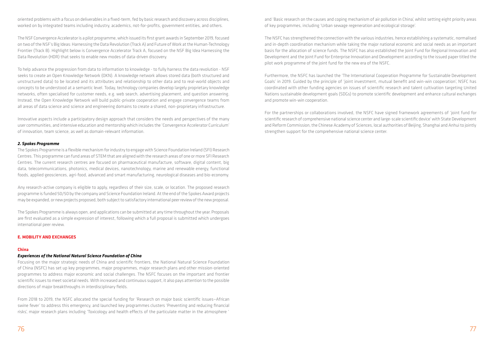oriented problems with a focus on deliverables in a fixed-term, fed by basic research and discovery across disciplines, worked on by integrated teams including industry, academics, not-for-profits, government entities, and others.

The NSF Convergence Accelerator is a pilot programme, which issued its first grant awards in September 2019, focused on two of the NSF's Big Ideas: Harnessing the Data Revolution (Track A) and Future of Work at the Human-Technology Frontier (Track B). Highlight below is Convergence Accelerator Track A, focused on the NSF Big Idea Harnessing the Data Revolution (HDR) that seeks to enable new modes of data-driven discovery.

To help advance the progression from data to information to knowledge - to fully harness the data revolution - NSF seeks to create an Open Knowledge Network (OKN). A knowledge network allows stored data (both structured and unstructured data) to be located and its attributes and relationship to other data and to real-world objects and concepts to be understood at a semantic level. Today, technology companies develop largely proprietary knowledge networks, often specialised for customer needs, e.g. web search, advertising placement, and question answering. Instead, the Open Knowledge Network will build public-private cooperation and engage convergence teams from all areas of data science and science and engineering domains to create a shared, non-proprietary infrastructure.

Innovative aspects include a participatory design approach that considers the needs and perspectives of the many user communities, and intensive education and mentorship which includes the 'Convergence Accelerator Curriculum' of innovation, team science, as well as domain-relevant information.

#### *2. Spokes Programme*

The Spokes Programme is a flexible mechanism for industry to engage with Science Foundation Ireland (SFI) Research Centres. This programme can fund areas of STEM that are aligned with the research areas of one or more SFI Research Centres. The current research centres are focused on pharmaceutical manufacture, software, digital content, big data, telecommunications, photonics, medical devices, nanotechnology, marine and renewable energy, functional foods, applied geosciences, agri-food, advanced and smart manufacturing, neurological diseases and bio-economy.

Any research-active company is eligible to apply, regardless of their size, scale, or location. The proposed research programme is funded 50/50 by the company and Science Foundation Ireland. At the end of the Spokes Award projects may be expanded, or new projects proposed, both subject to satisfactory international peer review of the new proposal.

The Spokes Programme is always open, and applications can be submitted at any time throughout the year. Proposals are first evaluated as a simple expression of interest, following which a full proposal is submitted which undergoes international peer review.

#### **E. MOBILITY AND EXCHANGES**

#### **China**

#### *Experiences of the National Natural Science Foundation of China*

Focusing on the major strategic needs of China and scientific frontiers, the National Natural Science Foundation of China (NSFC) has set up key programmes, major programmes, major research plans and other mission-oriented programmes to address major economic and social challenges. The NSFC focuses on the important and frontier scientific issues to meet societal needs. With increased and continuous support, it also pays attention to the possible directions of major breakthroughs in interdisciplinary fields.

From 2018 to 2019, the NSFC allocated the special funding for 'Research on major basic scientific issues—African swine fever' to address this emergency, and launched key programmes clusters 'Preventing and reducing financial risks', major research plans including 'Toxicology and health effects of the particulate matter in the atmosphere '

and 'Basic research on the causes and coping mechanism of air pollution in China', whilst setting eight priority areas of key programmes, including 'Urban sewage regeneration and ecological storage'.

The NSFC has strengthened the connection with the various industries, hence establishing a systematic, normalised and in-depth coordination mechanism while taking the major national economic and social needs as an important basis for the allocation of science funds. The NSFC has also established the Joint Fund for Regional Innovation and Development and the Joint Fund for Enterprise Innovation and Development according to the issued paper titled the pilot work programme of the joint fund for the new era of the NSFC.

Furthermore, the NSFC has launched the 'The International Cooperation Programme for Sustainable Development Goals' in 2019. Guided by the principle of 'joint investment, mutual benefit and win-win cooperation', NSFC has coordinated with other funding agencies on issues of scientific research and talent cultivation targeting United Nations sustainable development goals (SDGs) to promote scientific development and enhance cultural exchanges and promote win-win cooperation.

For the partnerships or collaborations involved, the NSFC have signed framework agreements of 'joint fund for scientific research of comprehensive national science center and large-scale scientific device' with State Development and Reform Commission, the Chinese Academy of Sciences, local authorities of Beijing, Shanghai and Anhui to jointly strengthen support for the comprehensive national science center.